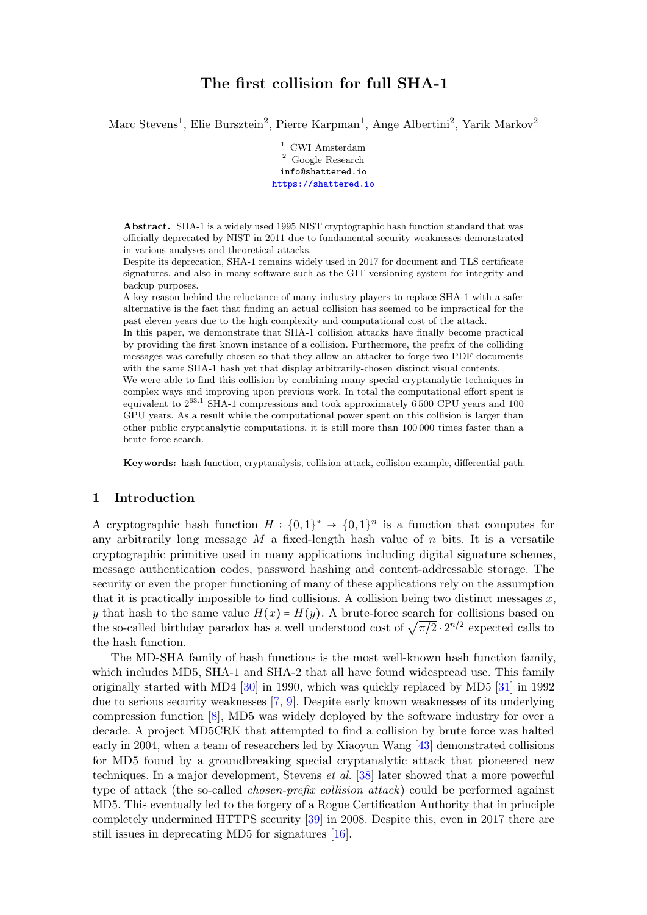# The first collision for full SHA-1

Marc Stevens<sup>1</sup>, Elie Bursztein<sup>2</sup>, Pierre Karpman<sup>1</sup>, Ange Albertini<sup>2</sup>, Yarik Markov<sup>2</sup>

 $^{\rm 1}$  CWI Amsterdam <sup>2</sup> Google Research info@shattered.io <https://shattered.io>

Abstract. SHA-1 is a widely used 1995 NIST cryptographic hash function standard that was officially deprecated by NIST in 2011 due to fundamental security weaknesses demonstrated in various analyses and theoretical attacks.

Despite its deprecation, SHA-1 remains widely used in 2017 for document and TLS certificate signatures, and also in many software such as the GIT versioning system for integrity and backup purposes.

A key reason behind the reluctance of many industry players to replace SHA-1 with a safer alternative is the fact that finding an actual collision has seemed to be impractical for the past eleven years due to the high complexity and computational cost of the attack.

In this paper, we demonstrate that SHA-1 collision attacks have finally become practical by providing the first known instance of a collision. Furthermore, the prefix of the colliding messages was carefully chosen so that they allow an attacker to forge two PDF documents with the same SHA-1 hash yet that display arbitrarily-chosen distinct visual contents.

We were able to find this collision by combining many special cryptanalytic techniques in complex ways and improving upon previous work. In total the computational effort spent is equivalent to  $2^{63.1}$  SHA-1 compressions and took approximately 6500 CPU years and 100 GPU years. As a result while the computational power spent on this collision is larger than other public cryptanalytic computations, it is still more than 100 000 times faster than a brute force search.

Keywords: hash function, cryptanalysis, collision attack, collision example, differential path.

#### 1 Introduction

A cryptographic hash function  $H: \{0,1\}^* \to \{0,1\}^n$  is a function that computes for any arbitrarily long message  $M$  a fixed-length hash value of  $n$  bits. It is a versatile cryptographic primitive used in many applications including digital signature schemes, message authentication codes, password hashing and content-addressable storage. The security or even the proper functioning of many of these applications rely on the assumption that it is practically impossible to find collisions. A collision being two distinct messages  $x$ , y that hash to the same value  $H(x) = H(y)$ . A brute-force search for collisions based on y that hash to the same value  $H(x) = H(y)$ . A brute-force search for collisions based on<br>the so-called birthday paradox has a well understood cost of  $\sqrt{\pi/2} \cdot 2^{n/2}$  expected calls to the hash function.

The MD-SHA family of hash functions is the most well-known hash function family, which includes MD5, SHA-1 and SHA-2 that all have found widespread use. This family originally started with MD4 [\[30\]](#page-17-0) in 1990, which was quickly replaced by MD5 [\[31\]](#page-17-1) in 1992 due to serious security weaknesses [\[7,](#page-16-0) [9\]](#page-16-1). Despite early known weaknesses of its underlying compression function [\[8\]](#page-16-2), MD5 was widely deployed by the software industry for over a decade. A project MD5CRK that attempted to find a collision by brute force was halted early in 2004, when a team of researchers led by Xiaoyun Wang [\[43\]](#page-17-2) demonstrated collisions for MD5 found by a groundbreaking special cryptanalytic attack that pioneered new techniques. In a major development, Stevens et al. [\[38\]](#page-17-3) later showed that a more powerful type of attack (the so-called *chosen-prefix collision attack*) could be performed against MD5. This eventually led to the forgery of a Rogue Certification Authority that in principle completely undermined HTTPS security [\[39\]](#page-17-4) in 2008. Despite this, even in 2017 there are still issues in deprecating MD5 for signatures [\[16\]](#page-16-3).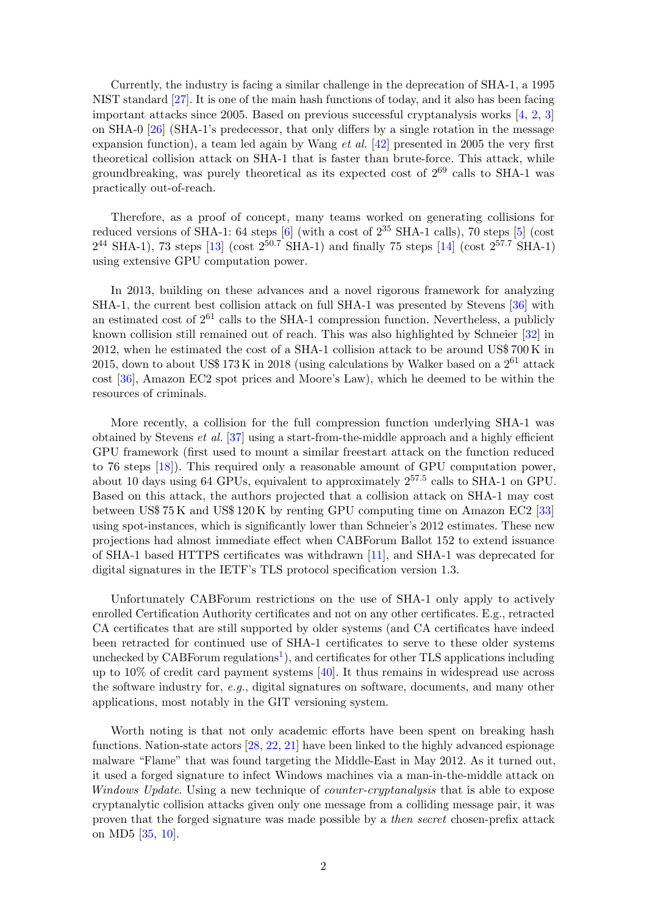Currently, the industry is facing a similar challenge in the deprecation of SHA-1, a 1995 NIST standard [\[27\]](#page-16-4). It is one of the main hash functions of today, and it also has been facing important attacks since 2005. Based on previous successful cryptanalysis works [\[4,](#page-16-5) [2,](#page-16-6) [3\]](#page-16-7) on SHA-0 [\[26\]](#page-16-8) (SHA-1's predecessor, that only differs by a single rotation in the message expansion function), a team led again by Wang *et al.* [\[42\]](#page-17-5) presented in 2005 the very first theoretical collision attack on SHA-1 that is faster than brute-force. This attack, while groundbreaking, was purely theoretical as its expected cost of  $2^{69}$  calls to SHA-1 was practically out-of-reach.

Therefore, as a proof of concept, many teams worked on generating collisions for reduced versions of SHA-1: 64 steps  $[6]$  (with a cost of  $2^{35}$  SHA-1 calls), 70 steps  $[5]$  (cost  $2^{44}$  SHA-1), 73 steps [\[13\]](#page-16-11) (cost  $2^{50.7}$  SHA-1) and finally 75 steps [\[14\]](#page-16-12) (cost  $2^{57.7}$  SHA-1) using extensive GPU computation power.

In 2013, building on these advances and a novel rigorous framework for analyzing SHA-1, the current best collision attack on full SHA-1 was presented by Stevens [\[36\]](#page-17-6) with an estimated cost of  $2^{61}$  calls to the SHA-1 compression function. Nevertheless, a publicly known collision still remained out of reach. This was also highlighted by Schneier [\[32\]](#page-17-7) in 2012, when he estimated the cost of a SHA-1 collision attack to be around US\$ 700 K in 2015, down to about US\$ 173 K in 2018 (using calculations by Walker based on a  $2^{61}$  attack cost [\[36\]](#page-17-6), Amazon EC2 spot prices and Moore's Law), which he deemed to be within the resources of criminals.

More recently, a collision for the full compression function underlying SHA-1 was obtained by Stevens et al. [\[37\]](#page-17-8) using a start-from-the-middle approach and a highly efficient GPU framework (first used to mount a similar freestart attack on the function reduced to 76 steps [\[18\]](#page-16-13)). This required only a reasonable amount of GPU computation power, about 10 days using 64 GPUs, equivalent to approximately  $2^{57.5}$  calls to SHA-1 on GPU. Based on this attack, the authors projected that a collision attack on SHA-1 may cost between US\$ 75 K and US\$ 120 K by renting GPU computing time on Amazon EC2 [\[33\]](#page-17-9) using spot-instances, which is significantly lower than Schneier's 2012 estimates. These new projections had almost immediate effect when CABForum Ballot 152 to extend issuance of SHA-1 based HTTPS certificates was withdrawn [\[11\]](#page-16-14), and SHA-1 was deprecated for digital signatures in the IETF's TLS protocol specification version 1.3.

Unfortunately CABForum restrictions on the use of SHA-1 only apply to actively enrolled Certification Authority certificates and not on any other certificates. E.g., retracted CA certificates that are still supported by older systems (and CA certificates have indeed been retracted for continued use of SHA-1 certificates to serve to these older systems unchecked by CABForum regulations<sup>[1](#page-2-0)</sup>), and certificates for other TLS applications including up to 10% of credit card payment systems [\[40\]](#page-17-10). It thus remains in widespread use across the software industry for, e.g., digital signatures on software, documents, and many other applications, most notably in the GIT versioning system.

Worth noting is that not only academic efforts have been spent on breaking hash functions. Nation-state actors [\[28,](#page-16-15) [22,](#page-16-16) [21\]](#page-16-17) have been linked to the highly advanced espionage malware "Flame" that was found targeting the Middle-East in May 2012. As it turned out, it used a forged signature to infect Windows machines via a man-in-the-middle attack on Windows Update. Using a new technique of counter-cryptanalysis that is able to expose cryptanalytic collision attacks given only one message from a colliding message pair, it was proven that the forged signature was made possible by a then secret chosen-prefix attack on MD5 [\[35,](#page-17-11) [10\]](#page-16-18).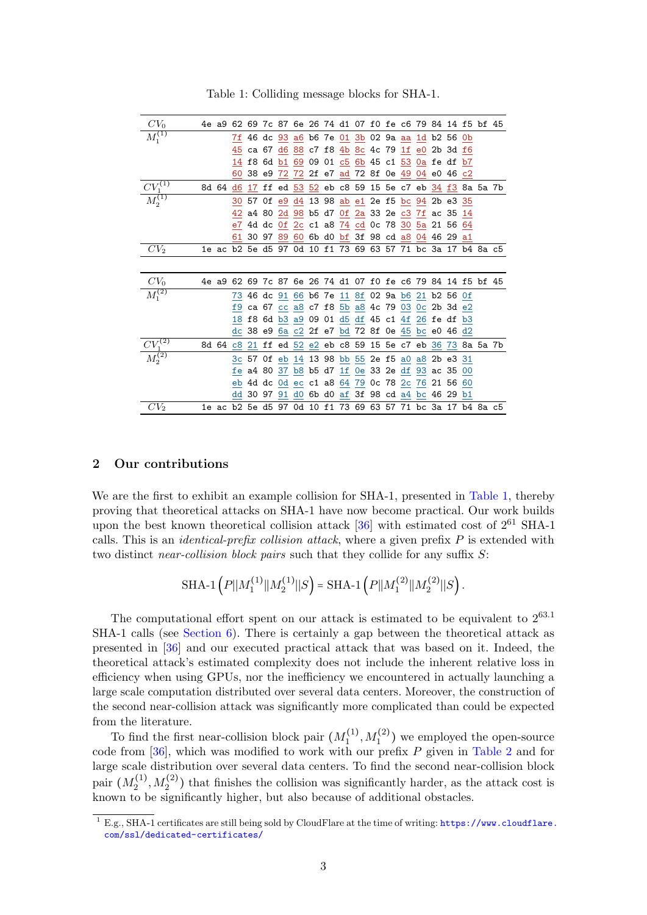<span id="page-2-1"></span>

| $CV_0$                         |                                                             |                                                             |  |  |  |                                                 |  |  |  |  | 4e a9 62 69 7c 87 6e 26 74 d1 07 f0 fe c6 79 84 14 f5 bf 45 |
|--------------------------------|-------------------------------------------------------------|-------------------------------------------------------------|--|--|--|-------------------------------------------------|--|--|--|--|-------------------------------------------------------------|
| $M_1^{(1)}$                    |                                                             |                                                             |  |  |  | 7f 46 dc 93 a6 b6 7e 01 3b 02 9a aa 1d b2 56 0b |  |  |  |  |                                                             |
|                                |                                                             |                                                             |  |  |  | 45 ca 67 d6 88 c7 f8 4b 8c 4c 79 1f e0 2b 3d f6 |  |  |  |  |                                                             |
|                                |                                                             | 14                                                          |  |  |  | f8 6d b1 69 09 01 c5 6b 45 c1 53 0a fe df b7    |  |  |  |  |                                                             |
|                                |                                                             |                                                             |  |  |  | 60 38 e9 72 72 2f e7 ad 72 8f 0e 49 04 e0 46 c2 |  |  |  |  |                                                             |
| $\frac{CV_1^{(1)}}{M_2^{(1)}}$ |                                                             | 8d 64 d6 17 ff ed 53 52 eb c8 59 15 5e c7 eb 34 f3 8a 5a 7b |  |  |  |                                                 |  |  |  |  |                                                             |
|                                |                                                             |                                                             |  |  |  | 30 57 Of e9 d4 13 98 ab e1 2e f5 bc 94 2b e3 35 |  |  |  |  |                                                             |
|                                |                                                             |                                                             |  |  |  | 42 a4 80 2d 98 b5 d7 0f 2a 33 2e c3 7f ac 35 14 |  |  |  |  |                                                             |
|                                |                                                             |                                                             |  |  |  | e7 4d dc 0f 2c c1 a8 74 cd 0c 78 30 5a 21 56 64 |  |  |  |  |                                                             |
|                                |                                                             |                                                             |  |  |  | 61 30 97 89 60 6b d0 bf 3f 98 cd a8 04 46 29 a1 |  |  |  |  |                                                             |
|                                |                                                             |                                                             |  |  |  |                                                 |  |  |  |  |                                                             |
| $CV_2$                         |                                                             | 1e ac b2 5e d5 97 0d 10 f1 73 69 63 57 71 bc 3a 17 b4 8a c5 |  |  |  |                                                 |  |  |  |  |                                                             |
|                                |                                                             |                                                             |  |  |  |                                                 |  |  |  |  |                                                             |
|                                |                                                             | 4e a9 62 69 7c 87 6e 26 74 d1 07 f0 fe c6 79 84 14 f5 bf 45 |  |  |  |                                                 |  |  |  |  |                                                             |
| $\frac{CV_0}{M_1^{(2)}}$       |                                                             |                                                             |  |  |  | 73 46 dc 91 66 b6 7e 11 8f 02 9a b6 21 b2 56 0f |  |  |  |  |                                                             |
|                                |                                                             |                                                             |  |  |  | f9 ca 67 cc a8 c7 f8 5b a8 4c 79 03 0c 2b 3d e2 |  |  |  |  |                                                             |
|                                |                                                             |                                                             |  |  |  | 18 f8 6d b3 a9 09 01 d5 df 45 c1 4f 26 fe df b3 |  |  |  |  |                                                             |
|                                |                                                             |                                                             |  |  |  | dc 38 e9 6a c2 2f e7 bd 72 8f 0e 45 bc e0 46 d2 |  |  |  |  |                                                             |
| $\frac{CV_1^{(2)}}{M_2^{(2)}}$ |                                                             | 8d 64 c8 21 ff ed 52 e2 eb c8 59 15 5e c7 eb 36 73 8a 5a 7b |  |  |  |                                                 |  |  |  |  |                                                             |
|                                |                                                             |                                                             |  |  |  | 3c 57 Of eb 14 13 98 bb 55 2e f5 a0 a8 2b e3 31 |  |  |  |  |                                                             |
|                                |                                                             |                                                             |  |  |  | fe a4 80 37 b8 b5 d7 1f 0e 33 2e df 93 ac 35 00 |  |  |  |  |                                                             |
|                                |                                                             |                                                             |  |  |  | eb 4d dc 0d ec c1 a8 64 79 0c 78 2c 76 21 56 60 |  |  |  |  |                                                             |
|                                |                                                             |                                                             |  |  |  |                                                 |  |  |  |  |                                                             |
|                                |                                                             |                                                             |  |  |  | dd 30 97 91 d0 6b d0 af 3f 98 cd a4 bc 46 29 b1 |  |  |  |  |                                                             |
| $CV_2$                         | 1e ac b2 5e d5 97 0d 10 f1 73 69 63 57 71 bc 3a 17 b4 8a c5 |                                                             |  |  |  |                                                 |  |  |  |  |                                                             |

Table 1: Colliding message blocks for SHA-1.

#### $\overline{2}$ Our contributions

We are the first to exhibit an example collision for SHA-1, presented in Table 1, thereby proving that theoretical attacks on SHA-1 have now become practical. Our work builds upon the best known theoretical collision attack [36] with estimated cost of  $2^{61}$  SHA-1 calls. This is an *identical-prefix collision attack*, where a given prefix  $P$  is extended with two distinct *near-collision block pairs* such that they collide for any suffix S:

$$
\text{SHA-1}\left(P||M_{1}^{(1)}||M_{2}^{(1)}||S\right)=\text{SHA-1}\left(P||M_{1}^{(2)}||M_{2}^{(2)}||S\right).
$$

The computational effort spent on our attack is estimated to be equivalent to  $2^{63.1}$  $SHA-1$  calls (see Section 6). There is certainly a gap between the theoretical attack as presented in [36] and our executed practical attack that was based on it. Indeed, the theoretical attack's estimated complexity does not include the inherent relative loss in efficiency when using GPUs, nor the inefficiency we encountered in actually launching a large scale computation distributed over several data centers. Moreover, the construction of the second near-collision attack was significantly more complicated than could be expected from the literature.

To find the first near-collision block pair  $(M_1^{(1)}, M_1^{(2)})$  we employed the open-source code from [36], which was modified to work with our prefix  $P$  given in Table 2 and for large scale distribution over several data centers. To find the second near-collision block pair  $(M_2^{(1)}, M_2^{(2)})$  that finishes the collision was significantly harder, as the attack cost is known to be significantly higher, but also because of additional obstacles.

<span id="page-2-0"></span><sup>&</sup>lt;sup>1</sup> E.g., SHA-1 certificates are still being sold by CloudFlare at the time of writing: https://www.cloudflare. com/ssl/dedicated-certificates/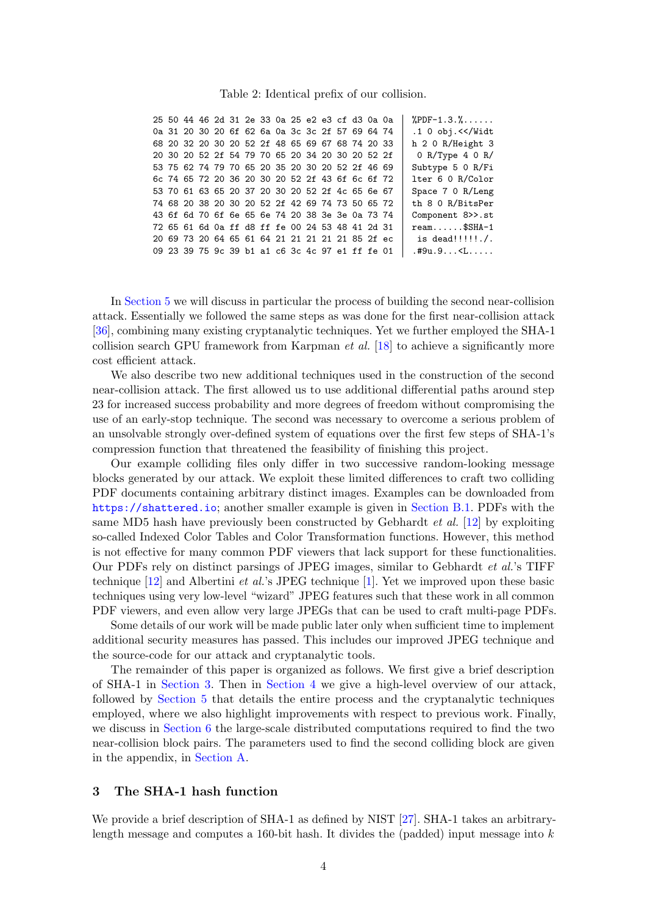Table 2: Identical prefix of our collision.

<span id="page-3-0"></span>25 50 44 46 2d 31 2e 33 0a 25 e2 e3 cf d3 0a 0a  $\frac{1}{6}$ PDF-1.3. $\frac{1}{6}$ ..... 0a 31 20 30 20 6f 62 6a 0a 3c 3c 2f 57 69 64 74 .1 0 obj. <</Widt 68 20 32 20 30 20 52 2f 48 65 69 67 68 74 20 33 h 2 0 R/Height 3 20 30 20 52 2f 54 79 70 65 20 34 20 30 20 52 2f 0 R/Type 4 0 R/ 53 75 62 74 79 70 65 20 35 20 30 20 52 2f 46 69 Subtype 5 0 R/Fi 6c 74 65 72 20 36 20 30 20 52 2f 43 6f 6c 6f 72 lter 6 0 R/Color 53 70 61 63 65 20 37 20 30 20 52 2f 4c 65 6e 67 Space 7 0 R/Leng 74 68 20 38 20 30 20 52 2f 42 69 74 73 50 65 72 th 8 0 R/BitsPer 43 6f 6d 70 6f 6e 65 6e 74 20 38 3e 3e 0a 73 74 Component 8>>.st 72 65 61 6d 0a ff d8 ff fe 00 24 53 48 41 2d 31  $\vert$  ream......\$SHA-1 20 69 73 20 64 65 61 64 21 21 21 21 21 85 2f ec is dead!!!!!./. 09 23 39 75 9c 39 b1 a1 c6 3c 4c 97 e1 ff fe 01 | .#9u.9...<L.....

In [Section 5](#page-5-0) we will discuss in particular the process of building the second near-collision attack. Essentially we followed the same steps as was done for the first near-collision attack [\[36\]](#page-17-6), combining many existing cryptanalytic techniques. Yet we further employed the SHA-1 collision search GPU framework from Karpman et al. [\[18\]](#page-16-13) to achieve a significantly more cost efficient attack.

We also describe two new additional techniques used in the construction of the second near-collision attack. The first allowed us to use additional differential paths around step 23 for increased success probability and more degrees of freedom without compromising the use of an early-stop technique. The second was necessary to overcome a serious problem of an unsolvable strongly over-defined system of equations over the first few steps of SHA-1's compression function that threatened the feasibility of finishing this project.

Our example colliding files only differ in two successive random-looking message blocks generated by our attack. We exploit these limited differences to craft two colliding PDF documents containing arbitrary distinct images. Examples can be downloaded from <https://shattered.io>; another smaller example is given in [Section B.1.](#page-21-0) PDFs with the same MD5 hash have previously been constructed by Gebhardt et al. [\[12\]](#page-16-19) by exploiting so-called Indexed Color Tables and Color Transformation functions. However, this method is not effective for many common PDF viewers that lack support for these functionalities. Our PDFs rely on distinct parsings of JPEG images, similar to Gebhardt et al.'s TIFF technique  $[12]$  and Albertini *et al.*'s JPEG technique  $[1]$ . Yet we improved upon these basic techniques using very low-level "wizard" JPEG features such that these work in all common PDF viewers, and even allow very large JPEGs that can be used to craft multi-page PDFs.

Some details of our work will be made public later only when sufficient time to implement additional security measures has passed. This includes our improved JPEG technique and the source-code for our attack and cryptanalytic tools.

The remainder of this paper is organized as follows. We first give a brief description of SHA-1 in [Section 3.](#page-3-1) Then in [Section 4](#page-4-0) we give a high-level overview of our attack, followed by [Section 5](#page-5-0) that details the entire process and the cryptanalytic techniques employed, where we also highlight improvements with respect to previous work. Finally, we discuss in [Section 6](#page-12-0) the large-scale distributed computations required to find the two near-collision block pairs. The parameters used to find the second colliding block are given in the appendix, in [Section A.](#page-17-12)

### <span id="page-3-1"></span>3 The SHA-1 hash function

We provide a brief description of SHA-1 as defined by NIST [\[27\]](#page-16-4). SHA-1 takes an arbitrarylength message and computes a 160-bit hash. It divides the (padded) input message into  $k$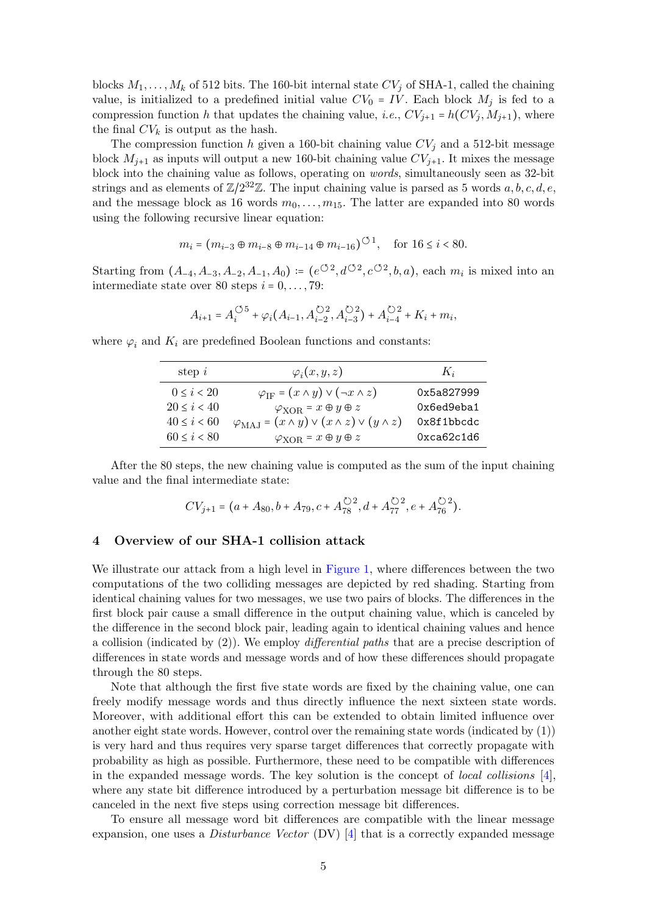blocks  $M_1, \ldots, M_k$  of 512 bits. The 160-bit internal state  $CV_j$  of SHA-1, called the chaining value, is initialized to a predefined initial value  $CV_0 = IV$ . Each block  $M_j$  is fed to a compression function h that updates the chaining value, i.e.,  $CV_{j+1} = h(CV_j, M_{j+1})$ , where the final  $CV_k$  is output as the hash.

The compression function h given a 160-bit chaining value  $CV<sub>j</sub>$  and a 512-bit message block  $M_{j+1}$  as inputs will output a new 160-bit chaining value  $CV_{j+1}$ . It mixes the message block into the chaining value as follows, operating on words, simultaneously seen as 32-bit strings and as elements of  $\mathbb{Z}/2^{32}\mathbb{Z}$ . The input chaining value is parsed as 5 words  $a, b, c, d, e$ , and the message block as 16 words  $m_0, \ldots, m_{15}$ . The latter are expanded into 80 words using the following recursive linear equation:

$$
m_i = (m_{i-3} \oplus m_{i-8} \oplus m_{i-14} \oplus m_{i-16})^{\circlearrowleft 1}, \quad \text{for } 16 \le i < 80.
$$

Starting from  $(A_{-4}, A_{-3}, A_{-2}, A_{-1}, A_0) \coloneqq (e^{\zeta_2}, d^{\zeta_2}, e^{\zeta_2}, b, a)$ , each  $m_i$  is mixed into an intermediate state over 80 steps  $i = 0, \ldots, 79$ :

$$
A_{i+1} = A_i^{\bullet} \mathfrak{s} + \varphi_i (A_{i-1}, A_{i-2}^{\bullet} \mathfrak{s}, A_{i-3}^{\bullet} \mathfrak{s}) + A_{i-4}^{\bullet} \mathfrak{s} + K_i + m_i,
$$

where  $\varphi_i$  and  $K_i$  are predefined Boolean functions and constants:

| step $i$        | $\varphi_i(x,y,z)$                                                         | $K_i$      |
|-----------------|----------------------------------------------------------------------------|------------|
| $0 \le i < 20$  | $\varphi_{IF} = (x \wedge y) \vee (\neg x \wedge z)$                       | 0x5a827999 |
| $20 \le i < 40$ | $\varphi_{XOR} = x \oplus y \oplus z$                                      | 0x6ed9eba1 |
| $40 \le i < 60$ | $\varphi_{\text{MA,I}} = (x \wedge y) \vee (x \wedge z) \vee (y \wedge z)$ | 0x8f1bbcdc |
| $60 \le i < 80$ | $\varphi_{XOR} = x \oplus y \oplus z$                                      | 0xca62c1d6 |

After the 80 steps, the new chaining value is computed as the sum of the input chaining value and the final intermediate state:

$$
CV_{j+1} = (a + A_{80}, b + A_{79}, c + A_{78}^{\bigcirc 2}, d + A_{77}^{\bigcirc 2}, e + A_{76}^{\bigcirc 2}).
$$

# <span id="page-4-0"></span>4 Overview of our SHA-1 collision attack

We illustrate our attack from a high level in [Figure 1,](#page-5-1) where differences between the two computations of the two colliding messages are depicted by red shading. Starting from identical chaining values for two messages, we use two pairs of blocks. The differences in the first block pair cause a small difference in the output chaining value, which is canceled by the difference in the second block pair, leading again to identical chaining values and hence a collision (indicated by  $(2)$ ). We employ *differential paths* that are a precise description of differences in state words and message words and of how these differences should propagate through the 80 steps.

Note that although the first five state words are fixed by the chaining value, one can freely modify message words and thus directly influence the next sixteen state words. Moreover, with additional effort this can be extended to obtain limited influence over another eight state words. However, control over the remaining state words (indicated by  $(1)$ ) is very hard and thus requires very sparse target differences that correctly propagate with probability as high as possible. Furthermore, these need to be compatible with differences in the expanded message words. The key solution is the concept of *local collisions* [\[4\]](#page-16-5), where any state bit difference introduced by a perturbation message bit difference is to be canceled in the next five steps using correction message bit differences.

To ensure all message word bit differences are compatible with the linear message expansion, one uses a *Disturbance Vector* (DV) [\[4\]](#page-16-5) that is a correctly expanded message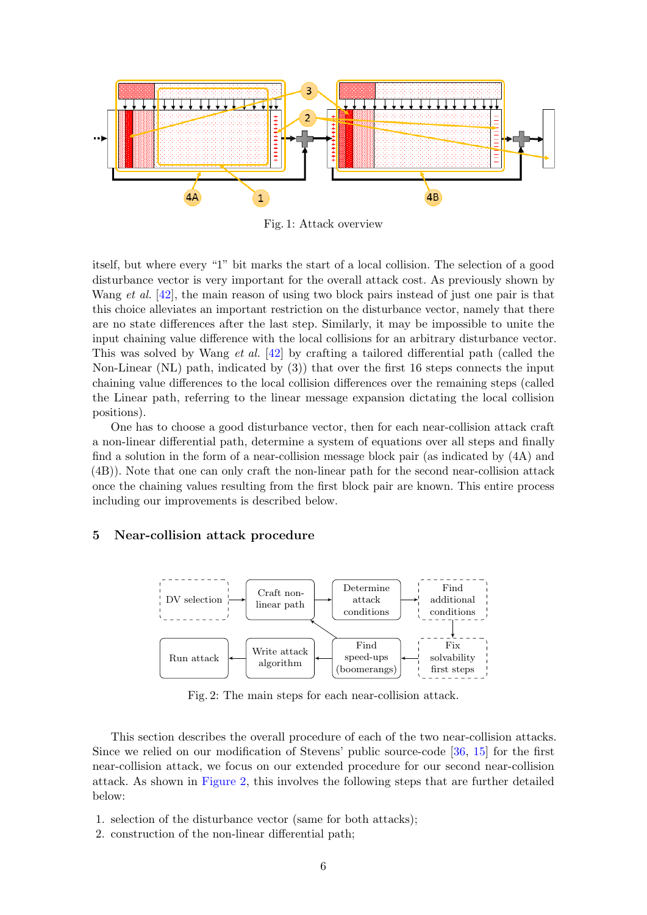<span id="page-5-1"></span>

Fig. 1: Attack overview

itself, but where every "1" bit marks the start of a local collision. The selection of a good disturbance vector is very important for the overall attack cost. As previously shown by Wang *et al.* [\[42\]](#page-17-5), the main reason of using two block pairs instead of just one pair is that this choice alleviates an important restriction on the disturbance vector, namely that there are no state differences after the last step. Similarly, it may be impossible to unite the input chaining value difference with the local collisions for an arbitrary disturbance vector. This was solved by Wang et al. [\[42\]](#page-17-5) by crafting a tailored differential path (called the Non-Linear (NL) path, indicated by (3)) that over the first 16 steps connects the input chaining value differences to the local collision differences over the remaining steps (called the Linear path, referring to the linear message expansion dictating the local collision positions).

One has to choose a good disturbance vector, then for each near-collision attack craft a non-linear differential path, determine a system of equations over all steps and finally find a solution in the form of a near-collision message block pair (as indicated by (4A) and (4B)). Note that one can only craft the non-linear path for the second near-collision attack once the chaining values resulting from the first block pair are known. This entire process including our improvements is described below.

# <span id="page-5-2"></span><span id="page-5-0"></span>5 Near-collision attack procedure



Fig. 2: The main steps for each near-collision attack.

This section describes the overall procedure of each of the two near-collision attacks. Since we relied on our modification of Stevens' public source-code [\[36,](#page-17-6) [15\]](#page-16-21) for the first near-collision attack, we focus on our extended procedure for our second near-collision attack. As shown in [Figure 2,](#page-5-2) this involves the following steps that are further detailed below:

- 1. selection of the disturbance vector (same for both attacks);
- 2. construction of the non-linear differential path;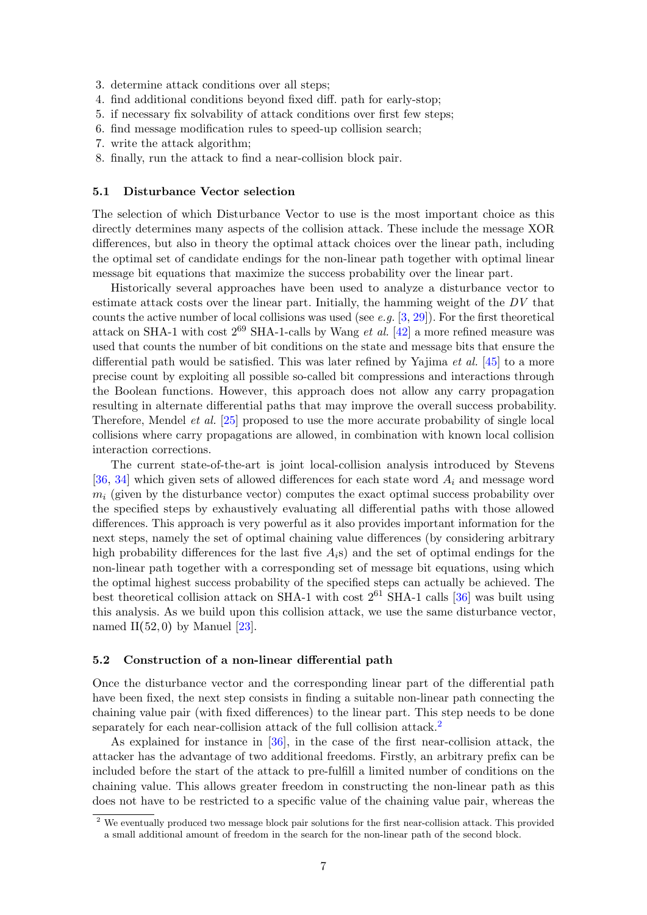- 3. determine attack conditions over all steps;
- 4. find additional conditions beyond fixed diff. path for early-stop;
- 5. if necessary fix solvability of attack conditions over first few steps;
- 6. find message modification rules to speed-up collision search;
- 7. write the attack algorithm;
- 8. finally, run the attack to find a near-collision block pair.

#### 5.1 Disturbance Vector selection

The selection of which Disturbance Vector to use is the most important choice as this directly determines many aspects of the collision attack. These include the message XOR differences, but also in theory the optimal attack choices over the linear path, including the optimal set of candidate endings for the non-linear path together with optimal linear message bit equations that maximize the success probability over the linear part.

Historically several approaches have been used to analyze a disturbance vector to estimate attack costs over the linear part. Initially, the hamming weight of the DV that counts the active number of local collisions was used (see e.g.  $[3, 29]$  $[3, 29]$  $[3, 29]$ ). For the first theoretical attack on SHA-1 with cost  $2^{69}$  SHA-1-calls by Wang *et al.* [\[42\]](#page-17-5) a more refined measure was used that counts the number of bit conditions on the state and message bits that ensure the differential path would be satisfied. This was later refined by Yajima *et al.* [\[45\]](#page-17-14) to a more precise count by exploiting all possible so-called bit compressions and interactions through the Boolean functions. However, this approach does not allow any carry propagation resulting in alternate differential paths that may improve the overall success probability. Therefore, Mendel et al. [\[25\]](#page-16-22) proposed to use the more accurate probability of single local collisions where carry propagations are allowed, in combination with known local collision interaction corrections.

The current state-of-the-art is joint local-collision analysis introduced by Stevens [\[36,](#page-17-6) [34\]](#page-17-15) which given sets of allowed differences for each state word  $A_i$  and message word  $m_i$  (given by the disturbance vector) computes the exact optimal success probability over the specified steps by exhaustively evaluating all differential paths with those allowed differences. This approach is very powerful as it also provides important information for the next steps, namely the set of optimal chaining value differences (by considering arbitrary high probability differences for the last five  $A_i$ s) and the set of optimal endings for the non-linear path together with a corresponding set of message bit equations, using which the optimal highest success probability of the specified steps can actually be achieved. The best theoretical collision attack on SHA-1 with cost  $2^{61}$  SHA-1 calls [\[36\]](#page-17-6) was built using this analysis. As we build upon this collision attack, we use the same disturbance vector, named  $II(52,0)$  by Manuel [\[23\]](#page-16-23).

#### 5.2 Construction of a non-linear differential path

Once the disturbance vector and the corresponding linear part of the differential path have been fixed, the next step consists in finding a suitable non-linear path connecting the chaining value pair (with fixed differences) to the linear part. This step needs to be done separately for each near-collision attack of the full collision attack.<sup>[2](#page-6-0)</sup>

As explained for instance in [\[36\]](#page-17-6), in the case of the first near-collision attack, the attacker has the advantage of two additional freedoms. Firstly, an arbitrary prefix can be included before the start of the attack to pre-fulfill a limited number of conditions on the chaining value. This allows greater freedom in constructing the non-linear path as this does not have to be restricted to a specific value of the chaining value pair, whereas the

<span id="page-6-0"></span><sup>&</sup>lt;sup>2</sup> We eventually produced two message block pair solutions for the first near-collision attack. This provided a small additional amount of freedom in the search for the non-linear path of the second block.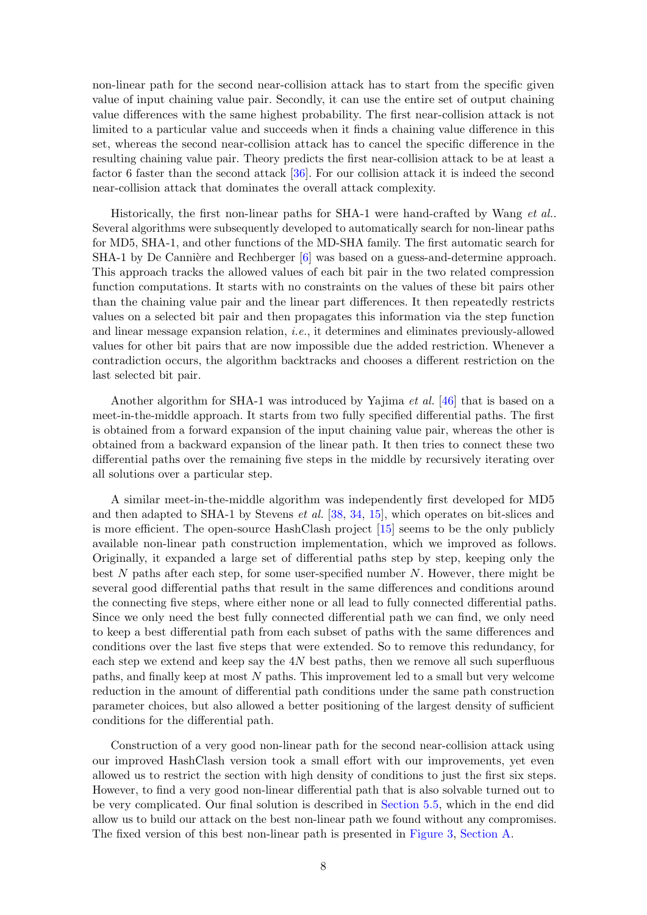non-linear path for the second near-collision attack has to start from the specific given value of input chaining value pair. Secondly, it can use the entire set of output chaining value differences with the same highest probability. The first near-collision attack is not limited to a particular value and succeeds when it finds a chaining value difference in this set, whereas the second near-collision attack has to cancel the specific difference in the resulting chaining value pair. Theory predicts the first near-collision attack to be at least a factor 6 faster than the second attack [\[36\]](#page-17-6). For our collision attack it is indeed the second near-collision attack that dominates the overall attack complexity.

Historically, the first non-linear paths for SHA-1 were hand-crafted by Wang et al.. Several algorithms were subsequently developed to automatically search for non-linear paths for MD5, SHA-1, and other functions of the MD-SHA family. The first automatic search for SHA-1 by De Cannière and Rechberger  $[6]$  was based on a guess-and-determine approach. This approach tracks the allowed values of each bit pair in the two related compression function computations. It starts with no constraints on the values of these bit pairs other than the chaining value pair and the linear part differences. It then repeatedly restricts values on a selected bit pair and then propagates this information via the step function and linear message expansion relation, i.e., it determines and eliminates previously-allowed values for other bit pairs that are now impossible due the added restriction. Whenever a contradiction occurs, the algorithm backtracks and chooses a different restriction on the last selected bit pair.

Another algorithm for SHA-1 was introduced by Yajima et al. [\[46\]](#page-17-16) that is based on a meet-in-the-middle approach. It starts from two fully specified differential paths. The first is obtained from a forward expansion of the input chaining value pair, whereas the other is obtained from a backward expansion of the linear path. It then tries to connect these two differential paths over the remaining five steps in the middle by recursively iterating over all solutions over a particular step.

A similar meet-in-the-middle algorithm was independently first developed for MD5 and then adapted to SHA-1 by Stevens et al. [\[38,](#page-17-3) [34,](#page-17-15) [15\]](#page-16-21), which operates on bit-slices and is more efficient. The open-source HashClash project [\[15\]](#page-16-21) seems to be the only publicly available non-linear path construction implementation, which we improved as follows. Originally, it expanded a large set of differential paths step by step, keeping only the best  $N$  paths after each step, for some user-specified number  $N$ . However, there might be several good differential paths that result in the same differences and conditions around the connecting five steps, where either none or all lead to fully connected differential paths. Since we only need the best fully connected differential path we can find, we only need to keep a best differential path from each subset of paths with the same differences and conditions over the last five steps that were extended. So to remove this redundancy, for each step we extend and keep say the  $4N$  best paths, then we remove all such superfluous paths, and finally keep at most N paths. This improvement led to a small but very welcome reduction in the amount of differential path conditions under the same path construction parameter choices, but also allowed a better positioning of the largest density of sufficient conditions for the differential path.

Construction of a very good non-linear path for the second near-collision attack using our improved HashClash version took a small effort with our improvements, yet even allowed us to restrict the section with high density of conditions to just the first six steps. However, to find a very good non-linear differential path that is also solvable turned out to be very complicated. Our final solution is described in [Section 5.5,](#page-9-0) which in the end did allow us to build our attack on the best non-linear path we found without any compromises. The fixed version of this best non-linear path is presented in [Figure 3,](#page-18-0) [Section A.](#page-17-12)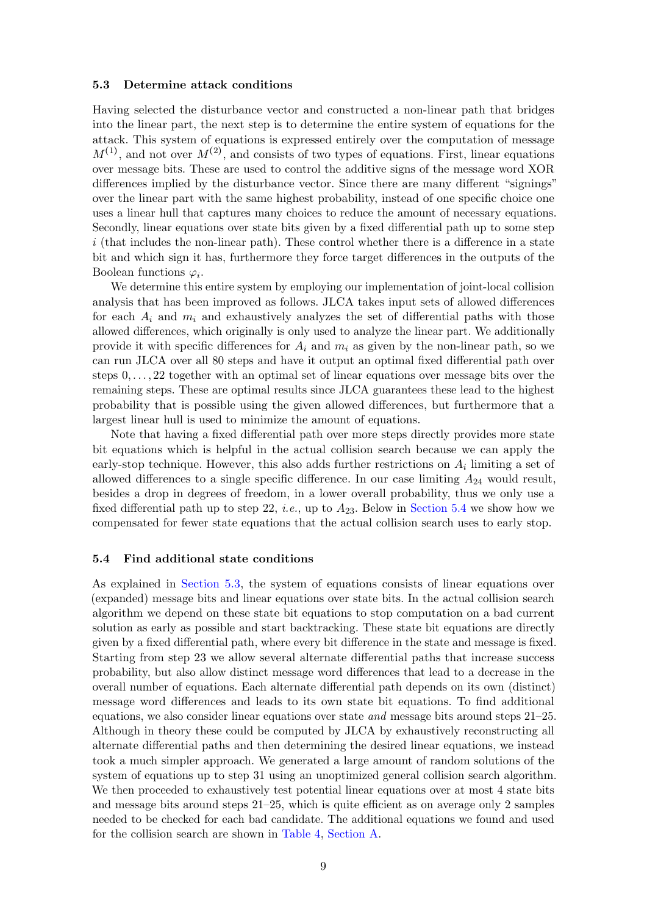#### <span id="page-8-1"></span>5.3 Determine attack conditions

Having selected the disturbance vector and constructed a non-linear path that bridges into the linear part, the next step is to determine the entire system of equations for the attack. This system of equations is expressed entirely over the computation of message  $M^{(1)}$ , and not over  $M^{(2)}$ , and consists of two types of equations. First, linear equations over message bits. These are used to control the additive signs of the message word XOR differences implied by the disturbance vector. Since there are many different "signings" over the linear part with the same highest probability, instead of one specific choice one uses a linear hull that captures many choices to reduce the amount of necessary equations. Secondly, linear equations over state bits given by a fixed differential path up to some step  $i$  (that includes the non-linear path). These control whether there is a difference in a state bit and which sign it has, furthermore they force target differences in the outputs of the Boolean functions  $\varphi_i$ .

We determine this entire system by employing our implementation of joint-local collision analysis that has been improved as follows. JLCA takes input sets of allowed differences for each  $A_i$  and  $m_i$  and exhaustively analyzes the set of differential paths with those allowed differences, which originally is only used to analyze the linear part. We additionally provide it with specific differences for  $A_i$  and  $m_i$  as given by the non-linear path, so we can run JLCA over all 80 steps and have it output an optimal fixed differential path over steps  $0, \ldots, 22$  together with an optimal set of linear equations over message bits over the remaining steps. These are optimal results since JLCA guarantees these lead to the highest probability that is possible using the given allowed differences, but furthermore that a largest linear hull is used to minimize the amount of equations.

Note that having a fixed differential path over more steps directly provides more state bit equations which is helpful in the actual collision search because we can apply the early-stop technique. However, this also adds further restrictions on  $A_i$  limiting a set of allowed differences to a single specific difference. In our case limiting  $A_{24}$  would result, besides a drop in degrees of freedom, in a lower overall probability, thus we only use a fixed differential path up to step 22, *i.e.*, up to  $A_{23}$ . Below in [Section 5.4](#page-8-0) we show how we compensated for fewer state equations that the actual collision search uses to early stop.

#### <span id="page-8-0"></span>5.4 Find additional state conditions

As explained in [Section 5.3,](#page-8-1) the system of equations consists of linear equations over (expanded) message bits and linear equations over state bits. In the actual collision search algorithm we depend on these state bit equations to stop computation on a bad current solution as early as possible and start backtracking. These state bit equations are directly given by a fixed differential path, where every bit difference in the state and message is fixed. Starting from step 23 we allow several alternate differential paths that increase success probability, but also allow distinct message word differences that lead to a decrease in the overall number of equations. Each alternate differential path depends on its own (distinct) message word differences and leads to its own state bit equations. To find additional equations, we also consider linear equations over state and message bits around steps 21–25. Although in theory these could be computed by JLCA by exhaustively reconstructing all alternate differential paths and then determining the desired linear equations, we instead took a much simpler approach. We generated a large amount of random solutions of the system of equations up to step 31 using an unoptimized general collision search algorithm. We then proceeded to exhaustively test potential linear equations over at most 4 state bits and message bits around steps  $21-25$ , which is quite efficient as on average only 2 samples needed to be checked for each bad candidate. The additional equations we found and used for the collision search are shown in [Table 4,](#page-19-0) [Section A.](#page-17-12)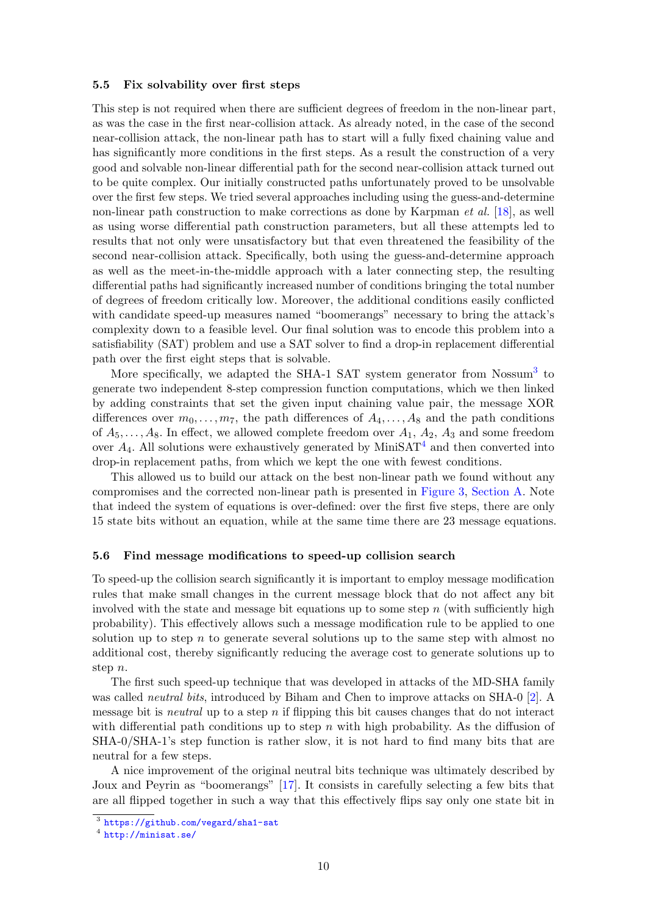#### <span id="page-9-0"></span>5.5 Fix solvability over first steps

This step is not required when there are sufficient degrees of freedom in the non-linear part, as was the case in the first near-collision attack. As already noted, in the case of the second near-collision attack, the non-linear path has to start will a fully fixed chaining value and has significantly more conditions in the first steps. As a result the construction of a very good and solvable non-linear differential path for the second near-collision attack turned out to be quite complex. Our initially constructed paths unfortunately proved to be unsolvable over the first few steps. We tried several approaches including using the guess-and-determine non-linear path construction to make corrections as done by Karpman *et al.* [\[18\]](#page-16-13), as well as using worse differential path construction parameters, but all these attempts led to results that not only were unsatisfactory but that even threatened the feasibility of the second near-collision attack. Specifically, both using the guess-and-determine approach as well as the meet-in-the-middle approach with a later connecting step, the resulting differential paths had significantly increased number of conditions bringing the total number of degrees of freedom critically low. Moreover, the additional conditions easily conflicted with candidate speed-up measures named "boomerangs" necessary to bring the attack's complexity down to a feasible level. Our final solution was to encode this problem into a satisfiability (SAT) problem and use a SAT solver to find a drop-in replacement differential path over the first eight steps that is solvable.

More specifically, we adapted the SHA-1 SAT system generator from Nossum<sup>[3](#page-9-1)</sup> to generate two independent 8-step compression function computations, which we then linked by adding constraints that set the given input chaining value pair, the message XOR differences over  $m_0, \ldots, m_7$ , the path differences of  $A_4, \ldots, A_8$  and the path conditions of  $A_5, \ldots, A_8$ . In effect, we allowed complete freedom over  $A_1, A_2, A_3$  and some freedom over  $A_4$  $A_4$ . All solutions were exhaustively generated by MiniSAT<sup>4</sup> and then converted into drop-in replacement paths, from which we kept the one with fewest conditions.

This allowed us to build our attack on the best non-linear path we found without any compromises and the corrected non-linear path is presented in [Figure 3,](#page-18-0) [Section A.](#page-17-12) Note that indeed the system of equations is over-defined: over the first five steps, there are only 15 state bits without an equation, while at the same time there are 23 message equations.

### 5.6 Find message modifications to speed-up collision search

To speed-up the collision search significantly it is important to employ message modification rules that make small changes in the current message block that do not affect any bit involved with the state and message bit equations up to some step  $n$  (with sufficiently high probability). This effectively allows such a message modification rule to be applied to one solution up to step  $n$  to generate several solutions up to the same step with almost no additional cost, thereby significantly reducing the average cost to generate solutions up to step n.

The first such speed-up technique that was developed in attacks of the MD-SHA family was called *neutral bits*, introduced by Biham and Chen to improve attacks on SHA-0 [\[2\]](#page-16-6). A message bit is *neutral* up to a step  $n$  if flipping this bit causes changes that do not interact with differential path conditions up to step n with high probability. As the diffusion of SHA-0/SHA-1's step function is rather slow, it is not hard to find many bits that are neutral for a few steps.

A nice improvement of the original neutral bits technique was ultimately described by Joux and Peyrin as "boomerangs" [\[17\]](#page-16-24). It consists in carefully selecting a few bits that are all flipped together in such a way that this effectively flips say only one state bit in

<span id="page-9-1"></span><sup>3</sup> <https://github.com/vegard/sha1-sat>

<span id="page-9-2"></span> $^4$  <http://minisat.se/>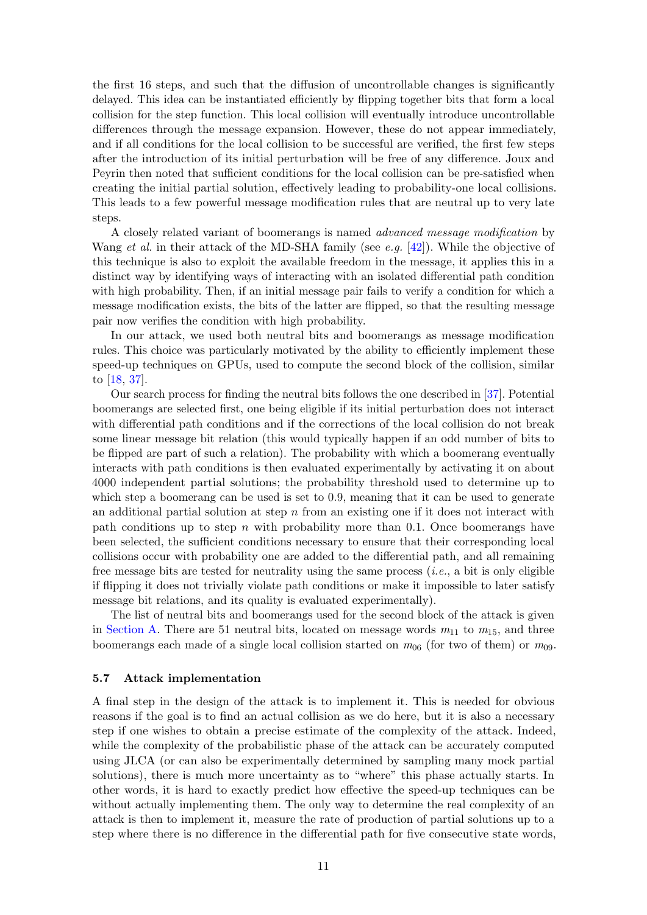the first 16 steps, and such that the diffusion of uncontrollable changes is significantly delayed. This idea can be instantiated efficiently by flipping together bits that form a local collision for the step function. This local collision will eventually introduce uncontrollable differences through the message expansion. However, these do not appear immediately, and if all conditions for the local collision to be successful are verified, the first few steps after the introduction of its initial perturbation will be free of any difference. Joux and Peyrin then noted that sufficient conditions for the local collision can be pre-satisfied when creating the initial partial solution, effectively leading to probability-one local collisions. This leads to a few powerful message modification rules that are neutral up to very late steps.

A closely related variant of boomerangs is named advanced message modification by Wang *et al.* in their attack of the MD-SHA family (see *e.g.*  $[42]$ ). While the objective of this technique is also to exploit the available freedom in the message, it applies this in a distinct way by identifying ways of interacting with an isolated differential path condition with high probability. Then, if an initial message pair fails to verify a condition for which a message modification exists, the bits of the latter are flipped, so that the resulting message pair now verifies the condition with high probability.

In our attack, we used both neutral bits and boomerangs as message modification rules. This choice was particularly motivated by the ability to efficiently implement these speed-up techniques on GPUs, used to compute the second block of the collision, similar to [\[18,](#page-16-13) [37\]](#page-17-8).

Our search process for finding the neutral bits follows the one described in [\[37\]](#page-17-8). Potential boomerangs are selected first, one being eligible if its initial perturbation does not interact with differential path conditions and if the corrections of the local collision do not break some linear message bit relation (this would typically happen if an odd number of bits to be flipped are part of such a relation). The probability with which a boomerang eventually interacts with path conditions is then evaluated experimentally by activating it on about 4000 independent partial solutions; the probability threshold used to determine up to which step a boomerang can be used is set to 0.9, meaning that it can be used to generate an additional partial solution at step  $n$  from an existing one if it does not interact with path conditions up to step n with probability more than 0.1. Once boomerangs have been selected, the sufficient conditions necessary to ensure that their corresponding local collisions occur with probability one are added to the differential path, and all remaining free message bits are tested for neutrality using the same process  $(i.e., a bit is only eligible$ if flipping it does not trivially violate path conditions or make it impossible to later satisfy message bit relations, and its quality is evaluated experimentally).

The list of neutral bits and boomerangs used for the second block of the attack is given in [Section A.](#page-17-12) There are 51 neutral bits, located on message words  $m_{11}$  to  $m_{15}$ , and three boomerangs each made of a single local collision started on  $m_{06}$  (for two of them) or  $m_{09}$ .

#### <span id="page-10-0"></span>5.7 Attack implementation

A final step in the design of the attack is to implement it. This is needed for obvious reasons if the goal is to find an actual collision as we do here, but it is also a necessary step if one wishes to obtain a precise estimate of the complexity of the attack. Indeed, while the complexity of the probabilistic phase of the attack can be accurately computed using JLCA (or can also be experimentally determined by sampling many mock partial solutions), there is much more uncertainty as to "where" this phase actually starts. In other words, it is hard to exactly predict how effective the speed-up techniques can be without actually implementing them. The only way to determine the real complexity of an attack is then to implement it, measure the rate of production of partial solutions up to a step where there is no difference in the differential path for five consecutive state words,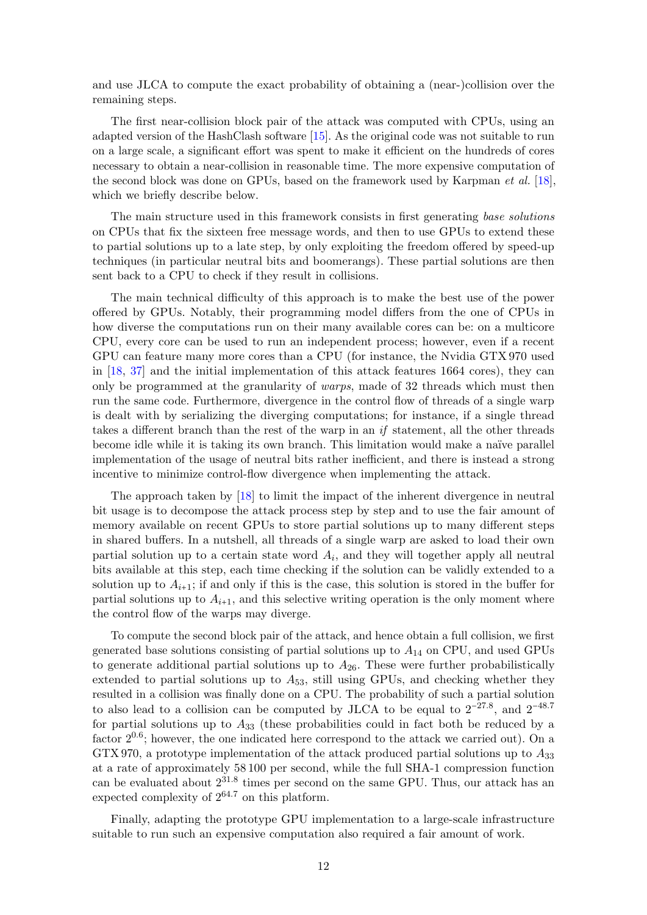and use JLCA to compute the exact probability of obtaining a (near-)collision over the remaining steps.

The first near-collision block pair of the attack was computed with CPUs, using an adapted version of the HashClash software [\[15\]](#page-16-21). As the original code was not suitable to run on a large scale, a significant effort was spent to make it efficient on the hundreds of cores necessary to obtain a near-collision in reasonable time. The more expensive computation of the second block was done on GPUs, based on the framework used by Karpman et al. [\[18\]](#page-16-13), which we briefly describe below.

The main structure used in this framework consists in first generating base solutions on CPUs that fix the sixteen free message words, and then to use GPUs to extend these to partial solutions up to a late step, by only exploiting the freedom offered by speed-up techniques (in particular neutral bits and boomerangs). These partial solutions are then sent back to a CPU to check if they result in collisions.

The main technical difficulty of this approach is to make the best use of the power offered by GPUs. Notably, their programming model differs from the one of CPUs in how diverse the computations run on their many available cores can be: on a multicore CPU, every core can be used to run an independent process; however, even if a recent GPU can feature many more cores than a CPU (for instance, the Nvidia GTX 970 used in [\[18,](#page-16-13) [37\]](#page-17-8) and the initial implementation of this attack features 1664 cores), they can only be programmed at the granularity of warps, made of 32 threads which must then run the same code. Furthermore, divergence in the control flow of threads of a single warp is dealt with by serializing the diverging computations; for instance, if a single thread takes a different branch than the rest of the warp in an if statement, all the other threads become idle while it is taking its own branch. This limitation would make a naïve parallel implementation of the usage of neutral bits rather inefficient, and there is instead a strong incentive to minimize control-flow divergence when implementing the attack.

The approach taken by [\[18\]](#page-16-13) to limit the impact of the inherent divergence in neutral bit usage is to decompose the attack process step by step and to use the fair amount of memory available on recent GPUs to store partial solutions up to many different steps in shared buffers. In a nutshell, all threads of a single warp are asked to load their own partial solution up to a certain state word  $A_i$ , and they will together apply all neutral bits available at this step, each time checking if the solution can be validly extended to a solution up to  $A_{i+1}$ ; if and only if this is the case, this solution is stored in the buffer for partial solutions up to  $A_{i+1}$ , and this selective writing operation is the only moment where the control flow of the warps may diverge.

To compute the second block pair of the attack, and hence obtain a full collision, we first generated base solutions consisting of partial solutions up to  $A_{14}$  on CPU, and used GPUs to generate additional partial solutions up to  $A_{26}$ . These were further probabilistically extended to partial solutions up to  $A_{53}$ , still using GPUs, and checking whether they resulted in a collision was finally done on a CPU. The probability of such a partial solution to also lead to a collision can be computed by JLCA to be equal to  $2^{-27.8}$ , and  $2^{-48.7}$ for partial solutions up to  $A_{33}$  (these probabilities could in fact both be reduced by a factor  $2^{0.6}$ ; however, the one indicated here correspond to the attack we carried out). On a GTX 970, a prototype implementation of the attack produced partial solutions up to  $A_{33}$ at a rate of approximately 58 100 per second, while the full SHA-1 compression function can be evaluated about  $2^{31.8}$  times per second on the same GPU. Thus, our attack has an expected complexity of  $2^{64.7}$  on this platform.

Finally, adapting the prototype GPU implementation to a large-scale infrastructure suitable to run such an expensive computation also required a fair amount of work.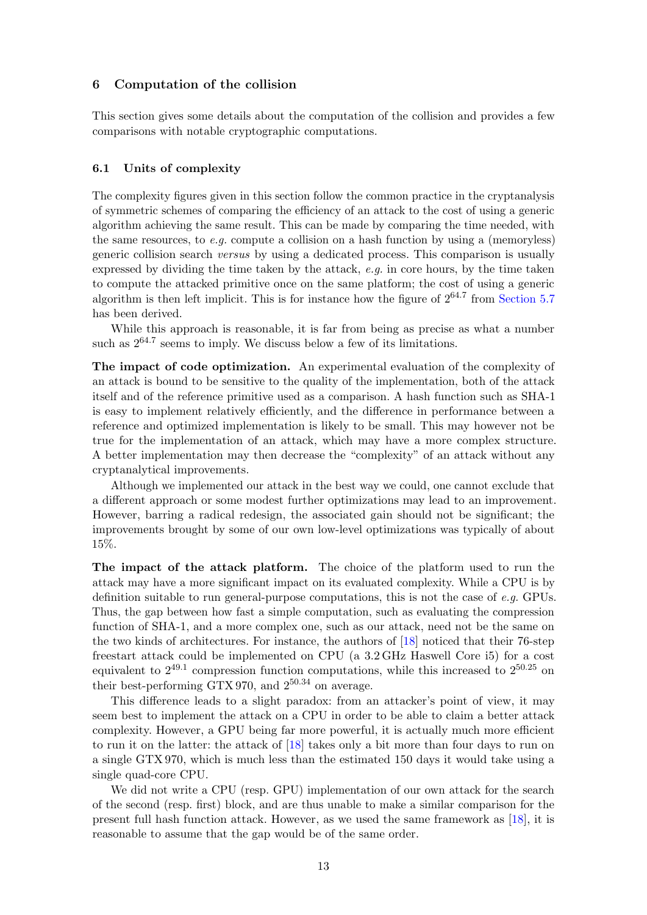# <span id="page-12-0"></span>6 Computation of the collision

This section gives some details about the computation of the collision and provides a few comparisons with notable cryptographic computations.

### 6.1 Units of complexity

The complexity figures given in this section follow the common practice in the cryptanalysis of symmetric schemes of comparing the efficiency of an attack to the cost of using a generic algorithm achieving the same result. This can be made by comparing the time needed, with the same resources, to e.g. compute a collision on a hash function by using a (memoryless) generic collision search versus by using a dedicated process. This comparison is usually expressed by dividing the time taken by the attack, e.g. in core hours, by the time taken to compute the attacked primitive once on the same platform; the cost of using a generic algorithm is then left implicit. This is for instance how the figure of  $2^{64.7}$  from [Section 5.7](#page-10-0) has been derived.

While this approach is reasonable, it is far from being as precise as what a number such as  $2^{64.7}$  seems to imply. We discuss below a few of its limitations.

The impact of code optimization. An experimental evaluation of the complexity of an attack is bound to be sensitive to the quality of the implementation, both of the attack itself and of the reference primitive used as a comparison. A hash function such as SHA-1 is easy to implement relatively efficiently, and the difference in performance between a reference and optimized implementation is likely to be small. This may however not be true for the implementation of an attack, which may have a more complex structure. A better implementation may then decrease the "complexity" of an attack without any cryptanalytical improvements.

Although we implemented our attack in the best way we could, one cannot exclude that a different approach or some modest further optimizations may lead to an improvement. However, barring a radical redesign, the associated gain should not be significant; the improvements brought by some of our own low-level optimizations was typically of about 15%.

The impact of the attack platform. The choice of the platform used to run the attack may have a more significant impact on its evaluated complexity. While a CPU is by definition suitable to run general-purpose computations, this is not the case of e.g. GPUs. Thus, the gap between how fast a simple computation, such as evaluating the compression function of SHA-1, and a more complex one, such as our attack, need not be the same on the two kinds of architectures. For instance, the authors of [\[18\]](#page-16-13) noticed that their 76-step freestart attack could be implemented on CPU (a 3.2 GHz Haswell Core i5) for a cost equivalent to  $2^{49.1}$  compression function computations, while this increased to  $2^{50.25}$  on their best-performing GTX 970, and  $2^{50.34}$  on average.

This difference leads to a slight paradox: from an attacker's point of view, it may seem best to implement the attack on a CPU in order to be able to claim a better attack complexity. However, a GPU being far more powerful, it is actually much more efficient to run it on the latter: the attack of [\[18\]](#page-16-13) takes only a bit more than four days to run on a single GTX 970, which is much less than the estimated 150 days it would take using a single quad-core CPU.

We did not write a CPU (resp. GPU) implementation of our own attack for the search of the second (resp. first) block, and are thus unable to make a similar comparison for the present full hash function attack. However, as we used the same framework as [\[18\]](#page-16-13), it is reasonable to assume that the gap would be of the same order.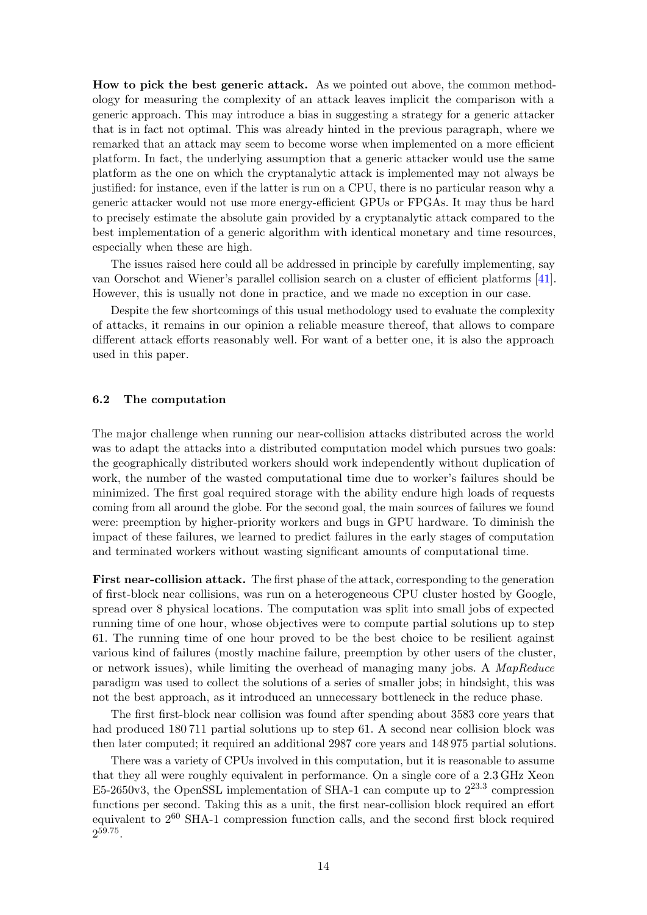How to pick the best generic attack. As we pointed out above, the common methodology for measuring the complexity of an attack leaves implicit the comparison with a generic approach. This may introduce a bias in suggesting a strategy for a generic attacker that is in fact not optimal. This was already hinted in the previous paragraph, where we remarked that an attack may seem to become worse when implemented on a more efficient platform. In fact, the underlying assumption that a generic attacker would use the same platform as the one on which the cryptanalytic attack is implemented may not always be justified: for instance, even if the latter is run on a CPU, there is no particular reason why a generic attacker would not use more energy-efficient GPUs or FPGAs. It may thus be hard to precisely estimate the absolute gain provided by a cryptanalytic attack compared to the best implementation of a generic algorithm with identical monetary and time resources, especially when these are high.

The issues raised here could all be addressed in principle by carefully implementing, say van Oorschot and Wiener's parallel collision search on a cluster of efficient platforms [\[41\]](#page-17-17). However, this is usually not done in practice, and we made no exception in our case.

Despite the few shortcomings of this usual methodology used to evaluate the complexity of attacks, it remains in our opinion a reliable measure thereof, that allows to compare different attack efforts reasonably well. For want of a better one, it is also the approach used in this paper.

#### 6.2 The computation

The major challenge when running our near-collision attacks distributed across the world was to adapt the attacks into a distributed computation model which pursues two goals: the geographically distributed workers should work independently without duplication of work, the number of the wasted computational time due to worker's failures should be minimized. The first goal required storage with the ability endure high loads of requests coming from all around the globe. For the second goal, the main sources of failures we found were: preemption by higher-priority workers and bugs in GPU hardware. To diminish the impact of these failures, we learned to predict failures in the early stages of computation and terminated workers without wasting significant amounts of computational time.

First near-collision attack. The first phase of the attack, corresponding to the generation of first-block near collisions, was run on a heterogeneous CPU cluster hosted by Google, spread over 8 physical locations. The computation was split into small jobs of expected running time of one hour, whose objectives were to compute partial solutions up to step 61. The running time of one hour proved to be the best choice to be resilient against various kind of failures (mostly machine failure, preemption by other users of the cluster, or network issues), while limiting the overhead of managing many jobs. A MapReduce paradigm was used to collect the solutions of a series of smaller jobs; in hindsight, this was not the best approach, as it introduced an unnecessary bottleneck in the reduce phase.

The first first-block near collision was found after spending about 3583 core years that had produced 180 711 partial solutions up to step 61. A second near collision block was then later computed; it required an additional 2987 core years and 148 975 partial solutions.

There was a variety of CPUs involved in this computation, but it is reasonable to assume that they all were roughly equivalent in performance. On a single core of a 2.3 GHz Xeon E5-2650v3, the OpenSSL implementation of SHA-1 can compute up to  $2^{23.3}$  compression functions per second. Taking this as a unit, the first near-collision block required an effort equivalent to  $2^{60}$  SHA-1 compression function calls, and the second first block required  $2^{59.75}$ .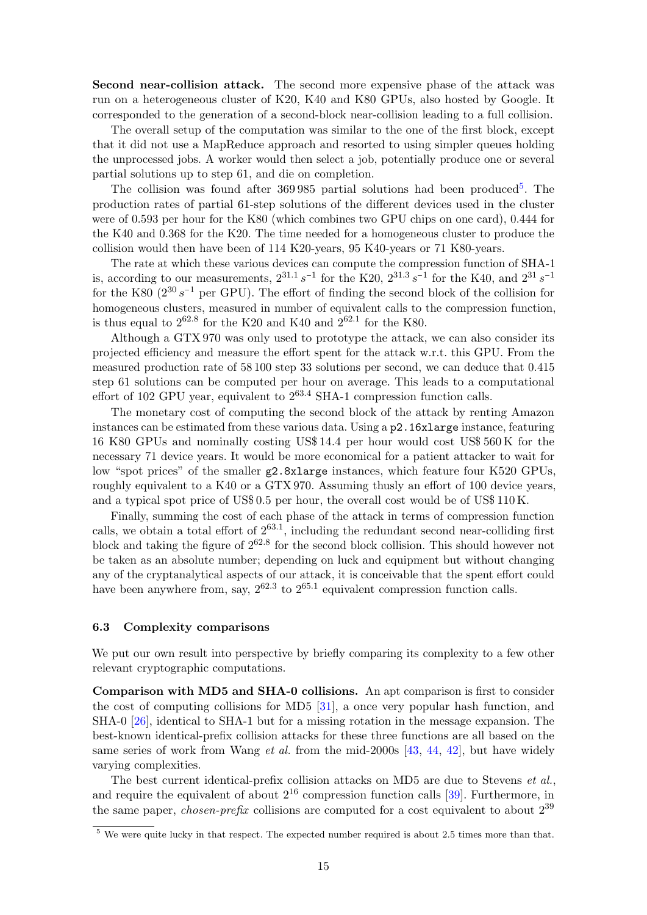Second near-collision attack. The second more expensive phase of the attack was run on a heterogeneous cluster of K20, K40 and K80 GPUs, also hosted by Google. It corresponded to the generation of a second-block near-collision leading to a full collision.

The overall setup of the computation was similar to the one of the first block, except that it did not use a MapReduce approach and resorted to using simpler queues holding the unprocessed jobs. A worker would then select a job, potentially produce one or several partial solutions up to step 61, and die on completion.

The collision was found after  $369985$  $369985$  partial solutions had been produced<sup>5</sup>. The production rates of partial 61-step solutions of the different devices used in the cluster were of 0.593 per hour for the K80 (which combines two GPU chips on one card), 0.444 for the K40 and 0.368 for the K20. The time needed for a homogeneous cluster to produce the collision would then have been of 114 K20-years, 95 K40-years or 71 K80-years.

The rate at which these various devices can compute the compression function of SHA-1 is, according to our measurements,  $2^{31.1} s^{-1}$  for the K20,  $2^{31.3} s^{-1}$  for the K40, and  $2^{31} s^{-1}$ for the K80  $(2^{30} s^{-1}$  per GPU). The effort of finding the second block of the collision for homogeneous clusters, measured in number of equivalent calls to the compression function, is thus equal to  $2^{62.8}$  for the K20 and K40 and  $2^{62.1}$  for the K80.

Although a GTX 970 was only used to prototype the attack, we can also consider its projected efficiency and measure the effort spent for the attack w.r.t. this GPU. From the measured production rate of 58 100 step 33 solutions per second, we can deduce that 0.415 step 61 solutions can be computed per hour on average. This leads to a computational effort of 102 GPU year, equivalent to  $2^{63.4}$  SHA-1 compression function calls.

The monetary cost of computing the second block of the attack by renting Amazon instances can be estimated from these various data. Using a p2.16xlarge instance, featuring 16 K80 GPUs and nominally costing US\$ 14.4 per hour would cost US\$ 560 K for the necessary 71 device years. It would be more economical for a patient attacker to wait for low "spot prices" of the smaller g2.8xlarge instances, which feature four K520 GPUs, roughly equivalent to a K40 or a GTX 970. Assuming thusly an effort of 100 device years, and a typical spot price of US\$ 0.5 per hour, the overall cost would be of US\$ 110 K.

Finally, summing the cost of each phase of the attack in terms of compression function calls, we obtain a total effort of  $2^{63.1}$ , including the redundant second near-colliding first block and taking the figure of  $2^{62.8}$  for the second block collision. This should however not be taken as an absolute number; depending on luck and equipment but without changing any of the cryptanalytical aspects of our attack, it is conceivable that the spent effort could have been anywhere from, say,  $2^{62.3}$  to  $2^{65.1}$  equivalent compression function calls.

#### 6.3 Complexity comparisons

We put our own result into perspective by briefly comparing its complexity to a few other relevant cryptographic computations.

Comparison with MD5 and SHA-0 collisions. An apt comparison is first to consider the cost of computing collisions for MD5 [\[31\]](#page-17-1), a once very popular hash function, and SHA-0 [\[26\]](#page-16-8), identical to SHA-1 but for a missing rotation in the message expansion. The best-known identical-prefix collision attacks for these three functions are all based on the same series of work from Wang *et al.* from the mid-2000s [\[43,](#page-17-2) [44,](#page-17-18) [42\]](#page-17-5), but have widely varying complexities.

The best current identical-prefix collision attacks on MD5 are due to Stevens et al., and require the equivalent of about  $2^{16}$  compression function calls [\[39\]](#page-17-4). Furthermore, in the same paper, *chosen-prefix* collisions are computed for a cost equivalent to about  $2^{39}$ 

<span id="page-14-0"></span> $5$  We were quite lucky in that respect. The expected number required is about 2.5 times more than that.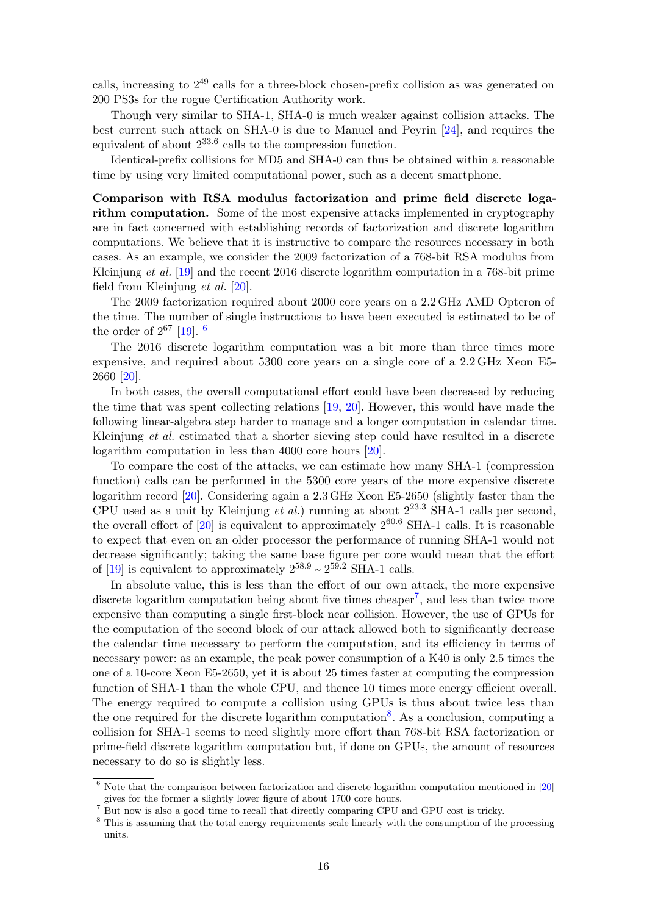calls, increasing to  $2^{49}$  calls for a three-block chosen-prefix collision as was generated on 200 PS3s for the rogue Certification Authority work.

Though very similar to SHA-1, SHA-0 is much weaker against collision attacks. The best current such attack on SHA-0 is due to Manuel and Peyrin [\[24\]](#page-16-25), and requires the equivalent of about  $2^{33.6}$  calls to the compression function.

Identical-prefix collisions for MD5 and SHA-0 can thus be obtained within a reasonable time by using very limited computational power, such as a decent smartphone.

Comparison with RSA modulus factorization and prime field discrete logarithm computation. Some of the most expensive attacks implemented in cryptography are in fact concerned with establishing records of factorization and discrete logarithm computations. We believe that it is instructive to compare the resources necessary in both cases. As an example, we consider the 2009 factorization of a 768-bit RSA modulus from Kleinjung et al. [\[19\]](#page-16-26) and the recent 2016 discrete logarithm computation in a 768-bit prime field from Kleinjung et al. [\[20\]](#page-16-27).

The 2009 factorization required about 2000 core years on a 2.2 GHz AMD Opteron of the time. The number of single instructions to have been executed is estimated to be of the order of  $2^{67}$  $2^{67}$  $2^{67}$  [\[19\]](#page-16-26). <sup>6</sup>

The 2016 discrete logarithm computation was a bit more than three times more expensive, and required about 5300 core years on a single core of a 2.2 GHz Xeon E5- 2660 [\[20\]](#page-16-27).

In both cases, the overall computational effort could have been decreased by reducing the time that was spent collecting relations [\[19,](#page-16-26) [20\]](#page-16-27). However, this would have made the following linear-algebra step harder to manage and a longer computation in calendar time. Kleinjung et al. estimated that a shorter sieving step could have resulted in a discrete logarithm computation in less than 4000 core hours [\[20\]](#page-16-27).

To compare the cost of the attacks, we can estimate how many SHA-1 (compression function) calls can be performed in the 5300 core years of the more expensive discrete logarithm record [\[20\]](#page-16-27). Considering again a 2.3 GHz Xeon E5-2650 (slightly faster than the CPU used as a unit by Kleinjung et al.) running at about  $2^{23.3}$  SHA-1 calls per second, the overall effort of  $[20]$  is equivalent to approximately  $2^{60.6}$  SHA-1 calls. It is reasonable to expect that even on an older processor the performance of running SHA-1 would not decrease significantly; taking the same base figure per core would mean that the effort of [\[19\]](#page-16-26) is equivalent to approximately  $2^{58.9} \sim 2^{59.2}$  SHA-1 calls.

In absolute value, this is less than the effort of our own attack, the more expensive discrete logarithm computation being about five times cheaper<sup>[7](#page-15-1)</sup>, and less than twice more expensive than computing a single first-block near collision. However, the use of GPUs for the computation of the second block of our attack allowed both to significantly decrease the calendar time necessary to perform the computation, and its efficiency in terms of necessary power: as an example, the peak power consumption of a K40 is only 2.5 times the one of a 10-core Xeon E5-2650, yet it is about 25 times faster at computing the compression function of SHA-1 than the whole CPU, and thence 10 times more energy efficient overall. The energy required to compute a collision using GPUs is thus about twice less than the one required for the discrete logarithm computation<sup>[8](#page-15-2)</sup>. As a conclusion, computing a collision for SHA-1 seems to need slightly more effort than 768-bit RSA factorization or prime-field discrete logarithm computation but, if done on GPUs, the amount of resources necessary to do so is slightly less.

<span id="page-15-0"></span> $6$  Note that the comparison between factorization and discrete logarithm computation mentioned in [\[20\]](#page-16-27) gives for the former a slightly lower figure of about 1700 core hours.

<span id="page-15-1"></span><sup>&</sup>lt;sup>7</sup> But now is also a good time to recall that directly comparing CPU and GPU cost is tricky.

<span id="page-15-2"></span><sup>&</sup>lt;sup>8</sup> This is assuming that the total energy requirements scale linearly with the consumption of the processing units.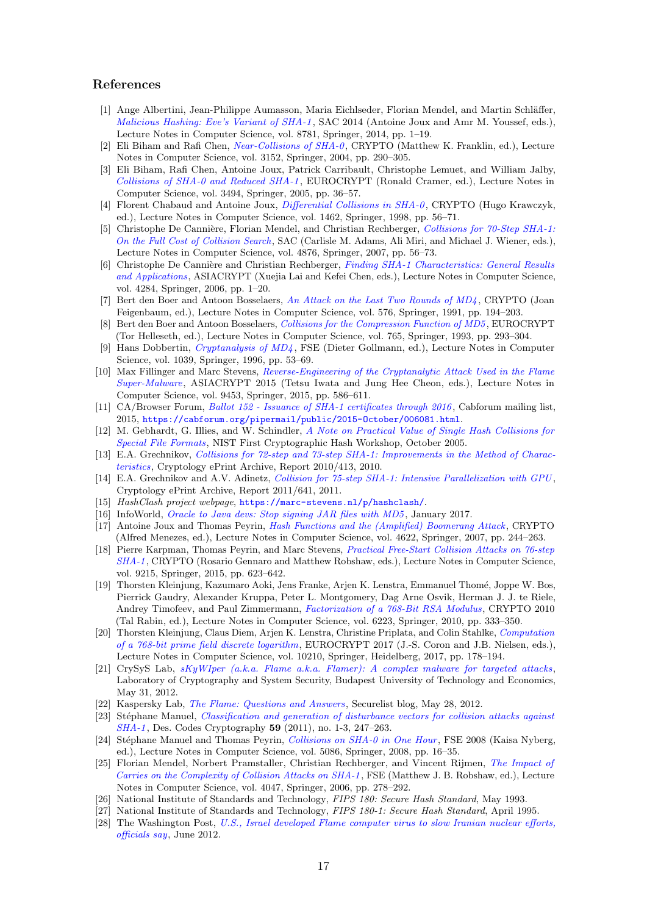### References

- <span id="page-16-20"></span>[1] Ange Albertini, Jean-Philippe Aumasson, Maria Eichlseder, Florian Mendel, and Martin Schläffer, [Malicious Hashing: Eve's Variant of SHA-1](http://dx.doi.org/10.1007/978-3-319-13051-4_1) , SAC 2014 (Antoine Joux and Amr M. Youssef, eds.), Lecture Notes in Computer Science, vol. 8781, Springer, 2014, pp. 1–19.
- <span id="page-16-6"></span>[2] Eli Biham and Rafi Chen, [Near-Collisions of SHA-0](http://dx.doi.org/10.1007/978-3-540-28628-8_18), CRYPTO (Matthew K. Franklin, ed.), Lecture Notes in Computer Science, vol. 3152, Springer, 2004, pp. 290–305.
- <span id="page-16-7"></span>[3] Eli Biham, Rafi Chen, Antoine Joux, Patrick Carribault, Christophe Lemuet, and William Jalby, [Collisions of SHA-0 and Reduced SHA-1](http://dx.doi.org/10.1007/11426639_3), EUROCRYPT (Ronald Cramer, ed.), Lecture Notes in Computer Science, vol. 3494, Springer, 2005, pp. 36–57.
- <span id="page-16-5"></span>[4] Florent Chabaud and Antoine Joux, *[Differential Collisions in SHA-0](http://dx.doi.org/10.1007/BFb0055720)*, CRYPTO (Hugo Krawczyk, ed.), Lecture Notes in Computer Science, vol. 1462, Springer, 1998, pp. 56–71.
- <span id="page-16-10"></span>[5] Christophe De Cannière, Florian Mendel, and Christian Rechberger, *[Collisions for 70-Step SHA-1:](http://dx.doi.org/10.1007/978-3-540-77360-3_4)* [On the Full Cost of Collision Search](http://dx.doi.org/10.1007/978-3-540-77360-3_4), SAC (Carlisle M. Adams, Ali Miri, and Michael J. Wiener, eds.), Lecture Notes in Computer Science, vol. 4876, Springer, 2007, pp. 56–73.
- <span id="page-16-9"></span>[6] Christophe De Cannière and Christian Rechberger, [Finding SHA-1 Characteristics: General Results](http://dx.doi.org/10.1007/11935230_1) [and Applications](http://dx.doi.org/10.1007/11935230_1), ASIACRYPT (Xuejia Lai and Kefei Chen, eds.), Lecture Notes in Computer Science, vol. 4284, Springer, 2006, pp. 1–20.
- <span id="page-16-0"></span>[7] Bert den Boer and Antoon Bosselaers, [An Attack on the Last Two Rounds of MD4](http://dx.doi.org/10.1007/3-540-46766-1_14) , CRYPTO (Joan Feigenbaum, ed.), Lecture Notes in Computer Science, vol. 576, Springer, 1991, pp. 194–203.
- <span id="page-16-2"></span>[8] Bert den Boer and Antoon Bosselaers, [Collisions for the Compression Function of MD5](http://dx.doi.org/10.1007/3-540-48285-7_26) , EUROCRYPT (Tor Helleseth, ed.), Lecture Notes in Computer Science, vol. 765, Springer, 1993, pp. 293–304.
- <span id="page-16-1"></span>Hans Dobbertin, [Cryptanalysis of MD4](http://dx.doi.org/10.1007/3-540-60865-6_43), FSE (Dieter Gollmann, ed.), Lecture Notes in Computer Science, vol. 1039, Springer, 1996, pp. 53–69.
- <span id="page-16-18"></span>[10] Max Fillinger and Marc Stevens, [Reverse-Engineering of the Cryptanalytic Attack Used in the Flame](http://dx.doi.org/10.1007/978-3-662-48800-3_24) [Super-Malware](http://dx.doi.org/10.1007/978-3-662-48800-3_24), ASIACRYPT 2015 (Tetsu Iwata and Jung Hee Cheon, eds.), Lecture Notes in Computer Science, vol. 9453, Springer, 2015, pp. 586–611.
- <span id="page-16-14"></span>[11] CA/Browser Forum, [Ballot 152 - Issuance of SHA-1 certificates through 2016](https://cabforum.org/pipermail/public/2015-October/006081.html) , Cabforum mailing list, 2015, <https://cabforum.org/pipermail/public/2015-October/006081.html>.
- <span id="page-16-19"></span>[12] M. Gebhardt, G. Illies, and W. Schindler, [A Note on Practical Value of Single Hash Collisions for](http://csrc.nist.gov/groups/ST/hash/documents/Illies_NIST_05.pdf) [Special File Formats](http://csrc.nist.gov/groups/ST/hash/documents/Illies_NIST_05.pdf), NIST First Cryptographic Hash Workshop, October 2005.
- <span id="page-16-11"></span>[13] E.A. Grechnikov, [Collisions for 72-step and 73-step SHA-1: Improvements in the Method of Charac](http://eprint.iacr.org/2010/413)[teristics](http://eprint.iacr.org/2010/413), Cryptology ePrint Archive, Report 2010/413, 2010.
- <span id="page-16-12"></span>[14] E.A. Grechnikov and A.V. Adinetz, [Collision for 75-step SHA-1: Intensive Parallelization with GPU](http://eprint.iacr.org/2011/641) , Cryptology ePrint Archive, Report 2011/641, 2011.
- <span id="page-16-21"></span>[15] HashClash project webpage, <https://marc-stevens.nl/p/hashclash/>.
- <span id="page-16-3"></span>[16] InfoWorld, *[Oracle to Java devs: Stop signing JAR files with MD5](http://www.infoworld.com/article/3159186/security/oracle-to-java-devs-stop-signing-jar-files-with-md5.html)*, January 2017.
- <span id="page-16-24"></span>[17] Antoine Joux and Thomas Peyrin, [Hash Functions and the \(Amplified\) Boomerang Attack](http://dx.doi.org/10.1007/978-3-540-74143-5_14) , CRYPTO (Alfred Menezes, ed.), Lecture Notes in Computer Science, vol. 4622, Springer, 2007, pp. 244–263.
- <span id="page-16-13"></span>[18] Pierre Karpman, Thomas Peyrin, and Marc Stevens, [Practical Free-Start Collision Attacks on 76-step](http://dx.doi.org/10.1007/978-3-662-47989-6_30) [SHA-1](http://dx.doi.org/10.1007/978-3-662-47989-6_30) , CRYPTO (Rosario Gennaro and Matthew Robshaw, eds.), Lecture Notes in Computer Science, vol. 9215, Springer, 2015, pp. 623–642.
- <span id="page-16-26"></span>[19] Thorsten Kleinjung, Kazumaro Aoki, Jens Franke, Arjen K. Lenstra, Emmanuel Thom´e, Joppe W. Bos, Pierrick Gaudry, Alexander Kruppa, Peter L. Montgomery, Dag Arne Osvik, Herman J. J. te Riele, Andrey Timofeev, and Paul Zimmermann, [Factorization of a 768-Bit RSA Modulus](http://dx.doi.org/10.1007/978-3-642-14623-7_18), CRYPTO 2010 (Tal Rabin, ed.), Lecture Notes in Computer Science, vol. 6223, Springer, 2010, pp. 333–350.
- <span id="page-16-27"></span>[20] Thorsten Kleinjung, Claus Diem, Arjen K. Lenstra, Christine Priplata, and Colin Stahlke, [Computation](http://eprint.iacr.org/2017/067.pdf) [of a 768-bit prime field discrete logarithm](http://eprint.iacr.org/2017/067.pdf), EUROCRYPT 2017 (J.-S. Coron and J.B. Nielsen, eds.), Lecture Notes in Computer Science, vol. 10210, Springer, Heidelberg, 2017, pp. 178–194.
- <span id="page-16-17"></span>[21] CrySyS Lab,  $sKyWIper$  (a.k.a. Flame a.k.a. Flamer): A complex malware for targeted attacks, Laboratory of Cryptography and System Security, Budapest University of Technology and Economics, May 31, 2012.
- <span id="page-16-16"></span>[22] Kaspersky Lab, [The Flame: Questions and Answers](https://www.securelist.com/en/blog/208193522/The_Flame_Questions_and_Answers), Securelist blog, May 28, 2012.
- <span id="page-16-23"></span>[23] Stéphane Manuel, *[Classification and generation of disturbance vectors for collision attacks against](http://dx.doi.org/10.1007/s10623-010-9458-9)* [SHA-1](http://dx.doi.org/10.1007/s10623-010-9458-9) , Des. Codes Cryptography 59 (2011), no. 1-3, 247–263.
- <span id="page-16-25"></span>[24] Stéphane Manuel and Thomas Peyrin, [Collisions on SHA-0 in One Hour](http://dx.doi.org/10.1007/978-3-540-71039-4_2), FSE 2008 (Kaisa Nyberg, ed.), Lecture Notes in Computer Science, vol. 5086, Springer, 2008, pp. 16–35.
- <span id="page-16-22"></span>[25] Florian Mendel, Norbert Pramstaller, Christian Rechberger, and Vincent Rijmen, [The Impact of](http://dx.doi.org/10.1007/11799313_18) [Carries on the Complexity of Collision Attacks on SHA-1](http://dx.doi.org/10.1007/11799313_18) , FSE (Matthew J. B. Robshaw, ed.), Lecture Notes in Computer Science, vol. 4047, Springer, 2006, pp. 278–292.
- <span id="page-16-8"></span>[26] National Institute of Standards and Technology, FIPS 180: Secure Hash Standard, May 1993.
- <span id="page-16-4"></span>[27] National Institute of Standards and Technology, FIPS 180-1: Secure Hash Standard, April 1995.
- <span id="page-16-15"></span>[28] The Washington Post, [U.S., Israel developed Flame computer virus to slow Iranian nuclear efforts,](http://articles.washingtonpost.com/2012-06-19/world/35460741_1_stuxnet-computer-virus-malware) [officials say](http://articles.washingtonpost.com/2012-06-19/world/35460741_1_stuxnet-computer-virus-malware), June 2012.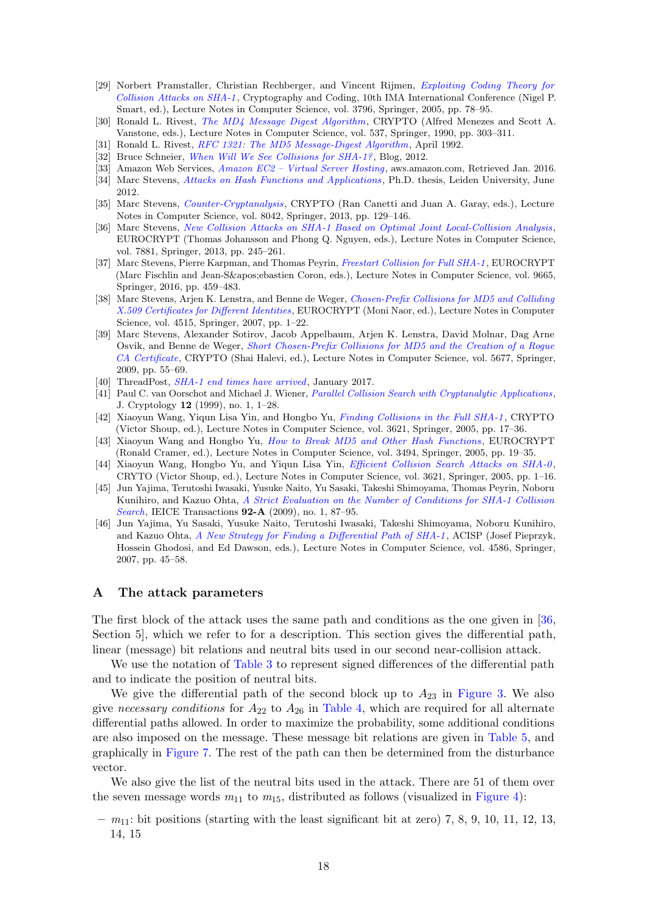- <span id="page-17-13"></span>[29] Norbert Pramstaller, Christian Rechberger, and Vincent Rijmen, [Exploiting Coding Theory for](http://dx.doi.org/10.1007/11586821_7) [Collision Attacks on SHA-1](http://dx.doi.org/10.1007/11586821_7) , Cryptography and Coding, 10th IMA International Conference (Nigel P. Smart, ed.), Lecture Notes in Computer Science, vol. 3796, Springer, 2005, pp. 78–95.
- <span id="page-17-0"></span>[30] Ronald L. Rivest, [The MD4 Message Digest Algorithm](http://dx.doi.org/10.1007/3-540-38424-3_22), CRYPTO (Alfred Menezes and Scott A. Vanstone, eds.), Lecture Notes in Computer Science, vol. 537, Springer, 1990, pp. 303–311.
- <span id="page-17-1"></span>[31] Ronald L. Rivest, [RFC 1321: The MD5 Message-Digest Algorithm](http://www.ietf.org/rfc/rfc1321.txt), April 1992.
- <span id="page-17-7"></span>[32] Bruce Schneier, [When Will We See Collisions for SHA-1?](https://www.schneier.com/blog/archives/2012/10/when_will_we_se.html), Blog, 2012.
- <span id="page-17-9"></span>[33] Amazon Web Services, Amazon EC2 - Virtual Server Hosting, aws.amazon.com, Retrieved Jan. 2016.
- <span id="page-17-15"></span>[34] Marc Stevens, [Attacks on Hash Functions and Applications](http://www.cwi.nl/system/files/PhD-Thesis-Marc-Stevens-Attacks-on-Hash-Functions-and-Applications.pdf), Ph.D. thesis, Leiden University, June 2012.
- <span id="page-17-11"></span>[35] Marc Stevens, *[Counter-Cryptanalysis](http://dx.doi.org/10.1007/978-3-642-40041-4_8)*, CRYPTO (Ran Canetti and Juan A. Garay, eds.), Lecture Notes in Computer Science, vol. 8042, Springer, 2013, pp. 129–146.
- <span id="page-17-6"></span>[36] Marc Stevens, [New Collision Attacks on SHA-1 Based on Optimal Joint Local-Collision Analysis](http://dx.doi.org/10.1007/978-3-642-38348-9_15), EUROCRYPT (Thomas Johansson and Phong Q. Nguyen, eds.), Lecture Notes in Computer Science, vol. 7881, Springer, 2013, pp. 245–261.
- <span id="page-17-8"></span>[37] Marc Stevens, Pierre Karpman, and Thomas Peyrin, [Freestart Collision for Full SHA-1](http://dx.doi.org/10.1007/978-3-662-49890-3_18), EUROCRYPT (Marc Fischlin and Jean-S' ebastien Coron, eds.), Lecture Notes in Computer Science, vol. 9665, Springer, 2016, pp. 459–483.
- <span id="page-17-3"></span>[38] Marc Stevens, Arjen K. Lenstra, and Benne de Weger, [Chosen-Prefix Collisions for MD5 and Colliding](http://dx.doi.org/10.1007/978-3-540-72540-4_1) [X.509 Certificates for Different Identities](http://dx.doi.org/10.1007/978-3-540-72540-4_1), EUROCRYPT (Moni Naor, ed.), Lecture Notes in Computer Science, vol. 4515, Springer, 2007, pp. 1–22.
- <span id="page-17-4"></span>[39] Marc Stevens, Alexander Sotirov, Jacob Appelbaum, Arjen K. Lenstra, David Molnar, Dag Arne Osvik, and Benne de Weger, [Short Chosen-Prefix Collisions for MD5 and the Creation of a Rogue](http://dx.doi.org/10.1007/978-3-642-03356-8_4) [CA Certificate](http://dx.doi.org/10.1007/978-3-642-03356-8_4), CRYPTO (Shai Halevi, ed.), Lecture Notes in Computer Science, vol. 5677, Springer, 2009, pp. 55–69.
- <span id="page-17-10"></span>[40] ThreadPost, *[SHA-1 end times have arrived](https://threatpost.com/sha-1-end-times-have-arrived/123061/)*, January 2017.
- <span id="page-17-17"></span>[41] Paul C. van Oorschot and Michael J. Wiener, *[Parallel Collision Search with Cryptanalytic Applications](http://dx.doi.org/10.1007/PL00003816)*, J. Cryptology 12 (1999), no. 1, 1–28.
- <span id="page-17-5"></span>[42] Xiaoyun Wang, Yiqun Lisa Yin, and Hongbo Yu, [Finding Collisions in the Full SHA-1](http://dx.doi.org/10.1007/11535218_2) , CRYPTO (Victor Shoup, ed.), Lecture Notes in Computer Science, vol. 3621, Springer, 2005, pp. 17–36.
- <span id="page-17-2"></span>[43] Xiaoyun Wang and Hongbo Yu, [How to Break MD5 and Other Hash Functions](http://dx.doi.org/10.1007/11426639_2), EUROCRYPT (Ronald Cramer, ed.), Lecture Notes in Computer Science, vol. 3494, Springer, 2005, pp. 19–35.
- <span id="page-17-18"></span>[44] Xiaoyun Wang, Hongbo Yu, and Yiqun Lisa Yin, *[Efficient Collision Search Attacks on SHA-0](http://dx.doi.org/10.1007/11535218_1)*, CRYTO (Victor Shoup, ed.), Lecture Notes in Computer Science, vol. 3621, Springer, 2005, pp. 1–16.
- <span id="page-17-14"></span>[45] Jun Yajima, Terutoshi Iwasaki, Yusuke Naito, Yu Sasaki, Takeshi Shimoyama, Thomas Peyrin, Noboru Kunihiro, and Kazuo Ohta, [A Strict Evaluation on the Number of Conditions for SHA-1 Collision](http://search.ieice.org/bin/summary.php?id=e92-a_1_87&category=A&year=2009&lang=E&abst=) [Search](http://search.ieice.org/bin/summary.php?id=e92-a_1_87&category=A&year=2009&lang=E&abst=), IEICE Transactions 92-A (2009), no. 1, 87–95.
- <span id="page-17-16"></span>[46] Jun Yajima, Yu Sasaki, Yusuke Naito, Terutoshi Iwasaki, Takeshi Shimoyama, Noboru Kunihiro, and Kazuo Ohta, [A New Strategy for Finding a Differential Path of SHA-1](http://dx.doi.org/10.1007/978-3-540-73458-1_4) , ACISP (Josef Pieprzyk, Hossein Ghodosi, and Ed Dawson, eds.), Lecture Notes in Computer Science, vol. 4586, Springer, 2007, pp. 45–58.

# <span id="page-17-12"></span>A The attack parameters

The first block of the attack uses the same path and conditions as the one given in [\[36,](#page-17-6) Section 5], which we refer to for a description. This section gives the differential path, linear (message) bit relations and neutral bits used in our second near-collision attack.

We use the notation of [Table 3](#page-18-1) to represent signed differences of the differential path and to indicate the position of neutral bits.

We give the differential path of the second block up to  $A_{23}$  in [Figure 3.](#page-18-0) We also give necessary conditions for  $A_{22}$  to  $A_{26}$  in [Table 4,](#page-19-0) which are required for all alternate differential paths allowed. In order to maximize the probability, some additional conditions are also imposed on the message. These message bit relations are given in [Table 5,](#page-19-1) and graphically in [Figure 7.](#page-21-1) The rest of the path can then be determined from the disturbance vector.

We also give the list of the neutral bits used in the attack. There are 51 of them over the seven message words  $m_{11}$  to  $m_{15}$ , distributed as follows (visualized in [Figure 4\)](#page-19-2):

 $m_{11}$ : bit positions (starting with the least significant bit at zero) 7, 8, 9, 10, 11, 12, 13, 14, 15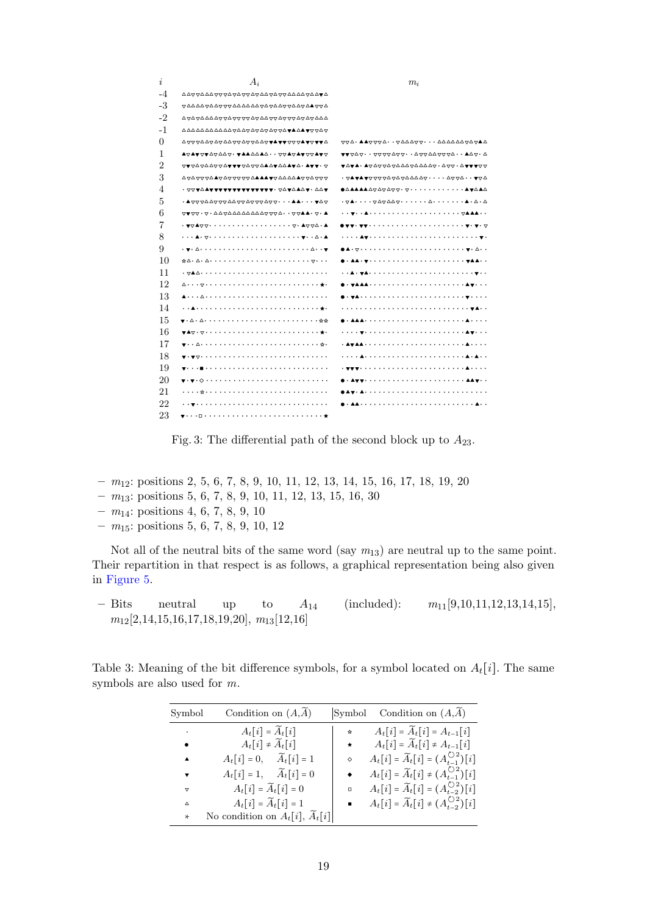<span id="page-18-0"></span>

| $\imath$ | $A_i$                                                              | $m_i$                                                                                                                                                                                                                                                                                                                                                                                                                                                                                                                                                                                                                                                                       |
|----------|--------------------------------------------------------------------|-----------------------------------------------------------------------------------------------------------------------------------------------------------------------------------------------------------------------------------------------------------------------------------------------------------------------------------------------------------------------------------------------------------------------------------------------------------------------------------------------------------------------------------------------------------------------------------------------------------------------------------------------------------------------------|
| -4       | ΔΔ<br><del>Ο</del> ΔΩΔΔΔΩΦ <i>ΩΩ</i> ΩΔΩΔΩΔΩ <del>Ω</del> ΩΔΩΔΔΩΔΩ |                                                                                                                                                                                                                                                                                                                                                                                                                                                                                                                                                                                                                                                                             |
| -3       | <b>ΦΑΦΦΦΦΦΦΦΦΦΦΦΦΦΦΦΦΦΦΦΦΦΦΦΦ</b>                                  |                                                                                                                                                                                                                                                                                                                                                                                                                                                                                                                                                                                                                                                                             |
| -2       | 77777777777777777777777777777                                      |                                                                                                                                                                                                                                                                                                                                                                                                                                                                                                                                                                                                                                                                             |
| -1       | △△△△★▲▲△▼●△△△△△△△△۞۞۞۞۞                                            |                                                                                                                                                                                                                                                                                                                                                                                                                                                                                                                                                                                                                                                                             |
| 0        | ◬▿▿▿▵◾▾◾▾◾◾◾◾◛◔◬▿▾▵▾◒▵▵▵▵◔◔▱◠                                      | $\mathbf{\triangledown}\mathbf{\triangledown}\mathbf{\triangle}\mathbf{A}\mathbf{\triangledown}\mathbf{\triangledown}\mathbf{\triangledown}\mathbf{\triangle}\mathbf{A}\cdots\mathbf{\triangledown}\mathbf{\triangle}\mathbf{A}\mathbf{\triangledown}\mathbf{\triangledown}\mathbf{\triangle}\mathbf{A}\mathbf{\triangledown}\mathbf{\triangle}\mathbf{A}\mathbf{\triangledown}\mathbf{\triangle}\mathbf{A}\mathbf{\triangledown}\mathbf{\triangle}\mathbf{A}\mathbf{\triangledown}\mathbf{\triangle}\mathbf{A}\mathbf{\triangledown}\mathbf{\triangle}\mathbf{A}\mathbf{\triangledown}\mathbf{\triangle}\mathbf{A}\mathbf{\triangledown}\mathbf{\triangle}\mathbf{A}\math$ |
| 1        | ▴ <sub>V</sub> <sub>V</sub> <sub>V</sub> <sub>V</sub> <sub>V</sub> |                                                                                                                                                                                                                                                                                                                                                                                                                                                                                                                                                                                                                                                                             |
| 2        | VVVVVVVVVVVVDVVVVVVVVV                                             | ▼△▼▲·▲ <sub>∇</sub> QQVQQQAQQAAQ∵△♡♡·△ <del>Ⅴ</del> ★★♡                                                                                                                                                                                                                                                                                                                                                                                                                                                                                                                                                                                                                     |
| 3        |                                                                    | ∙V▲▼★▼▽♡▽▽△△△△△△△△△←・・・△▽▽△・・▼♡△                                                                                                                                                                                                                                                                                                                                                                                                                                                                                                                                                                                                                                            |
| 4        |                                                                    | ●△▲▲▲▲△▽△▽△▽▽・▽・・・・・・・・・・・▲▼△▲△                                                                                                                                                                                                                                                                                                                                                                                                                                                                                                                                                                                                                                             |
| 5        |                                                                    | $\cdot \nabla \blacktriangle \cdot \cdot \cdot \cdot \nabla \triangle \nabla \triangle \Delta \nabla \cdot \cdot \cdot \cdot \cdot \wedge \triangle \cdot \cdot \cdot \cdot \cdot \cdot \blacktriangle \cdot \triangle \cdot \triangle$                                                                                                                                                                                                                                                                                                                                                                                                                                     |
| 6        |                                                                    |                                                                                                                                                                                                                                                                                                                                                                                                                                                                                                                                                                                                                                                                             |
| 7        | .▼▽▲▽▽・・・・・・・・・・・・・・・・・・・マ・▲▽▽△・▲                                  | ●▼▼・▼▼・・・・・・・・・・・・・・・・・・・・・・・・・・マ・▼・▽                                                                                                                                                                                                                                                                                                                                                                                                                                                                                                                                                                                                                                       |
| 8        | . ▲. <del>♡</del> ························ <b>▼</b> ··△·▲          |                                                                                                                                                                                                                                                                                                                                                                                                                                                                                                                                                                                                                                                                             |
| 9        |                                                                    | $\bullet$ $\bar{\bullet}$ $\cdot$ $\sim$ $\cdots$ $\cdots$ $\cdots$ $\cdots$ $\cdots$ $\cdots$ $\bullet$ $\cdots$                                                                                                                                                                                                                                                                                                                                                                                                                                                                                                                                                           |
| 10       | ☆△・△・△・・・・・・・・・・・・・・・・・・・・・・・・ ◇・・・                                |                                                                                                                                                                                                                                                                                                                                                                                                                                                                                                                                                                                                                                                                             |
| 11       |                                                                    | ••▲•▼▲•••••••••••••••••••••••••••                                                                                                                                                                                                                                                                                                                                                                                                                                                                                                                                                                                                                                           |
| 12       |                                                                    |                                                                                                                                                                                                                                                                                                                                                                                                                                                                                                                                                                                                                                                                             |
| 13       |                                                                    |                                                                                                                                                                                                                                                                                                                                                                                                                                                                                                                                                                                                                                                                             |
| 14       |                                                                    |                                                                                                                                                                                                                                                                                                                                                                                                                                                                                                                                                                                                                                                                             |
| 15       | ▼・△・△・・・・・・・・・・・・・・・・・・・・・・・・・・☆☆                                  |                                                                                                                                                                                                                                                                                                                                                                                                                                                                                                                                                                                                                                                                             |
| 16       | ★▲▽・▽・・・・・・・・・・・・・・・・・・・・・・・・・・・・★・                                |                                                                                                                                                                                                                                                                                                                                                                                                                                                                                                                                                                                                                                                                             |
| 17       | ▼・・△・・・・・・・・・・・・・・・・・・・・・・・・・・・・☆・                                 | • <del>AVAA</del> •••••••••••••••••••••••••• <del>A</del> ••••                                                                                                                                                                                                                                                                                                                                                                                                                                                                                                                                                                                                              |
| 18       |                                                                    |                                                                                                                                                                                                                                                                                                                                                                                                                                                                                                                                                                                                                                                                             |
| 19       | ▼•••■•••••••••••••••••••••••••••                                   |                                                                                                                                                                                                                                                                                                                                                                                                                                                                                                                                                                                                                                                                             |
| 20       | ▼・▼・◇・・・・・・・・・・・・・・・・・・・・・・・・・・                                    | ●・▲▼▼・・・・・・・・・・・・・・・・・・・・・・・・▲▲▼・・                                                                                                                                                                                                                                                                                                                                                                                                                                                                                                                                                                                                                                          |
| 21       | ・・・・☆・・・・・・・・・・・・・・・・・・・・・・・・・・・・・                                 |                                                                                                                                                                                                                                                                                                                                                                                                                                                                                                                                                                                                                                                                             |
| 22       |                                                                    |                                                                                                                                                                                                                                                                                                                                                                                                                                                                                                                                                                                                                                                                             |
| 23       | ▼・・・□・・・・・・・・・・・・・・・・・・・・・・・・・・・・ <del>★</del>                     |                                                                                                                                                                                                                                                                                                                                                                                                                                                                                                                                                                                                                                                                             |

Fig. 3: The differential path of the second block up to  $A_{23}$ .

- $m_{12}$ : positions 2, 5, 6, 7, 8, 9, 10, 11, 12, 13, 14, 15, 16, 17, 18, 19, 20
- $m_{13}$ : positions 5, 6, 7, 8, 9, 10, 11, 12, 13, 15, 16, 30
- $m_{14}$ : positions 4, 6, 7, 8, 9, 10
- $m_{15}$ : positions 5, 6, 7, 8, 9, 10, 12

Not all of the neutral bits of the same word (say  $m_{13}$ ) are neutral up to the same point. Their repartition in that respect is as follows, a graphical representation being also given in Figure 5.

 $m_{11}[9,10,11,12,13,14,15],$  $-$  Bits (included): neutral  $up$ to  $A_{14}$  $m_{12}[2,14,15,16,17,18,19,20], m_{13}[12,16]$ 

<span id="page-18-1"></span>Table 3: Meaning of the bit difference symbols, for a symbol located on  $A_t[i]$ . The same symbols are also used for  $m$ .

| Symbol                  | Condition on $(A,\widetilde{A})$             |                    | Symbol Condition on $(A,\widetilde{A})$                      |
|-------------------------|----------------------------------------------|--------------------|--------------------------------------------------------------|
| $\bullet$               | $A_t[i] = \widetilde{A}_t[i]$                | $\mathbf{\hat{x}}$ | $A_t[i] = \widetilde{A}_t[i] = A_{t-1}[i]$                   |
| $\bullet$               | $A_t[i] \neq \widetilde{A}_t[i]$             | $\bigstar$         | $A_t[i] = \widetilde{A}_t[i] \neq A_{t-1}[i]$                |
| $\blacktriangle$        | $A_t[i] = 0, \quad \widetilde{A}_t[i] = 1$   | $\Diamond$         | $A_t[i] = \widetilde{A}_t[i] = (A_{t-1}^{\bigcirc 2})[i]$    |
| $\overline{\mathbf{v}}$ | $A_t[i] = 1, \quad \widetilde{A}_t[i] = 0$   | $\bullet$          | $A_t[i] = \widetilde{A}_t[i] \neq (A_{t-1}^{\bigcirc 2})[i]$ |
| $\triangledown$         | $A_t[i] = \widetilde{A}_t[i] = 0$            | $\Box$             | $A_t[i] = \widetilde{A}_t[i] = (A_{t-2}^{\bigcirc 2})[i]$    |
| $\Delta$                | $A_t[i] = \widetilde{A}_t[i] = 1$            | $\blacksquare$     | $A_t[i] = \widetilde{A}_t[i] \neq (A_{t-2}^{O2})[i]$         |
| $\star$                 | No condition on $A_t[i], \widetilde{A}_t[i]$ |                    |                                                              |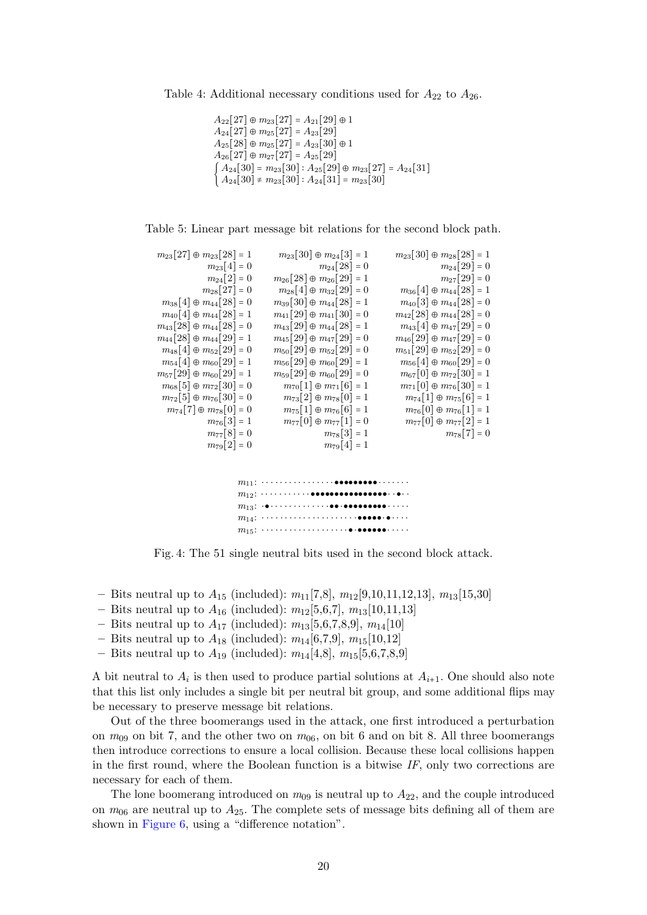<span id="page-19-0"></span>Table 4: Additional necessary conditions used for  $A_{22}$  to  $A_{26}$ .

 $A_{22}[27] \oplus m_{23}[27] = A_{21}[29] \oplus 1$  $A_{24}[27] \oplus m_{25}[27] = A_{23}[29]$  $A_{25}[28] \oplus m_{25}[27] = A_{23}[30] \oplus 1$  $A_{26}[27] \oplus m_{27}[27] = A_{25}[29]$  ${ \begin{aligned} A_{24}[30] &= m_{23}[30] : A_{24}[25] \cup m_{23}[21] \\ A_{24}[30] &= m_{23}[30] : A_{24}[31] = m_{23}[30] \end{aligned} }$  $\int A_{24}[30] = m_{23}[30]$  :  $A_{25}[29] \oplus m_{23}[27] = A_{24}[31]$ 

<span id="page-19-1"></span>Table 5: Linear part message bit relations for the second block path.

| $m_{23}[30] \oplus m_{28}[28] = 1$     | $m_{23}$ [30] $\oplus m_{24}$ [3] = 1  | $m_{23}[27] \oplus m_{23}[28] = 1$     |
|----------------------------------------|----------------------------------------|----------------------------------------|
| $m_{24}$ [29] = 0                      | $m_{24}$ [28] = 0                      | $m_{23}$ [4] = 0                       |
| $m_{27}$ [29] = 0                      | $m_{26}$ [28] $\oplus m_{26}$ [29] = 1 | $m_{24}[2] = 0$                        |
| $m_{36}[4] \oplus m_{44}[28] = 1$      | $m_{28}$ [4] $\oplus m_{32}$ [29] = 0  | $m_{28}[27] = 0$                       |
| $m_{40}$ [3] $\oplus m_{44}$ [28] = 0  | $m_{39}$ [30] $\oplus m_{44}$ [28] = 1 | $m_{38}[4] \oplus m_{44}[28] = 0$      |
| $m_{42}[28] \oplus m_{44}[28] = 0$     | $m_{41}[29] \oplus m_{41}[30] = 0$     | $m_{40}[4] \oplus m_{44}[28] = 1$      |
| $m_{43}[4] \oplus m_{47}[29] = 0$      | $m_{43}[29] \oplus m_{44}[28] = 1$     | $m_{43}$ [28] $\oplus m_{44}$ [28] = 0 |
| $m_{46}$ [29] $\oplus m_{47}$ [29] = 0 | $m_{45}$ [29] $\oplus m_{47}$ [29] = 0 | $m_{44}[28] \oplus m_{44}[29] = 1$     |
| $m_{51}$ [29] $\oplus m_{52}$ [29] = 0 | $m_{50}$ [29] $\oplus m_{52}$ [29] = 0 | $m_{48}$ [4] $\oplus m_{52}$ [29] = 0  |
| $m_{56}[4] \oplus m_{60}[29] = 0$      | $m_{56}$ [29] $\oplus m_{60}$ [29] = 1 | $m_{54}[4] \oplus m_{60}[29] = 1$      |
| $m_{67}$ [0] $\oplus m_{72}$ [30] = 1  | $m_{59}$ [29] $\oplus m_{60}$ [29] = 0 | $m_{57}$ [29] $\oplus m_{60}$ [29] = 1 |
| $m_{71}$ [0] $\oplus m_{76}$ [30] = 1  | $m_{70}[1] \oplus m_{71}[6] = 1$       | $m_{68}$ [5] $\oplus m_{72}$ [30] = 0  |
| $m_{74}$ [1] $\oplus m_{75}$ [6] = 1   | $m_{73}$ [2] $\oplus m_{78}$ [0] = 1   | $m_{72}[5] \oplus m_{76}[30] = 0$      |
| $m_{76}[0] \oplus m_{76}[1] = 1$       | $m_{75}$ [1] $\oplus m_{76}$ [6] = 1   | $m_{74}[7] \oplus m_{78}[0] = 0$       |
| $m_{77}$ [0] $\oplus m_{77}$ [2] = 1   | $m_{77} 0 \oplus m_{77} 1 =0$          | $m_{76}$ [3] = 1                       |
| $m_{78}[7] = 0$                        | $m_{78}[3] = 1$                        | $m_{77}$ [8] = 0                       |
|                                        | $m_{79}$ [4] = 1                       | $m_{79}$ [2] = 0                       |
|                                        |                                        |                                        |



<span id="page-19-2"></span>Fig. 4: The 51 single neutral bits used in the second block attack.

– Bits neutral up to  $A_{15}$  (included):  $m_{11}[7,8], m_{12}[9,10,11,12,13], m_{13}[15,30]$ 

- Bits neutral up to  $A_{16}$  (included):  $m_{12}[5,6,7], m_{13}[10,11,13]$
- Bits neutral up to  $A_{17}$  (included):  $m_{13}[5,6,7,8,9], m_{14}[10]$
- Bits neutral up to  $A_{18}$  (included):  $m_{14}[6,7,9], m_{15}[10,12]$
- Bits neutral up to  $A_{19}$  (included):  $m_{14}[4,8], m_{15}[5,6,7,8,9]$

A bit neutral to  $A_i$  is then used to produce partial solutions at  $A_{i+1}$ . One should also note that this list only includes a single bit per neutral bit group, and some additional flips may be necessary to preserve message bit relations.

Out of the three boomerangs used in the attack, one first introduced a perturbation on  $m_{09}$  on bit 7, and the other two on  $m_{06}$ , on bit 6 and on bit 8. All three boomerangs then introduce corrections to ensure a local collision. Because these local collisions happen in the first round, where the Boolean function is a bitwise  $IF$ , only two corrections are necessary for each of them.

The lone boomerang introduced on  $m_{09}$  is neutral up to  $A_{22}$ , and the couple introduced on  $m_{06}$  are neutral up to  $A_{25}$ . The complete sets of message bits defining all of them are shown in [Figure 6,](#page-20-1) using a "difference notation".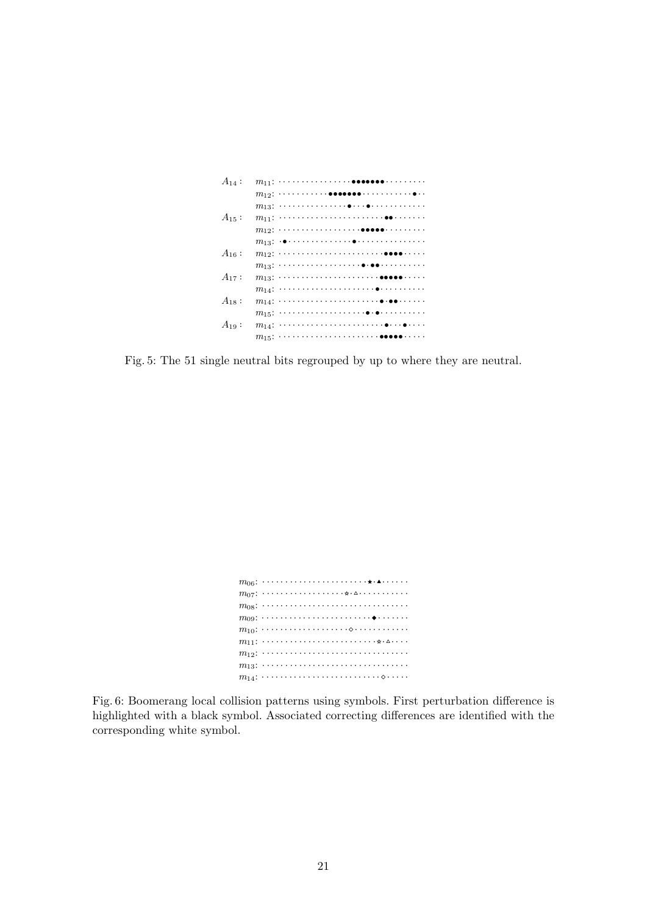<span id="page-20-0"></span>

| $A_{14}:$  |                                                                                                                         |  |  |  |  |  |  |  |  |  |  |  |  |
|------------|-------------------------------------------------------------------------------------------------------------------------|--|--|--|--|--|--|--|--|--|--|--|--|
|            |                                                                                                                         |  |  |  |  |  |  |  |  |  |  |  |  |
|            | $m_{13}$ :                                                                                                              |  |  |  |  |  |  |  |  |  |  |  |  |
| $A_{15}$ : |                                                                                                                         |  |  |  |  |  |  |  |  |  |  |  |  |
|            | $m_{12}: \cdots \cdots \cdots \cdots \cdots \cdots \bullet \bullet \bullet \bullet \bullet \cdots \cdots \cdots$        |  |  |  |  |  |  |  |  |  |  |  |  |
|            | $m_{13}: \cdots \cdots \cdots \cdots \cdots \bullet \cdots \cdots \cdots \cdots \cdots$                                 |  |  |  |  |  |  |  |  |  |  |  |  |
| $A_{16}$ : |                                                                                                                         |  |  |  |  |  |  |  |  |  |  |  |  |
|            | $m_{13}: \cdots \cdots \cdots \cdots \cdots \cdots \bullet \bullet \bullet \cdots \cdots \cdots$                        |  |  |  |  |  |  |  |  |  |  |  |  |
| $A_{17}$ : | $m_{13}: \cdots \cdots \cdots \cdots \cdots \cdots \cdots \cdots \bullet \bullet \bullet \bullet \bullet \cdots \cdots$ |  |  |  |  |  |  |  |  |  |  |  |  |
|            | $m_{14}: \cdots \cdots \cdots \cdots \cdots \cdots \cdots \bullet \cdots \cdots \cdots$                                 |  |  |  |  |  |  |  |  |  |  |  |  |
| $A_{18}$ : | $m_{14}$ :                                                                                                              |  |  |  |  |  |  |  |  |  |  |  |  |
|            | $m_{15}$ :                                                                                                              |  |  |  |  |  |  |  |  |  |  |  |  |
| $A_{19}$ : | $m_{14}$ :                                                                                                              |  |  |  |  |  |  |  |  |  |  |  |  |
|            | $m_{15}: \cdots \cdots \cdots \cdots \cdots \cdots \cdots \cdots \bullet \bullet \bullet \bullet \bullet \cdots \cdots$ |  |  |  |  |  |  |  |  |  |  |  |  |

Fig. 5: The 51 single neutral bits regrouped by up to where they are neutral.

| $m_{12}: \cdots \cdots \cdots \cdots \cdots \cdots \cdots \cdots \cdots \cdots \cdots$          |  |  |  |  |  |  |  |  |  |  |  |  |  |  |  |  |
|-------------------------------------------------------------------------------------------------|--|--|--|--|--|--|--|--|--|--|--|--|--|--|--|--|
| $m_{13}: \cdots \cdots \cdots \cdots \cdots \cdots \cdots \cdots \cdots \cdots \cdots$          |  |  |  |  |  |  |  |  |  |  |  |  |  |  |  |  |
| $m_{14}: \cdots \cdots \cdots \cdots \cdots \cdots \cdots \cdots \cdots \diamond \cdots \cdots$ |  |  |  |  |  |  |  |  |  |  |  |  |  |  |  |  |

<span id="page-20-1"></span>Fig. 6: Boomerang local collision patterns using symbols. First perturbation difference is highlighted with a black symbol. Associated correcting differences are identified with the corresponding white symbol.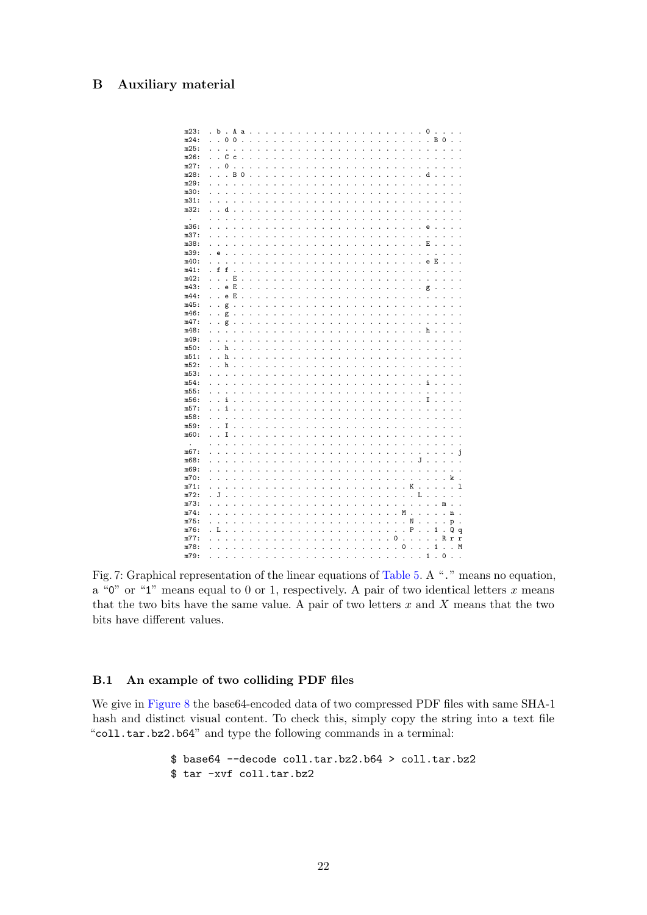#### <span id="page-21-1"></span> $\bf{B}$ **Auxiliary material**

| m24:<br>$\mathsf{o}$<br>$\ddot{\phantom{a}}$<br>B<br>$\circ$<br>$\ddot{\phantom{a}}$<br>$\overline{\phantom{a}}$<br>$\ddot{\phantom{0}}$<br>$\ddot{\phantom{0}}$<br>$\ddot{\phantom{a}}$<br>$\ddot{\phantom{a}}$<br>$\ddot{\phantom{0}}$<br>$\ddot{\phantom{a}}$<br>$\ddot{\phantom{0}}$<br>$\ddot{\phantom{0}}$<br>$\ddot{\phantom{a}}$<br>$\ddot{\phantom{a}}$<br>$\ddot{\phantom{a}}$<br>$\ddot{\phantom{a}}$<br>$\ddot{\phantom{0}}$<br>$\ddot{\phantom{a}}$<br>$\ddot{\phantom{0}}$<br>$\ddot{\phantom{0}}$<br>$\ddot{\phantom{0}}$<br>$\ddot{\phantom{a}}$<br>$\ddot{\phantom{a}}$<br>$\ddot{\phantom{0}}$<br>$\ddot{\phantom{a}}$<br>$\ddot{\phantom{0}}$<br>$\ddot{\phantom{0}}$<br>$\ddot{\phantom{0}}$<br>m25:<br>$\ddot{\phantom{a}}$<br>$\ddot{\phantom{a}}$<br>$\ddot{\phantom{a}}$<br>$\overline{a}$<br>$\overline{a}$<br>$\ddot{\phantom{a}}$<br>$\overline{a}$<br>$\overline{a}$<br>$\ddot{\phantom{a}}$<br>$\ddot{\phantom{0}}$<br>$\overline{a}$<br>$\overline{a}$<br>$\cdot$<br>$\mathbf{C}$<br>$\overline{c}$<br>m26:<br>$\ddot{\phantom{a}}$<br>$\cdot$<br>$\ddot{\phantom{a}}$<br>$\ddot{\phantom{0}}$<br>$\ddot{\phantom{0}}$<br>$\ddot{\phantom{0}}$<br>l<br>$\ddot{\phantom{0}}$<br>$\overline{a}$<br>$\cdot$<br>$\ddot{\phantom{0}}$<br>$\cdot$<br>$\ddot{\phantom{0}}$<br>$\overline{a}$<br>m27:<br>$\circ$<br>$\ddot{\phantom{a}}$<br>$\cdot$<br>$\overline{a}$<br>$\ddot{\phantom{a}}$<br>$\cdot$<br>$\ddot{\phantom{a}}$<br>l,<br>$\overline{a}$<br>$\overline{a}$<br>$\overline{a}$<br>m28:<br>$\overline{B}$<br>d<br>$\mathbf 0$<br>$\ddot{\phantom{a}}$<br>$\ddot{\phantom{a}}$<br>$\ddot{\phantom{0}}$<br>$\ddot{\phantom{0}}$<br>$\overline{a}$<br>$\overline{a}$<br>$\cdot$<br>$\overline{a}$<br>$\ddot{\phantom{0}}$<br>$\overline{a}$<br>$\overline{a}$<br>m29:<br>$\ddot{\phantom{0}}$<br>l<br>$\overline{a}$<br>J<br>m30:<br>$\ddot{\phantom{a}}$<br>$\ddot{\phantom{a}}$<br>$\ddot{\phantom{a}}$<br>$\ddot{\phantom{0}}$<br>$\ddot{\phantom{0}}$<br>$\overline{a}$<br>$\ddot{\phantom{0}}$<br>$\ddot{\phantom{0}}$<br>l<br>$\ddot{\phantom{0}}$<br>$\ddot{\phantom{0}}$<br>$\ddot{\phantom{0}}$<br>$\overline{a}$<br>l<br>$\overline{a}$<br>$\overline{a}$<br>l<br>l,<br>$\cdot$<br>$m31$ :<br>$\cdot$<br>$\overline{a}$<br>l<br>$\overline{a}$<br>$\overline{a}$<br>$\overline{a}$<br>l,<br>l<br>$\overline{a}$<br>J<br>l<br>m32:<br>$\mathbf d$<br>$\ddot{\phantom{a}}$<br>$\ddot{\phantom{0}}$<br>$\ddot{\phantom{0}}$<br>$\cdot$<br>l.<br>$\ddot{\phantom{0}}$<br>$\ddot{\phantom{0}}$<br>$\overline{a}$<br>$\cdot$<br>$\ddot{\phantom{0}}$<br>$\cdot$<br>$\overline{a}$<br>$\ddot{\phantom{0}}$<br>l<br>$\overline{a}$<br>l<br>$\ddot{\phantom{a}}$<br>m36:<br>e<br>$\ddot{\phantom{0}}$<br>$\cdot$<br>$\ddot{\phantom{0}}$<br>$\ddot{\phantom{0}}$<br>$\ddot{\phantom{0}}$<br>$\ddot{\phantom{0}}$<br>$\ddot{\phantom{0}}$<br>$\ddot{\phantom{0}}$<br>$\ddot{\phantom{0}}$<br>$\ddot{\phantom{0}}$<br>$\ddot{\phantom{0}}$<br>$\overline{a}$<br>$\cdot$<br>$\cdot$<br>$\ddot{\phantom{0}}$<br>m37:<br>$\overline{a}$<br>$\overline{a}$<br>m38:<br>E<br>$\ddot{\phantom{0}}$<br>$\ddot{\phantom{0}}$<br>$\ddot{\phantom{0}}$<br>$\overline{a}$<br>$\ddot{\phantom{0}}$<br>$\ddot{\phantom{0}}$<br>$\cdot$<br>l,<br>$\ddot{\phantom{0}}$<br>$\ddot{\phantom{0}}$<br>l,<br>$\overline{a}$<br>l<br>l<br>J<br>l<br>$\ddot{\phantom{0}}$<br>$\overline{a}$<br>$\overline{a}$<br>$\ddot{\phantom{0}}$<br>$\ddot{\phantom{0}}$<br>$\overline{a}$<br>m39:<br>ė<br>$\overline{a}$<br>$\overline{a}$<br>m40:<br>e<br>E<br>$\ddot{\phantom{0}}$<br>$\ddot{\phantom{0}}$<br>$\ddot{\phantom{0}}$<br>$\ddot{\phantom{0}}$<br>$\ddot{\phantom{0}}$<br>$\ddot{\phantom{0}}$<br>$\ddot{\phantom{0}}$<br>$\ddot{\phantom{0}}$<br>m41:<br>f<br>f<br>l<br>m42:<br>E<br>$\overline{a}$<br>$\ddot{\phantom{a}}$<br>$\ddot{\phantom{0}}$<br>$\cdot$<br>l.<br>$\ddot{\phantom{0}}$<br>$\ddot{\phantom{0}}$<br>$\ddot{\phantom{0}}$<br>$\cdot$<br>$\overline{a}$<br>$\cdot$<br>$\ddot{\phantom{0}}$<br>$\overline{a}$<br>m43:<br>E<br>$\ddot{\text{e}}$<br>g<br>$\cdot$<br>$\overline{a}$<br>$\overline{a}$<br>l<br>l<br>$\overline{a}$<br>m44:<br>E<br>$\ddot{\textbf{e}}$<br>$\cdot$<br>$\ddot{\phantom{a}}$<br>$\ddot{\phantom{0}}$<br>$\ddot{\phantom{0}}$<br>$\cdot$<br>l.<br>$\ddot{\phantom{0}}$<br>$\ddot{\phantom{0}}$<br>$\ddot{\phantom{0}}$<br>$\ddot{\phantom{0}}$<br>l,<br>l,<br>$\overline{a}$<br>$\overline{a}$<br>$\overline{a}$<br>$\overline{a}$<br>$\ddot{\phantom{0}}$<br>$\overline{a}$<br>m45:<br>g<br>$\ddot{\phantom{a}}$<br>$\cdot$<br>l<br>$\ddot{\phantom{0}}$<br>$\overline{a}$<br>l<br>m46:<br>g<br>$\ddot{\phantom{0}}$<br>$\ddot{\phantom{0}}$<br>$\ddot{\phantom{0}}$<br>$\overline{a}$<br>$\cdot$<br>$\ddot{\phantom{0}}$<br>$\ddot{\phantom{0}}$<br>$\ddot{\phantom{0}}$<br>J<br>l,<br>m47:<br>g<br>$\cdot$<br>l.<br>m48:<br>h<br>$\overline{a}$<br>$\overline{a}$<br>$\ddot{\phantom{0}}$<br>$\overline{a}$<br>$\cdot$<br>$\overline{a}$<br>l,<br>$\overline{a}$<br>m49:<br>m50:<br>h<br>$\ddot{\phantom{a}}$<br>$\ddot{\phantom{0}}$<br>$\cdot$<br>$\overline{a}$<br>J.<br>$\mathbf h$<br>$m51$ :<br>l.<br>$\cdot$<br>m52:<br>$\,$ h<br>$\cdot$<br>$\ddot{\phantom{a}}$<br>$\ddot{\phantom{0}}$<br>l.<br>$\ddot{\phantom{0}}$<br>$\ddot{\phantom{0}}$<br>$\overline{a}$<br>$\ddot{\phantom{0}}$<br>$\ddot{\phantom{0}}$<br>m53:<br>m54:<br>i<br>l.<br>$\ddot{\phantom{0}}$<br>$\overline{a}$<br>m55:<br>l.<br>$\overline{a}$<br>$\overline{a}$<br>$\overline{a}$<br>$\overline{a}$<br>l<br>m56:<br>i<br>I<br>l.<br>$\overline{a}$<br>l.<br>$\ddot{\phantom{0}}$<br>$\ddot{\phantom{0}}$<br>l<br>$\overline{a}$<br>$\cdot$<br>i<br>m57:<br>l.<br>$\overline{a}$<br>m58:<br>$\ddot{\phantom{a}}$<br>$\ddot{\phantom{0}}$<br>$\overline{a}$<br>I<br>m59:<br>$\ddot{\phantom{0}}$<br>$\ddot{\phantom{0}}$<br>$\ddot{\phantom{0}}$<br>$\cdot$<br>$\overline{a}$<br>I<br>m60:<br>J<br>$\ddot{\phantom{1}}$<br>l.<br>$\overline{a}$<br>$\overline{a}$<br>m67:<br>j<br>$\overline{a}$<br>$\overline{a}$<br>J<br>m68:<br>$\ddot{\phantom{0}}$<br>$\ddot{\phantom{0}}$<br>$\overline{a}$<br>m69:<br>$\overline{a}$<br>m70:<br>$\mathbf k$<br>$\cdot$<br>$\ddot{\phantom{0}}$<br>$\ddot{\phantom{0}}$<br>$m71$ :<br>$\overline{a}$<br>$\mathbf{1}$<br>Κ<br>$\ddot{\phantom{0}}$<br>$\ddot{\phantom{0}}$<br>$\overline{a}$<br>m72:<br>J<br>L<br>l.<br>l.<br>l.<br>$\overline{a}$<br>$\overline{a}$<br>$\cdot$<br>$\overline{a}$<br>m73:<br>$\overline{m}$<br>$\ddot{\phantom{0}}$<br>m74:<br>M<br>$\ddot{\phantom{a}}$<br>$\ddot{\phantom{0}}$<br>$\overline{\mathbf{n}}$<br>$\cdot$<br>$\ddot{\phantom{0}}$<br>$\overline{a}$<br>$\overline{a}$<br>l.<br>$\overline{a}$<br>$\overline{a}$<br>$\cdot$<br>$\ddot{\phantom{0}}$<br>l<br>m75:<br>N<br>p<br>$\ddot{\phantom{0}}$<br>$\ddot{\phantom{0}}$<br>$\ddot{\phantom{0}}$<br>m76:<br>$\overline{P}$<br>$\mathbf{1}$<br>Q<br>L<br>$\ddot{\phantom{0}}$<br>q<br>$\overline{a}$<br>$\overline{a}$<br>$\cdot$<br>$\ddot{\phantom{0}}$<br>$\ddot{\phantom{0}}$<br>$\cdot$<br>$\ddot{\phantom{0}}$<br>$\, {\bf R}$<br>m77:<br>$\overline{0}$<br>$\overline{a}$<br>$\dot{\mathbf{r}}$<br>$\overline{a}$<br>$\overline{a}$<br>$\mathbf r$<br>m78:<br>$\mathbf{1}$<br>$\mathbf 0$<br>M<br>$\ddot{\phantom{a}}$<br>$\ddot{\phantom{a}}$<br>$\overline{a}$<br>$\ddot{\phantom{a}}$<br>$\ddot{\phantom{a}}$<br>$\cdot$<br>$\ddot{\phantom{a}}$<br>$\ddot{\phantom{0}}$<br>$\overline{a}$<br>$\overline{a}$<br>$\ddot{\phantom{0}}$<br>$\overline{1}$<br>m79:<br>$\mathbf 0$<br>$\ddot{\phantom{a}}$<br>$\ddot{\phantom{a}}$<br>l,<br>$\overline{a}$<br>$\ddot{\phantom{0}}$ | m23: | $\ddot{\phantom{a}}$ | b | $\ddot{\phantom{a}}$ | $\mathtt A$ | a | $\cdot$ |  |  |  | $\overline{a}$ | $\ddot{\phantom{0}}$ |  |  | $\overline{a}$ | $\ddot{\phantom{a}}$ |  |  |  | $\ddot{\phantom{a}}$ | $\mathbf 0$ | $\ddot{\phantom{a}}$ | $\ddot{\phantom{a}}$ |  |
|-------------------------------------------------------------------------------------------------------------------------------------------------------------------------------------------------------------------------------------------------------------------------------------------------------------------------------------------------------------------------------------------------------------------------------------------------------------------------------------------------------------------------------------------------------------------------------------------------------------------------------------------------------------------------------------------------------------------------------------------------------------------------------------------------------------------------------------------------------------------------------------------------------------------------------------------------------------------------------------------------------------------------------------------------------------------------------------------------------------------------------------------------------------------------------------------------------------------------------------------------------------------------------------------------------------------------------------------------------------------------------------------------------------------------------------------------------------------------------------------------------------------------------------------------------------------------------------------------------------------------------------------------------------------------------------------------------------------------------------------------------------------------------------------------------------------------------------------------------------------------------------------------------------------------------------------------------------------------------------------------------------------------------------------------------------------------------------------------------------------------------------------------------------------------------------------------------------------------------------------------------------------------------------------------------------------------------------------------------------------------------------------------------------------------------------------------------------------------------------------------------------------------------------------------------------------------------------------------------------------------------------------------------------------------------------------------------------------------------------------------------------------------------------------------------------------------------------------------------------------------------------------------------------------------------------------------------------------------------------------------------------------------------------------------------------------------------------------------------------------------------------------------------------------------------------------------------------------------------------------------------------------------------------------------------------------------------------------------------------------------------------------------------------------------------------------------------------------------------------------------------------------------------------------------------------------------------------------------------------------------------------------------------------------------------------------------------------------------------------------------------------------------------------------------------------------------------------------------------------------------------------------------------------------------------------------------------------------------------------------------------------------------------------------------------------------------------------------------------------------------------------------------------------------------------------------------------------------------------------------------------------------------------------------------------------------------------------------------------------------------------------------------------------------------------------------------------------------------------------------------------------------------------------------------------------------------------------------------------------------------------------------------------------------------------------------------------------------------------------------------------------------------------------------------------------------------------------------------------------------------------------------------------------------------------------------------------------------------------------------------------------------------------------------------------------------------------------------------------------------------------------------------------------------------------------------------------------------------------------------------------------------------------------------------------------------------------------------------------------------------------------------------------------------------------------------------------------------------------------------------------------------------------------------------------------------------------------------------------------------------------------------------------------------------------------------------------------------------------------------------------------------------------------------------------------------------------------------------------------------------------------------------------------------------------------------------------------------------------------------------------------------------------------------------------------------------------------------------------------------------------------------------------------------------------------------------------------------------------------------------------------------------------------------------------------------------------------------------------------------------------------------------------------------------------------------------------------------------------------------------------------------------------------------------------------------------------------------------------------------------------------------------------------------------------------------------------------------------------------------------------------------------------------------------------------------------------------------------------------------------------------------------------------------------------------------------------------------------------------------------------------------------------------------------------------------------------------------------------------------------------------------------------------------------------------------------------------------------------------------------------------------------------------------------------------------------------------------------------------------------------------------------------------------------------------------------------------------------------------------------------------------------------------------------------------------------------------------------------------------------------------------------------------------|------|----------------------|---|----------------------|-------------|---|---------|--|--|--|----------------|----------------------|--|--|----------------|----------------------|--|--|--|----------------------|-------------|----------------------|----------------------|--|
|                                                                                                                                                                                                                                                                                                                                                                                                                                                                                                                                                                                                                                                                                                                                                                                                                                                                                                                                                                                                                                                                                                                                                                                                                                                                                                                                                                                                                                                                                                                                                                                                                                                                                                                                                                                                                                                                                                                                                                                                                                                                                                                                                                                                                                                                                                                                                                                                                                                                                                                                                                                                                                                                                                                                                                                                                                                                                                                                                                                                                                                                                                                                                                                                                                                                                                                                                                                                                                                                                                                                                                                                                                                                                                                                                                                                                                                                                                                                                                                                                                                                                                                                                                                                                                                                                                                                                                                                                                                                                                                                                                                                                                                                                                                                                                                                                                                                                                                                                                                                                                                                                                                                                                                                                                                                                                                                                                                                                                                                                                                                                                                                                                                                                                                                                                                                                                                                                                                                                                                                                                                                                                                                                                                                                                                                                                                                                                                                                                                                                                                                                                                                                                                                                                                                                                                                                                                                                                                                                                                                                                                                                                                                                                                                                                                                                                                                                                                                                                                                                                                                                                                                                                                                   |      |                      |   |                      | $\circ$     |   |         |  |  |  |                |                      |  |  |                |                      |  |  |  |                      |             |                      |                      |  |
|                                                                                                                                                                                                                                                                                                                                                                                                                                                                                                                                                                                                                                                                                                                                                                                                                                                                                                                                                                                                                                                                                                                                                                                                                                                                                                                                                                                                                                                                                                                                                                                                                                                                                                                                                                                                                                                                                                                                                                                                                                                                                                                                                                                                                                                                                                                                                                                                                                                                                                                                                                                                                                                                                                                                                                                                                                                                                                                                                                                                                                                                                                                                                                                                                                                                                                                                                                                                                                                                                                                                                                                                                                                                                                                                                                                                                                                                                                                                                                                                                                                                                                                                                                                                                                                                                                                                                                                                                                                                                                                                                                                                                                                                                                                                                                                                                                                                                                                                                                                                                                                                                                                                                                                                                                                                                                                                                                                                                                                                                                                                                                                                                                                                                                                                                                                                                                                                                                                                                                                                                                                                                                                                                                                                                                                                                                                                                                                                                                                                                                                                                                                                                                                                                                                                                                                                                                                                                                                                                                                                                                                                                                                                                                                                                                                                                                                                                                                                                                                                                                                                                                                                                                                                   |      |                      |   |                      |             |   |         |  |  |  |                |                      |  |  |                |                      |  |  |  |                      |             |                      |                      |  |
|                                                                                                                                                                                                                                                                                                                                                                                                                                                                                                                                                                                                                                                                                                                                                                                                                                                                                                                                                                                                                                                                                                                                                                                                                                                                                                                                                                                                                                                                                                                                                                                                                                                                                                                                                                                                                                                                                                                                                                                                                                                                                                                                                                                                                                                                                                                                                                                                                                                                                                                                                                                                                                                                                                                                                                                                                                                                                                                                                                                                                                                                                                                                                                                                                                                                                                                                                                                                                                                                                                                                                                                                                                                                                                                                                                                                                                                                                                                                                                                                                                                                                                                                                                                                                                                                                                                                                                                                                                                                                                                                                                                                                                                                                                                                                                                                                                                                                                                                                                                                                                                                                                                                                                                                                                                                                                                                                                                                                                                                                                                                                                                                                                                                                                                                                                                                                                                                                                                                                                                                                                                                                                                                                                                                                                                                                                                                                                                                                                                                                                                                                                                                                                                                                                                                                                                                                                                                                                                                                                                                                                                                                                                                                                                                                                                                                                                                                                                                                                                                                                                                                                                                                                                                   |      |                      |   |                      |             |   |         |  |  |  |                |                      |  |  |                |                      |  |  |  |                      |             |                      |                      |  |
|                                                                                                                                                                                                                                                                                                                                                                                                                                                                                                                                                                                                                                                                                                                                                                                                                                                                                                                                                                                                                                                                                                                                                                                                                                                                                                                                                                                                                                                                                                                                                                                                                                                                                                                                                                                                                                                                                                                                                                                                                                                                                                                                                                                                                                                                                                                                                                                                                                                                                                                                                                                                                                                                                                                                                                                                                                                                                                                                                                                                                                                                                                                                                                                                                                                                                                                                                                                                                                                                                                                                                                                                                                                                                                                                                                                                                                                                                                                                                                                                                                                                                                                                                                                                                                                                                                                                                                                                                                                                                                                                                                                                                                                                                                                                                                                                                                                                                                                                                                                                                                                                                                                                                                                                                                                                                                                                                                                                                                                                                                                                                                                                                                                                                                                                                                                                                                                                                                                                                                                                                                                                                                                                                                                                                                                                                                                                                                                                                                                                                                                                                                                                                                                                                                                                                                                                                                                                                                                                                                                                                                                                                                                                                                                                                                                                                                                                                                                                                                                                                                                                                                                                                                                                   |      |                      |   |                      |             |   |         |  |  |  |                |                      |  |  |                |                      |  |  |  |                      |             |                      |                      |  |
|                                                                                                                                                                                                                                                                                                                                                                                                                                                                                                                                                                                                                                                                                                                                                                                                                                                                                                                                                                                                                                                                                                                                                                                                                                                                                                                                                                                                                                                                                                                                                                                                                                                                                                                                                                                                                                                                                                                                                                                                                                                                                                                                                                                                                                                                                                                                                                                                                                                                                                                                                                                                                                                                                                                                                                                                                                                                                                                                                                                                                                                                                                                                                                                                                                                                                                                                                                                                                                                                                                                                                                                                                                                                                                                                                                                                                                                                                                                                                                                                                                                                                                                                                                                                                                                                                                                                                                                                                                                                                                                                                                                                                                                                                                                                                                                                                                                                                                                                                                                                                                                                                                                                                                                                                                                                                                                                                                                                                                                                                                                                                                                                                                                                                                                                                                                                                                                                                                                                                                                                                                                                                                                                                                                                                                                                                                                                                                                                                                                                                                                                                                                                                                                                                                                                                                                                                                                                                                                                                                                                                                                                                                                                                                                                                                                                                                                                                                                                                                                                                                                                                                                                                                                                   |      |                      |   |                      |             |   |         |  |  |  |                |                      |  |  |                |                      |  |  |  |                      |             |                      |                      |  |
|                                                                                                                                                                                                                                                                                                                                                                                                                                                                                                                                                                                                                                                                                                                                                                                                                                                                                                                                                                                                                                                                                                                                                                                                                                                                                                                                                                                                                                                                                                                                                                                                                                                                                                                                                                                                                                                                                                                                                                                                                                                                                                                                                                                                                                                                                                                                                                                                                                                                                                                                                                                                                                                                                                                                                                                                                                                                                                                                                                                                                                                                                                                                                                                                                                                                                                                                                                                                                                                                                                                                                                                                                                                                                                                                                                                                                                                                                                                                                                                                                                                                                                                                                                                                                                                                                                                                                                                                                                                                                                                                                                                                                                                                                                                                                                                                                                                                                                                                                                                                                                                                                                                                                                                                                                                                                                                                                                                                                                                                                                                                                                                                                                                                                                                                                                                                                                                                                                                                                                                                                                                                                                                                                                                                                                                                                                                                                                                                                                                                                                                                                                                                                                                                                                                                                                                                                                                                                                                                                                                                                                                                                                                                                                                                                                                                                                                                                                                                                                                                                                                                                                                                                                                                   |      |                      |   |                      |             |   |         |  |  |  |                |                      |  |  |                |                      |  |  |  |                      |             |                      |                      |  |
|                                                                                                                                                                                                                                                                                                                                                                                                                                                                                                                                                                                                                                                                                                                                                                                                                                                                                                                                                                                                                                                                                                                                                                                                                                                                                                                                                                                                                                                                                                                                                                                                                                                                                                                                                                                                                                                                                                                                                                                                                                                                                                                                                                                                                                                                                                                                                                                                                                                                                                                                                                                                                                                                                                                                                                                                                                                                                                                                                                                                                                                                                                                                                                                                                                                                                                                                                                                                                                                                                                                                                                                                                                                                                                                                                                                                                                                                                                                                                                                                                                                                                                                                                                                                                                                                                                                                                                                                                                                                                                                                                                                                                                                                                                                                                                                                                                                                                                                                                                                                                                                                                                                                                                                                                                                                                                                                                                                                                                                                                                                                                                                                                                                                                                                                                                                                                                                                                                                                                                                                                                                                                                                                                                                                                                                                                                                                                                                                                                                                                                                                                                                                                                                                                                                                                                                                                                                                                                                                                                                                                                                                                                                                                                                                                                                                                                                                                                                                                                                                                                                                                                                                                                                                   |      |                      |   |                      |             |   |         |  |  |  |                |                      |  |  |                |                      |  |  |  |                      |             |                      |                      |  |
|                                                                                                                                                                                                                                                                                                                                                                                                                                                                                                                                                                                                                                                                                                                                                                                                                                                                                                                                                                                                                                                                                                                                                                                                                                                                                                                                                                                                                                                                                                                                                                                                                                                                                                                                                                                                                                                                                                                                                                                                                                                                                                                                                                                                                                                                                                                                                                                                                                                                                                                                                                                                                                                                                                                                                                                                                                                                                                                                                                                                                                                                                                                                                                                                                                                                                                                                                                                                                                                                                                                                                                                                                                                                                                                                                                                                                                                                                                                                                                                                                                                                                                                                                                                                                                                                                                                                                                                                                                                                                                                                                                                                                                                                                                                                                                                                                                                                                                                                                                                                                                                                                                                                                                                                                                                                                                                                                                                                                                                                                                                                                                                                                                                                                                                                                                                                                                                                                                                                                                                                                                                                                                                                                                                                                                                                                                                                                                                                                                                                                                                                                                                                                                                                                                                                                                                                                                                                                                                                                                                                                                                                                                                                                                                                                                                                                                                                                                                                                                                                                                                                                                                                                                                                   |      |                      |   |                      |             |   |         |  |  |  |                |                      |  |  |                |                      |  |  |  |                      |             |                      |                      |  |
|                                                                                                                                                                                                                                                                                                                                                                                                                                                                                                                                                                                                                                                                                                                                                                                                                                                                                                                                                                                                                                                                                                                                                                                                                                                                                                                                                                                                                                                                                                                                                                                                                                                                                                                                                                                                                                                                                                                                                                                                                                                                                                                                                                                                                                                                                                                                                                                                                                                                                                                                                                                                                                                                                                                                                                                                                                                                                                                                                                                                                                                                                                                                                                                                                                                                                                                                                                                                                                                                                                                                                                                                                                                                                                                                                                                                                                                                                                                                                                                                                                                                                                                                                                                                                                                                                                                                                                                                                                                                                                                                                                                                                                                                                                                                                                                                                                                                                                                                                                                                                                                                                                                                                                                                                                                                                                                                                                                                                                                                                                                                                                                                                                                                                                                                                                                                                                                                                                                                                                                                                                                                                                                                                                                                                                                                                                                                                                                                                                                                                                                                                                                                                                                                                                                                                                                                                                                                                                                                                                                                                                                                                                                                                                                                                                                                                                                                                                                                                                                                                                                                                                                                                                                                   |      |                      |   |                      |             |   |         |  |  |  |                |                      |  |  |                |                      |  |  |  |                      |             |                      |                      |  |
|                                                                                                                                                                                                                                                                                                                                                                                                                                                                                                                                                                                                                                                                                                                                                                                                                                                                                                                                                                                                                                                                                                                                                                                                                                                                                                                                                                                                                                                                                                                                                                                                                                                                                                                                                                                                                                                                                                                                                                                                                                                                                                                                                                                                                                                                                                                                                                                                                                                                                                                                                                                                                                                                                                                                                                                                                                                                                                                                                                                                                                                                                                                                                                                                                                                                                                                                                                                                                                                                                                                                                                                                                                                                                                                                                                                                                                                                                                                                                                                                                                                                                                                                                                                                                                                                                                                                                                                                                                                                                                                                                                                                                                                                                                                                                                                                                                                                                                                                                                                                                                                                                                                                                                                                                                                                                                                                                                                                                                                                                                                                                                                                                                                                                                                                                                                                                                                                                                                                                                                                                                                                                                                                                                                                                                                                                                                                                                                                                                                                                                                                                                                                                                                                                                                                                                                                                                                                                                                                                                                                                                                                                                                                                                                                                                                                                                                                                                                                                                                                                                                                                                                                                                                                   |      |                      |   |                      |             |   |         |  |  |  |                |                      |  |  |                |                      |  |  |  |                      |             |                      |                      |  |
|                                                                                                                                                                                                                                                                                                                                                                                                                                                                                                                                                                                                                                                                                                                                                                                                                                                                                                                                                                                                                                                                                                                                                                                                                                                                                                                                                                                                                                                                                                                                                                                                                                                                                                                                                                                                                                                                                                                                                                                                                                                                                                                                                                                                                                                                                                                                                                                                                                                                                                                                                                                                                                                                                                                                                                                                                                                                                                                                                                                                                                                                                                                                                                                                                                                                                                                                                                                                                                                                                                                                                                                                                                                                                                                                                                                                                                                                                                                                                                                                                                                                                                                                                                                                                                                                                                                                                                                                                                                                                                                                                                                                                                                                                                                                                                                                                                                                                                                                                                                                                                                                                                                                                                                                                                                                                                                                                                                                                                                                                                                                                                                                                                                                                                                                                                                                                                                                                                                                                                                                                                                                                                                                                                                                                                                                                                                                                                                                                                                                                                                                                                                                                                                                                                                                                                                                                                                                                                                                                                                                                                                                                                                                                                                                                                                                                                                                                                                                                                                                                                                                                                                                                                                                   |      |                      |   |                      |             |   |         |  |  |  |                |                      |  |  |                |                      |  |  |  |                      |             |                      |                      |  |
|                                                                                                                                                                                                                                                                                                                                                                                                                                                                                                                                                                                                                                                                                                                                                                                                                                                                                                                                                                                                                                                                                                                                                                                                                                                                                                                                                                                                                                                                                                                                                                                                                                                                                                                                                                                                                                                                                                                                                                                                                                                                                                                                                                                                                                                                                                                                                                                                                                                                                                                                                                                                                                                                                                                                                                                                                                                                                                                                                                                                                                                                                                                                                                                                                                                                                                                                                                                                                                                                                                                                                                                                                                                                                                                                                                                                                                                                                                                                                                                                                                                                                                                                                                                                                                                                                                                                                                                                                                                                                                                                                                                                                                                                                                                                                                                                                                                                                                                                                                                                                                                                                                                                                                                                                                                                                                                                                                                                                                                                                                                                                                                                                                                                                                                                                                                                                                                                                                                                                                                                                                                                                                                                                                                                                                                                                                                                                                                                                                                                                                                                                                                                                                                                                                                                                                                                                                                                                                                                                                                                                                                                                                                                                                                                                                                                                                                                                                                                                                                                                                                                                                                                                                                                   |      |                      |   |                      |             |   |         |  |  |  |                |                      |  |  |                |                      |  |  |  |                      |             |                      |                      |  |
|                                                                                                                                                                                                                                                                                                                                                                                                                                                                                                                                                                                                                                                                                                                                                                                                                                                                                                                                                                                                                                                                                                                                                                                                                                                                                                                                                                                                                                                                                                                                                                                                                                                                                                                                                                                                                                                                                                                                                                                                                                                                                                                                                                                                                                                                                                                                                                                                                                                                                                                                                                                                                                                                                                                                                                                                                                                                                                                                                                                                                                                                                                                                                                                                                                                                                                                                                                                                                                                                                                                                                                                                                                                                                                                                                                                                                                                                                                                                                                                                                                                                                                                                                                                                                                                                                                                                                                                                                                                                                                                                                                                                                                                                                                                                                                                                                                                                                                                                                                                                                                                                                                                                                                                                                                                                                                                                                                                                                                                                                                                                                                                                                                                                                                                                                                                                                                                                                                                                                                                                                                                                                                                                                                                                                                                                                                                                                                                                                                                                                                                                                                                                                                                                                                                                                                                                                                                                                                                                                                                                                                                                                                                                                                                                                                                                                                                                                                                                                                                                                                                                                                                                                                                                   |      |                      |   |                      |             |   |         |  |  |  |                |                      |  |  |                |                      |  |  |  |                      |             |                      |                      |  |
|                                                                                                                                                                                                                                                                                                                                                                                                                                                                                                                                                                                                                                                                                                                                                                                                                                                                                                                                                                                                                                                                                                                                                                                                                                                                                                                                                                                                                                                                                                                                                                                                                                                                                                                                                                                                                                                                                                                                                                                                                                                                                                                                                                                                                                                                                                                                                                                                                                                                                                                                                                                                                                                                                                                                                                                                                                                                                                                                                                                                                                                                                                                                                                                                                                                                                                                                                                                                                                                                                                                                                                                                                                                                                                                                                                                                                                                                                                                                                                                                                                                                                                                                                                                                                                                                                                                                                                                                                                                                                                                                                                                                                                                                                                                                                                                                                                                                                                                                                                                                                                                                                                                                                                                                                                                                                                                                                                                                                                                                                                                                                                                                                                                                                                                                                                                                                                                                                                                                                                                                                                                                                                                                                                                                                                                                                                                                                                                                                                                                                                                                                                                                                                                                                                                                                                                                                                                                                                                                                                                                                                                                                                                                                                                                                                                                                                                                                                                                                                                                                                                                                                                                                                                                   |      |                      |   |                      |             |   |         |  |  |  |                |                      |  |  |                |                      |  |  |  |                      |             |                      |                      |  |
|                                                                                                                                                                                                                                                                                                                                                                                                                                                                                                                                                                                                                                                                                                                                                                                                                                                                                                                                                                                                                                                                                                                                                                                                                                                                                                                                                                                                                                                                                                                                                                                                                                                                                                                                                                                                                                                                                                                                                                                                                                                                                                                                                                                                                                                                                                                                                                                                                                                                                                                                                                                                                                                                                                                                                                                                                                                                                                                                                                                                                                                                                                                                                                                                                                                                                                                                                                                                                                                                                                                                                                                                                                                                                                                                                                                                                                                                                                                                                                                                                                                                                                                                                                                                                                                                                                                                                                                                                                                                                                                                                                                                                                                                                                                                                                                                                                                                                                                                                                                                                                                                                                                                                                                                                                                                                                                                                                                                                                                                                                                                                                                                                                                                                                                                                                                                                                                                                                                                                                                                                                                                                                                                                                                                                                                                                                                                                                                                                                                                                                                                                                                                                                                                                                                                                                                                                                                                                                                                                                                                                                                                                                                                                                                                                                                                                                                                                                                                                                                                                                                                                                                                                                                                   |      |                      |   |                      |             |   |         |  |  |  |                |                      |  |  |                |                      |  |  |  |                      |             |                      |                      |  |
|                                                                                                                                                                                                                                                                                                                                                                                                                                                                                                                                                                                                                                                                                                                                                                                                                                                                                                                                                                                                                                                                                                                                                                                                                                                                                                                                                                                                                                                                                                                                                                                                                                                                                                                                                                                                                                                                                                                                                                                                                                                                                                                                                                                                                                                                                                                                                                                                                                                                                                                                                                                                                                                                                                                                                                                                                                                                                                                                                                                                                                                                                                                                                                                                                                                                                                                                                                                                                                                                                                                                                                                                                                                                                                                                                                                                                                                                                                                                                                                                                                                                                                                                                                                                                                                                                                                                                                                                                                                                                                                                                                                                                                                                                                                                                                                                                                                                                                                                                                                                                                                                                                                                                                                                                                                                                                                                                                                                                                                                                                                                                                                                                                                                                                                                                                                                                                                                                                                                                                                                                                                                                                                                                                                                                                                                                                                                                                                                                                                                                                                                                                                                                                                                                                                                                                                                                                                                                                                                                                                                                                                                                                                                                                                                                                                                                                                                                                                                                                                                                                                                                                                                                                                                   |      |                      |   |                      |             |   |         |  |  |  |                |                      |  |  |                |                      |  |  |  |                      |             |                      |                      |  |
|                                                                                                                                                                                                                                                                                                                                                                                                                                                                                                                                                                                                                                                                                                                                                                                                                                                                                                                                                                                                                                                                                                                                                                                                                                                                                                                                                                                                                                                                                                                                                                                                                                                                                                                                                                                                                                                                                                                                                                                                                                                                                                                                                                                                                                                                                                                                                                                                                                                                                                                                                                                                                                                                                                                                                                                                                                                                                                                                                                                                                                                                                                                                                                                                                                                                                                                                                                                                                                                                                                                                                                                                                                                                                                                                                                                                                                                                                                                                                                                                                                                                                                                                                                                                                                                                                                                                                                                                                                                                                                                                                                                                                                                                                                                                                                                                                                                                                                                                                                                                                                                                                                                                                                                                                                                                                                                                                                                                                                                                                                                                                                                                                                                                                                                                                                                                                                                                                                                                                                                                                                                                                                                                                                                                                                                                                                                                                                                                                                                                                                                                                                                                                                                                                                                                                                                                                                                                                                                                                                                                                                                                                                                                                                                                                                                                                                                                                                                                                                                                                                                                                                                                                                                                   |      |                      |   |                      |             |   |         |  |  |  |                |                      |  |  |                |                      |  |  |  |                      |             |                      |                      |  |
|                                                                                                                                                                                                                                                                                                                                                                                                                                                                                                                                                                                                                                                                                                                                                                                                                                                                                                                                                                                                                                                                                                                                                                                                                                                                                                                                                                                                                                                                                                                                                                                                                                                                                                                                                                                                                                                                                                                                                                                                                                                                                                                                                                                                                                                                                                                                                                                                                                                                                                                                                                                                                                                                                                                                                                                                                                                                                                                                                                                                                                                                                                                                                                                                                                                                                                                                                                                                                                                                                                                                                                                                                                                                                                                                                                                                                                                                                                                                                                                                                                                                                                                                                                                                                                                                                                                                                                                                                                                                                                                                                                                                                                                                                                                                                                                                                                                                                                                                                                                                                                                                                                                                                                                                                                                                                                                                                                                                                                                                                                                                                                                                                                                                                                                                                                                                                                                                                                                                                                                                                                                                                                                                                                                                                                                                                                                                                                                                                                                                                                                                                                                                                                                                                                                                                                                                                                                                                                                                                                                                                                                                                                                                                                                                                                                                                                                                                                                                                                                                                                                                                                                                                                                                   |      |                      |   |                      |             |   |         |  |  |  |                |                      |  |  |                |                      |  |  |  |                      |             |                      |                      |  |
|                                                                                                                                                                                                                                                                                                                                                                                                                                                                                                                                                                                                                                                                                                                                                                                                                                                                                                                                                                                                                                                                                                                                                                                                                                                                                                                                                                                                                                                                                                                                                                                                                                                                                                                                                                                                                                                                                                                                                                                                                                                                                                                                                                                                                                                                                                                                                                                                                                                                                                                                                                                                                                                                                                                                                                                                                                                                                                                                                                                                                                                                                                                                                                                                                                                                                                                                                                                                                                                                                                                                                                                                                                                                                                                                                                                                                                                                                                                                                                                                                                                                                                                                                                                                                                                                                                                                                                                                                                                                                                                                                                                                                                                                                                                                                                                                                                                                                                                                                                                                                                                                                                                                                                                                                                                                                                                                                                                                                                                                                                                                                                                                                                                                                                                                                                                                                                                                                                                                                                                                                                                                                                                                                                                                                                                                                                                                                                                                                                                                                                                                                                                                                                                                                                                                                                                                                                                                                                                                                                                                                                                                                                                                                                                                                                                                                                                                                                                                                                                                                                                                                                                                                                                                   |      |                      |   |                      |             |   |         |  |  |  |                |                      |  |  |                |                      |  |  |  |                      |             |                      |                      |  |
|                                                                                                                                                                                                                                                                                                                                                                                                                                                                                                                                                                                                                                                                                                                                                                                                                                                                                                                                                                                                                                                                                                                                                                                                                                                                                                                                                                                                                                                                                                                                                                                                                                                                                                                                                                                                                                                                                                                                                                                                                                                                                                                                                                                                                                                                                                                                                                                                                                                                                                                                                                                                                                                                                                                                                                                                                                                                                                                                                                                                                                                                                                                                                                                                                                                                                                                                                                                                                                                                                                                                                                                                                                                                                                                                                                                                                                                                                                                                                                                                                                                                                                                                                                                                                                                                                                                                                                                                                                                                                                                                                                                                                                                                                                                                                                                                                                                                                                                                                                                                                                                                                                                                                                                                                                                                                                                                                                                                                                                                                                                                                                                                                                                                                                                                                                                                                                                                                                                                                                                                                                                                                                                                                                                                                                                                                                                                                                                                                                                                                                                                                                                                                                                                                                                                                                                                                                                                                                                                                                                                                                                                                                                                                                                                                                                                                                                                                                                                                                                                                                                                                                                                                                                                   |      |                      |   |                      |             |   |         |  |  |  |                |                      |  |  |                |                      |  |  |  |                      |             |                      |                      |  |
|                                                                                                                                                                                                                                                                                                                                                                                                                                                                                                                                                                                                                                                                                                                                                                                                                                                                                                                                                                                                                                                                                                                                                                                                                                                                                                                                                                                                                                                                                                                                                                                                                                                                                                                                                                                                                                                                                                                                                                                                                                                                                                                                                                                                                                                                                                                                                                                                                                                                                                                                                                                                                                                                                                                                                                                                                                                                                                                                                                                                                                                                                                                                                                                                                                                                                                                                                                                                                                                                                                                                                                                                                                                                                                                                                                                                                                                                                                                                                                                                                                                                                                                                                                                                                                                                                                                                                                                                                                                                                                                                                                                                                                                                                                                                                                                                                                                                                                                                                                                                                                                                                                                                                                                                                                                                                                                                                                                                                                                                                                                                                                                                                                                                                                                                                                                                                                                                                                                                                                                                                                                                                                                                                                                                                                                                                                                                                                                                                                                                                                                                                                                                                                                                                                                                                                                                                                                                                                                                                                                                                                                                                                                                                                                                                                                                                                                                                                                                                                                                                                                                                                                                                                                                   |      |                      |   |                      |             |   |         |  |  |  |                |                      |  |  |                |                      |  |  |  |                      |             |                      |                      |  |
|                                                                                                                                                                                                                                                                                                                                                                                                                                                                                                                                                                                                                                                                                                                                                                                                                                                                                                                                                                                                                                                                                                                                                                                                                                                                                                                                                                                                                                                                                                                                                                                                                                                                                                                                                                                                                                                                                                                                                                                                                                                                                                                                                                                                                                                                                                                                                                                                                                                                                                                                                                                                                                                                                                                                                                                                                                                                                                                                                                                                                                                                                                                                                                                                                                                                                                                                                                                                                                                                                                                                                                                                                                                                                                                                                                                                                                                                                                                                                                                                                                                                                                                                                                                                                                                                                                                                                                                                                                                                                                                                                                                                                                                                                                                                                                                                                                                                                                                                                                                                                                                                                                                                                                                                                                                                                                                                                                                                                                                                                                                                                                                                                                                                                                                                                                                                                                                                                                                                                                                                                                                                                                                                                                                                                                                                                                                                                                                                                                                                                                                                                                                                                                                                                                                                                                                                                                                                                                                                                                                                                                                                                                                                                                                                                                                                                                                                                                                                                                                                                                                                                                                                                                                                   |      |                      |   |                      |             |   |         |  |  |  |                |                      |  |  |                |                      |  |  |  |                      |             |                      |                      |  |
|                                                                                                                                                                                                                                                                                                                                                                                                                                                                                                                                                                                                                                                                                                                                                                                                                                                                                                                                                                                                                                                                                                                                                                                                                                                                                                                                                                                                                                                                                                                                                                                                                                                                                                                                                                                                                                                                                                                                                                                                                                                                                                                                                                                                                                                                                                                                                                                                                                                                                                                                                                                                                                                                                                                                                                                                                                                                                                                                                                                                                                                                                                                                                                                                                                                                                                                                                                                                                                                                                                                                                                                                                                                                                                                                                                                                                                                                                                                                                                                                                                                                                                                                                                                                                                                                                                                                                                                                                                                                                                                                                                                                                                                                                                                                                                                                                                                                                                                                                                                                                                                                                                                                                                                                                                                                                                                                                                                                                                                                                                                                                                                                                                                                                                                                                                                                                                                                                                                                                                                                                                                                                                                                                                                                                                                                                                                                                                                                                                                                                                                                                                                                                                                                                                                                                                                                                                                                                                                                                                                                                                                                                                                                                                                                                                                                                                                                                                                                                                                                                                                                                                                                                                                                   |      |                      |   |                      |             |   |         |  |  |  |                |                      |  |  |                |                      |  |  |  |                      |             |                      |                      |  |
|                                                                                                                                                                                                                                                                                                                                                                                                                                                                                                                                                                                                                                                                                                                                                                                                                                                                                                                                                                                                                                                                                                                                                                                                                                                                                                                                                                                                                                                                                                                                                                                                                                                                                                                                                                                                                                                                                                                                                                                                                                                                                                                                                                                                                                                                                                                                                                                                                                                                                                                                                                                                                                                                                                                                                                                                                                                                                                                                                                                                                                                                                                                                                                                                                                                                                                                                                                                                                                                                                                                                                                                                                                                                                                                                                                                                                                                                                                                                                                                                                                                                                                                                                                                                                                                                                                                                                                                                                                                                                                                                                                                                                                                                                                                                                                                                                                                                                                                                                                                                                                                                                                                                                                                                                                                                                                                                                                                                                                                                                                                                                                                                                                                                                                                                                                                                                                                                                                                                                                                                                                                                                                                                                                                                                                                                                                                                                                                                                                                                                                                                                                                                                                                                                                                                                                                                                                                                                                                                                                                                                                                                                                                                                                                                                                                                                                                                                                                                                                                                                                                                                                                                                                                                   |      |                      |   |                      |             |   |         |  |  |  |                |                      |  |  |                |                      |  |  |  |                      |             |                      |                      |  |
|                                                                                                                                                                                                                                                                                                                                                                                                                                                                                                                                                                                                                                                                                                                                                                                                                                                                                                                                                                                                                                                                                                                                                                                                                                                                                                                                                                                                                                                                                                                                                                                                                                                                                                                                                                                                                                                                                                                                                                                                                                                                                                                                                                                                                                                                                                                                                                                                                                                                                                                                                                                                                                                                                                                                                                                                                                                                                                                                                                                                                                                                                                                                                                                                                                                                                                                                                                                                                                                                                                                                                                                                                                                                                                                                                                                                                                                                                                                                                                                                                                                                                                                                                                                                                                                                                                                                                                                                                                                                                                                                                                                                                                                                                                                                                                                                                                                                                                                                                                                                                                                                                                                                                                                                                                                                                                                                                                                                                                                                                                                                                                                                                                                                                                                                                                                                                                                                                                                                                                                                                                                                                                                                                                                                                                                                                                                                                                                                                                                                                                                                                                                                                                                                                                                                                                                                                                                                                                                                                                                                                                                                                                                                                                                                                                                                                                                                                                                                                                                                                                                                                                                                                                                                   |      |                      |   |                      |             |   |         |  |  |  |                |                      |  |  |                |                      |  |  |  |                      |             |                      |                      |  |
|                                                                                                                                                                                                                                                                                                                                                                                                                                                                                                                                                                                                                                                                                                                                                                                                                                                                                                                                                                                                                                                                                                                                                                                                                                                                                                                                                                                                                                                                                                                                                                                                                                                                                                                                                                                                                                                                                                                                                                                                                                                                                                                                                                                                                                                                                                                                                                                                                                                                                                                                                                                                                                                                                                                                                                                                                                                                                                                                                                                                                                                                                                                                                                                                                                                                                                                                                                                                                                                                                                                                                                                                                                                                                                                                                                                                                                                                                                                                                                                                                                                                                                                                                                                                                                                                                                                                                                                                                                                                                                                                                                                                                                                                                                                                                                                                                                                                                                                                                                                                                                                                                                                                                                                                                                                                                                                                                                                                                                                                                                                                                                                                                                                                                                                                                                                                                                                                                                                                                                                                                                                                                                                                                                                                                                                                                                                                                                                                                                                                                                                                                                                                                                                                                                                                                                                                                                                                                                                                                                                                                                                                                                                                                                                                                                                                                                                                                                                                                                                                                                                                                                                                                                                                   |      |                      |   |                      |             |   |         |  |  |  |                |                      |  |  |                |                      |  |  |  |                      |             |                      |                      |  |
|                                                                                                                                                                                                                                                                                                                                                                                                                                                                                                                                                                                                                                                                                                                                                                                                                                                                                                                                                                                                                                                                                                                                                                                                                                                                                                                                                                                                                                                                                                                                                                                                                                                                                                                                                                                                                                                                                                                                                                                                                                                                                                                                                                                                                                                                                                                                                                                                                                                                                                                                                                                                                                                                                                                                                                                                                                                                                                                                                                                                                                                                                                                                                                                                                                                                                                                                                                                                                                                                                                                                                                                                                                                                                                                                                                                                                                                                                                                                                                                                                                                                                                                                                                                                                                                                                                                                                                                                                                                                                                                                                                                                                                                                                                                                                                                                                                                                                                                                                                                                                                                                                                                                                                                                                                                                                                                                                                                                                                                                                                                                                                                                                                                                                                                                                                                                                                                                                                                                                                                                                                                                                                                                                                                                                                                                                                                                                                                                                                                                                                                                                                                                                                                                                                                                                                                                                                                                                                                                                                                                                                                                                                                                                                                                                                                                                                                                                                                                                                                                                                                                                                                                                                                                   |      |                      |   |                      |             |   |         |  |  |  |                |                      |  |  |                |                      |  |  |  |                      |             |                      |                      |  |
|                                                                                                                                                                                                                                                                                                                                                                                                                                                                                                                                                                                                                                                                                                                                                                                                                                                                                                                                                                                                                                                                                                                                                                                                                                                                                                                                                                                                                                                                                                                                                                                                                                                                                                                                                                                                                                                                                                                                                                                                                                                                                                                                                                                                                                                                                                                                                                                                                                                                                                                                                                                                                                                                                                                                                                                                                                                                                                                                                                                                                                                                                                                                                                                                                                                                                                                                                                                                                                                                                                                                                                                                                                                                                                                                                                                                                                                                                                                                                                                                                                                                                                                                                                                                                                                                                                                                                                                                                                                                                                                                                                                                                                                                                                                                                                                                                                                                                                                                                                                                                                                                                                                                                                                                                                                                                                                                                                                                                                                                                                                                                                                                                                                                                                                                                                                                                                                                                                                                                                                                                                                                                                                                                                                                                                                                                                                                                                                                                                                                                                                                                                                                                                                                                                                                                                                                                                                                                                                                                                                                                                                                                                                                                                                                                                                                                                                                                                                                                                                                                                                                                                                                                                                                   |      |                      |   |                      |             |   |         |  |  |  |                |                      |  |  |                |                      |  |  |  |                      |             |                      |                      |  |
|                                                                                                                                                                                                                                                                                                                                                                                                                                                                                                                                                                                                                                                                                                                                                                                                                                                                                                                                                                                                                                                                                                                                                                                                                                                                                                                                                                                                                                                                                                                                                                                                                                                                                                                                                                                                                                                                                                                                                                                                                                                                                                                                                                                                                                                                                                                                                                                                                                                                                                                                                                                                                                                                                                                                                                                                                                                                                                                                                                                                                                                                                                                                                                                                                                                                                                                                                                                                                                                                                                                                                                                                                                                                                                                                                                                                                                                                                                                                                                                                                                                                                                                                                                                                                                                                                                                                                                                                                                                                                                                                                                                                                                                                                                                                                                                                                                                                                                                                                                                                                                                                                                                                                                                                                                                                                                                                                                                                                                                                                                                                                                                                                                                                                                                                                                                                                                                                                                                                                                                                                                                                                                                                                                                                                                                                                                                                                                                                                                                                                                                                                                                                                                                                                                                                                                                                                                                                                                                                                                                                                                                                                                                                                                                                                                                                                                                                                                                                                                                                                                                                                                                                                                                                   |      |                      |   |                      |             |   |         |  |  |  |                |                      |  |  |                |                      |  |  |  |                      |             |                      |                      |  |
|                                                                                                                                                                                                                                                                                                                                                                                                                                                                                                                                                                                                                                                                                                                                                                                                                                                                                                                                                                                                                                                                                                                                                                                                                                                                                                                                                                                                                                                                                                                                                                                                                                                                                                                                                                                                                                                                                                                                                                                                                                                                                                                                                                                                                                                                                                                                                                                                                                                                                                                                                                                                                                                                                                                                                                                                                                                                                                                                                                                                                                                                                                                                                                                                                                                                                                                                                                                                                                                                                                                                                                                                                                                                                                                                                                                                                                                                                                                                                                                                                                                                                                                                                                                                                                                                                                                                                                                                                                                                                                                                                                                                                                                                                                                                                                                                                                                                                                                                                                                                                                                                                                                                                                                                                                                                                                                                                                                                                                                                                                                                                                                                                                                                                                                                                                                                                                                                                                                                                                                                                                                                                                                                                                                                                                                                                                                                                                                                                                                                                                                                                                                                                                                                                                                                                                                                                                                                                                                                                                                                                                                                                                                                                                                                                                                                                                                                                                                                                                                                                                                                                                                                                                                                   |      |                      |   |                      |             |   |         |  |  |  |                |                      |  |  |                |                      |  |  |  |                      |             |                      |                      |  |
|                                                                                                                                                                                                                                                                                                                                                                                                                                                                                                                                                                                                                                                                                                                                                                                                                                                                                                                                                                                                                                                                                                                                                                                                                                                                                                                                                                                                                                                                                                                                                                                                                                                                                                                                                                                                                                                                                                                                                                                                                                                                                                                                                                                                                                                                                                                                                                                                                                                                                                                                                                                                                                                                                                                                                                                                                                                                                                                                                                                                                                                                                                                                                                                                                                                                                                                                                                                                                                                                                                                                                                                                                                                                                                                                                                                                                                                                                                                                                                                                                                                                                                                                                                                                                                                                                                                                                                                                                                                                                                                                                                                                                                                                                                                                                                                                                                                                                                                                                                                                                                                                                                                                                                                                                                                                                                                                                                                                                                                                                                                                                                                                                                                                                                                                                                                                                                                                                                                                                                                                                                                                                                                                                                                                                                                                                                                                                                                                                                                                                                                                                                                                                                                                                                                                                                                                                                                                                                                                                                                                                                                                                                                                                                                                                                                                                                                                                                                                                                                                                                                                                                                                                                                                   |      |                      |   |                      |             |   |         |  |  |  |                |                      |  |  |                |                      |  |  |  |                      |             |                      |                      |  |
|                                                                                                                                                                                                                                                                                                                                                                                                                                                                                                                                                                                                                                                                                                                                                                                                                                                                                                                                                                                                                                                                                                                                                                                                                                                                                                                                                                                                                                                                                                                                                                                                                                                                                                                                                                                                                                                                                                                                                                                                                                                                                                                                                                                                                                                                                                                                                                                                                                                                                                                                                                                                                                                                                                                                                                                                                                                                                                                                                                                                                                                                                                                                                                                                                                                                                                                                                                                                                                                                                                                                                                                                                                                                                                                                                                                                                                                                                                                                                                                                                                                                                                                                                                                                                                                                                                                                                                                                                                                                                                                                                                                                                                                                                                                                                                                                                                                                                                                                                                                                                                                                                                                                                                                                                                                                                                                                                                                                                                                                                                                                                                                                                                                                                                                                                                                                                                                                                                                                                                                                                                                                                                                                                                                                                                                                                                                                                                                                                                                                                                                                                                                                                                                                                                                                                                                                                                                                                                                                                                                                                                                                                                                                                                                                                                                                                                                                                                                                                                                                                                                                                                                                                                                                   |      |                      |   |                      |             |   |         |  |  |  |                |                      |  |  |                |                      |  |  |  |                      |             |                      |                      |  |
|                                                                                                                                                                                                                                                                                                                                                                                                                                                                                                                                                                                                                                                                                                                                                                                                                                                                                                                                                                                                                                                                                                                                                                                                                                                                                                                                                                                                                                                                                                                                                                                                                                                                                                                                                                                                                                                                                                                                                                                                                                                                                                                                                                                                                                                                                                                                                                                                                                                                                                                                                                                                                                                                                                                                                                                                                                                                                                                                                                                                                                                                                                                                                                                                                                                                                                                                                                                                                                                                                                                                                                                                                                                                                                                                                                                                                                                                                                                                                                                                                                                                                                                                                                                                                                                                                                                                                                                                                                                                                                                                                                                                                                                                                                                                                                                                                                                                                                                                                                                                                                                                                                                                                                                                                                                                                                                                                                                                                                                                                                                                                                                                                                                                                                                                                                                                                                                                                                                                                                                                                                                                                                                                                                                                                                                                                                                                                                                                                                                                                                                                                                                                                                                                                                                                                                                                                                                                                                                                                                                                                                                                                                                                                                                                                                                                                                                                                                                                                                                                                                                                                                                                                                                                   |      |                      |   |                      |             |   |         |  |  |  |                |                      |  |  |                |                      |  |  |  |                      |             |                      |                      |  |
|                                                                                                                                                                                                                                                                                                                                                                                                                                                                                                                                                                                                                                                                                                                                                                                                                                                                                                                                                                                                                                                                                                                                                                                                                                                                                                                                                                                                                                                                                                                                                                                                                                                                                                                                                                                                                                                                                                                                                                                                                                                                                                                                                                                                                                                                                                                                                                                                                                                                                                                                                                                                                                                                                                                                                                                                                                                                                                                                                                                                                                                                                                                                                                                                                                                                                                                                                                                                                                                                                                                                                                                                                                                                                                                                                                                                                                                                                                                                                                                                                                                                                                                                                                                                                                                                                                                                                                                                                                                                                                                                                                                                                                                                                                                                                                                                                                                                                                                                                                                                                                                                                                                                                                                                                                                                                                                                                                                                                                                                                                                                                                                                                                                                                                                                                                                                                                                                                                                                                                                                                                                                                                                                                                                                                                                                                                                                                                                                                                                                                                                                                                                                                                                                                                                                                                                                                                                                                                                                                                                                                                                                                                                                                                                                                                                                                                                                                                                                                                                                                                                                                                                                                                                                   |      |                      |   |                      |             |   |         |  |  |  |                |                      |  |  |                |                      |  |  |  |                      |             |                      |                      |  |
|                                                                                                                                                                                                                                                                                                                                                                                                                                                                                                                                                                                                                                                                                                                                                                                                                                                                                                                                                                                                                                                                                                                                                                                                                                                                                                                                                                                                                                                                                                                                                                                                                                                                                                                                                                                                                                                                                                                                                                                                                                                                                                                                                                                                                                                                                                                                                                                                                                                                                                                                                                                                                                                                                                                                                                                                                                                                                                                                                                                                                                                                                                                                                                                                                                                                                                                                                                                                                                                                                                                                                                                                                                                                                                                                                                                                                                                                                                                                                                                                                                                                                                                                                                                                                                                                                                                                                                                                                                                                                                                                                                                                                                                                                                                                                                                                                                                                                                                                                                                                                                                                                                                                                                                                                                                                                                                                                                                                                                                                                                                                                                                                                                                                                                                                                                                                                                                                                                                                                                                                                                                                                                                                                                                                                                                                                                                                                                                                                                                                                                                                                                                                                                                                                                                                                                                                                                                                                                                                                                                                                                                                                                                                                                                                                                                                                                                                                                                                                                                                                                                                                                                                                                                                   |      |                      |   |                      |             |   |         |  |  |  |                |                      |  |  |                |                      |  |  |  |                      |             |                      |                      |  |
|                                                                                                                                                                                                                                                                                                                                                                                                                                                                                                                                                                                                                                                                                                                                                                                                                                                                                                                                                                                                                                                                                                                                                                                                                                                                                                                                                                                                                                                                                                                                                                                                                                                                                                                                                                                                                                                                                                                                                                                                                                                                                                                                                                                                                                                                                                                                                                                                                                                                                                                                                                                                                                                                                                                                                                                                                                                                                                                                                                                                                                                                                                                                                                                                                                                                                                                                                                                                                                                                                                                                                                                                                                                                                                                                                                                                                                                                                                                                                                                                                                                                                                                                                                                                                                                                                                                                                                                                                                                                                                                                                                                                                                                                                                                                                                                                                                                                                                                                                                                                                                                                                                                                                                                                                                                                                                                                                                                                                                                                                                                                                                                                                                                                                                                                                                                                                                                                                                                                                                                                                                                                                                                                                                                                                                                                                                                                                                                                                                                                                                                                                                                                                                                                                                                                                                                                                                                                                                                                                                                                                                                                                                                                                                                                                                                                                                                                                                                                                                                                                                                                                                                                                                                                   |      |                      |   |                      |             |   |         |  |  |  |                |                      |  |  |                |                      |  |  |  |                      |             |                      |                      |  |
|                                                                                                                                                                                                                                                                                                                                                                                                                                                                                                                                                                                                                                                                                                                                                                                                                                                                                                                                                                                                                                                                                                                                                                                                                                                                                                                                                                                                                                                                                                                                                                                                                                                                                                                                                                                                                                                                                                                                                                                                                                                                                                                                                                                                                                                                                                                                                                                                                                                                                                                                                                                                                                                                                                                                                                                                                                                                                                                                                                                                                                                                                                                                                                                                                                                                                                                                                                                                                                                                                                                                                                                                                                                                                                                                                                                                                                                                                                                                                                                                                                                                                                                                                                                                                                                                                                                                                                                                                                                                                                                                                                                                                                                                                                                                                                                                                                                                                                                                                                                                                                                                                                                                                                                                                                                                                                                                                                                                                                                                                                                                                                                                                                                                                                                                                                                                                                                                                                                                                                                                                                                                                                                                                                                                                                                                                                                                                                                                                                                                                                                                                                                                                                                                                                                                                                                                                                                                                                                                                                                                                                                                                                                                                                                                                                                                                                                                                                                                                                                                                                                                                                                                                                                                   |      |                      |   |                      |             |   |         |  |  |  |                |                      |  |  |                |                      |  |  |  |                      |             |                      |                      |  |
|                                                                                                                                                                                                                                                                                                                                                                                                                                                                                                                                                                                                                                                                                                                                                                                                                                                                                                                                                                                                                                                                                                                                                                                                                                                                                                                                                                                                                                                                                                                                                                                                                                                                                                                                                                                                                                                                                                                                                                                                                                                                                                                                                                                                                                                                                                                                                                                                                                                                                                                                                                                                                                                                                                                                                                                                                                                                                                                                                                                                                                                                                                                                                                                                                                                                                                                                                                                                                                                                                                                                                                                                                                                                                                                                                                                                                                                                                                                                                                                                                                                                                                                                                                                                                                                                                                                                                                                                                                                                                                                                                                                                                                                                                                                                                                                                                                                                                                                                                                                                                                                                                                                                                                                                                                                                                                                                                                                                                                                                                                                                                                                                                                                                                                                                                                                                                                                                                                                                                                                                                                                                                                                                                                                                                                                                                                                                                                                                                                                                                                                                                                                                                                                                                                                                                                                                                                                                                                                                                                                                                                                                                                                                                                                                                                                                                                                                                                                                                                                                                                                                                                                                                                                                   |      |                      |   |                      |             |   |         |  |  |  |                |                      |  |  |                |                      |  |  |  |                      |             |                      |                      |  |
|                                                                                                                                                                                                                                                                                                                                                                                                                                                                                                                                                                                                                                                                                                                                                                                                                                                                                                                                                                                                                                                                                                                                                                                                                                                                                                                                                                                                                                                                                                                                                                                                                                                                                                                                                                                                                                                                                                                                                                                                                                                                                                                                                                                                                                                                                                                                                                                                                                                                                                                                                                                                                                                                                                                                                                                                                                                                                                                                                                                                                                                                                                                                                                                                                                                                                                                                                                                                                                                                                                                                                                                                                                                                                                                                                                                                                                                                                                                                                                                                                                                                                                                                                                                                                                                                                                                                                                                                                                                                                                                                                                                                                                                                                                                                                                                                                                                                                                                                                                                                                                                                                                                                                                                                                                                                                                                                                                                                                                                                                                                                                                                                                                                                                                                                                                                                                                                                                                                                                                                                                                                                                                                                                                                                                                                                                                                                                                                                                                                                                                                                                                                                                                                                                                                                                                                                                                                                                                                                                                                                                                                                                                                                                                                                                                                                                                                                                                                                                                                                                                                                                                                                                                                                   |      |                      |   |                      |             |   |         |  |  |  |                |                      |  |  |                |                      |  |  |  |                      |             |                      |                      |  |
|                                                                                                                                                                                                                                                                                                                                                                                                                                                                                                                                                                                                                                                                                                                                                                                                                                                                                                                                                                                                                                                                                                                                                                                                                                                                                                                                                                                                                                                                                                                                                                                                                                                                                                                                                                                                                                                                                                                                                                                                                                                                                                                                                                                                                                                                                                                                                                                                                                                                                                                                                                                                                                                                                                                                                                                                                                                                                                                                                                                                                                                                                                                                                                                                                                                                                                                                                                                                                                                                                                                                                                                                                                                                                                                                                                                                                                                                                                                                                                                                                                                                                                                                                                                                                                                                                                                                                                                                                                                                                                                                                                                                                                                                                                                                                                                                                                                                                                                                                                                                                                                                                                                                                                                                                                                                                                                                                                                                                                                                                                                                                                                                                                                                                                                                                                                                                                                                                                                                                                                                                                                                                                                                                                                                                                                                                                                                                                                                                                                                                                                                                                                                                                                                                                                                                                                                                                                                                                                                                                                                                                                                                                                                                                                                                                                                                                                                                                                                                                                                                                                                                                                                                                                                   |      |                      |   |                      |             |   |         |  |  |  |                |                      |  |  |                |                      |  |  |  |                      |             |                      |                      |  |
|                                                                                                                                                                                                                                                                                                                                                                                                                                                                                                                                                                                                                                                                                                                                                                                                                                                                                                                                                                                                                                                                                                                                                                                                                                                                                                                                                                                                                                                                                                                                                                                                                                                                                                                                                                                                                                                                                                                                                                                                                                                                                                                                                                                                                                                                                                                                                                                                                                                                                                                                                                                                                                                                                                                                                                                                                                                                                                                                                                                                                                                                                                                                                                                                                                                                                                                                                                                                                                                                                                                                                                                                                                                                                                                                                                                                                                                                                                                                                                                                                                                                                                                                                                                                                                                                                                                                                                                                                                                                                                                                                                                                                                                                                                                                                                                                                                                                                                                                                                                                                                                                                                                                                                                                                                                                                                                                                                                                                                                                                                                                                                                                                                                                                                                                                                                                                                                                                                                                                                                                                                                                                                                                                                                                                                                                                                                                                                                                                                                                                                                                                                                                                                                                                                                                                                                                                                                                                                                                                                                                                                                                                                                                                                                                                                                                                                                                                                                                                                                                                                                                                                                                                                                                   |      |                      |   |                      |             |   |         |  |  |  |                |                      |  |  |                |                      |  |  |  |                      |             |                      |                      |  |
|                                                                                                                                                                                                                                                                                                                                                                                                                                                                                                                                                                                                                                                                                                                                                                                                                                                                                                                                                                                                                                                                                                                                                                                                                                                                                                                                                                                                                                                                                                                                                                                                                                                                                                                                                                                                                                                                                                                                                                                                                                                                                                                                                                                                                                                                                                                                                                                                                                                                                                                                                                                                                                                                                                                                                                                                                                                                                                                                                                                                                                                                                                                                                                                                                                                                                                                                                                                                                                                                                                                                                                                                                                                                                                                                                                                                                                                                                                                                                                                                                                                                                                                                                                                                                                                                                                                                                                                                                                                                                                                                                                                                                                                                                                                                                                                                                                                                                                                                                                                                                                                                                                                                                                                                                                                                                                                                                                                                                                                                                                                                                                                                                                                                                                                                                                                                                                                                                                                                                                                                                                                                                                                                                                                                                                                                                                                                                                                                                                                                                                                                                                                                                                                                                                                                                                                                                                                                                                                                                                                                                                                                                                                                                                                                                                                                                                                                                                                                                                                                                                                                                                                                                                                                   |      |                      |   |                      |             |   |         |  |  |  |                |                      |  |  |                |                      |  |  |  |                      |             |                      |                      |  |
|                                                                                                                                                                                                                                                                                                                                                                                                                                                                                                                                                                                                                                                                                                                                                                                                                                                                                                                                                                                                                                                                                                                                                                                                                                                                                                                                                                                                                                                                                                                                                                                                                                                                                                                                                                                                                                                                                                                                                                                                                                                                                                                                                                                                                                                                                                                                                                                                                                                                                                                                                                                                                                                                                                                                                                                                                                                                                                                                                                                                                                                                                                                                                                                                                                                                                                                                                                                                                                                                                                                                                                                                                                                                                                                                                                                                                                                                                                                                                                                                                                                                                                                                                                                                                                                                                                                                                                                                                                                                                                                                                                                                                                                                                                                                                                                                                                                                                                                                                                                                                                                                                                                                                                                                                                                                                                                                                                                                                                                                                                                                                                                                                                                                                                                                                                                                                                                                                                                                                                                                                                                                                                                                                                                                                                                                                                                                                                                                                                                                                                                                                                                                                                                                                                                                                                                                                                                                                                                                                                                                                                                                                                                                                                                                                                                                                                                                                                                                                                                                                                                                                                                                                                                                   |      |                      |   |                      |             |   |         |  |  |  |                |                      |  |  |                |                      |  |  |  |                      |             |                      |                      |  |
|                                                                                                                                                                                                                                                                                                                                                                                                                                                                                                                                                                                                                                                                                                                                                                                                                                                                                                                                                                                                                                                                                                                                                                                                                                                                                                                                                                                                                                                                                                                                                                                                                                                                                                                                                                                                                                                                                                                                                                                                                                                                                                                                                                                                                                                                                                                                                                                                                                                                                                                                                                                                                                                                                                                                                                                                                                                                                                                                                                                                                                                                                                                                                                                                                                                                                                                                                                                                                                                                                                                                                                                                                                                                                                                                                                                                                                                                                                                                                                                                                                                                                                                                                                                                                                                                                                                                                                                                                                                                                                                                                                                                                                                                                                                                                                                                                                                                                                                                                                                                                                                                                                                                                                                                                                                                                                                                                                                                                                                                                                                                                                                                                                                                                                                                                                                                                                                                                                                                                                                                                                                                                                                                                                                                                                                                                                                                                                                                                                                                                                                                                                                                                                                                                                                                                                                                                                                                                                                                                                                                                                                                                                                                                                                                                                                                                                                                                                                                                                                                                                                                                                                                                                                                   |      |                      |   |                      |             |   |         |  |  |  |                |                      |  |  |                |                      |  |  |  |                      |             |                      |                      |  |
|                                                                                                                                                                                                                                                                                                                                                                                                                                                                                                                                                                                                                                                                                                                                                                                                                                                                                                                                                                                                                                                                                                                                                                                                                                                                                                                                                                                                                                                                                                                                                                                                                                                                                                                                                                                                                                                                                                                                                                                                                                                                                                                                                                                                                                                                                                                                                                                                                                                                                                                                                                                                                                                                                                                                                                                                                                                                                                                                                                                                                                                                                                                                                                                                                                                                                                                                                                                                                                                                                                                                                                                                                                                                                                                                                                                                                                                                                                                                                                                                                                                                                                                                                                                                                                                                                                                                                                                                                                                                                                                                                                                                                                                                                                                                                                                                                                                                                                                                                                                                                                                                                                                                                                                                                                                                                                                                                                                                                                                                                                                                                                                                                                                                                                                                                                                                                                                                                                                                                                                                                                                                                                                                                                                                                                                                                                                                                                                                                                                                                                                                                                                                                                                                                                                                                                                                                                                                                                                                                                                                                                                                                                                                                                                                                                                                                                                                                                                                                                                                                                                                                                                                                                                                   |      |                      |   |                      |             |   |         |  |  |  |                |                      |  |  |                |                      |  |  |  |                      |             |                      |                      |  |
|                                                                                                                                                                                                                                                                                                                                                                                                                                                                                                                                                                                                                                                                                                                                                                                                                                                                                                                                                                                                                                                                                                                                                                                                                                                                                                                                                                                                                                                                                                                                                                                                                                                                                                                                                                                                                                                                                                                                                                                                                                                                                                                                                                                                                                                                                                                                                                                                                                                                                                                                                                                                                                                                                                                                                                                                                                                                                                                                                                                                                                                                                                                                                                                                                                                                                                                                                                                                                                                                                                                                                                                                                                                                                                                                                                                                                                                                                                                                                                                                                                                                                                                                                                                                                                                                                                                                                                                                                                                                                                                                                                                                                                                                                                                                                                                                                                                                                                                                                                                                                                                                                                                                                                                                                                                                                                                                                                                                                                                                                                                                                                                                                                                                                                                                                                                                                                                                                                                                                                                                                                                                                                                                                                                                                                                                                                                                                                                                                                                                                                                                                                                                                                                                                                                                                                                                                                                                                                                                                                                                                                                                                                                                                                                                                                                                                                                                                                                                                                                                                                                                                                                                                                                                   |      |                      |   |                      |             |   |         |  |  |  |                |                      |  |  |                |                      |  |  |  |                      |             |                      |                      |  |
|                                                                                                                                                                                                                                                                                                                                                                                                                                                                                                                                                                                                                                                                                                                                                                                                                                                                                                                                                                                                                                                                                                                                                                                                                                                                                                                                                                                                                                                                                                                                                                                                                                                                                                                                                                                                                                                                                                                                                                                                                                                                                                                                                                                                                                                                                                                                                                                                                                                                                                                                                                                                                                                                                                                                                                                                                                                                                                                                                                                                                                                                                                                                                                                                                                                                                                                                                                                                                                                                                                                                                                                                                                                                                                                                                                                                                                                                                                                                                                                                                                                                                                                                                                                                                                                                                                                                                                                                                                                                                                                                                                                                                                                                                                                                                                                                                                                                                                                                                                                                                                                                                                                                                                                                                                                                                                                                                                                                                                                                                                                                                                                                                                                                                                                                                                                                                                                                                                                                                                                                                                                                                                                                                                                                                                                                                                                                                                                                                                                                                                                                                                                                                                                                                                                                                                                                                                                                                                                                                                                                                                                                                                                                                                                                                                                                                                                                                                                                                                                                                                                                                                                                                                                                   |      |                      |   |                      |             |   |         |  |  |  |                |                      |  |  |                |                      |  |  |  |                      |             |                      |                      |  |
|                                                                                                                                                                                                                                                                                                                                                                                                                                                                                                                                                                                                                                                                                                                                                                                                                                                                                                                                                                                                                                                                                                                                                                                                                                                                                                                                                                                                                                                                                                                                                                                                                                                                                                                                                                                                                                                                                                                                                                                                                                                                                                                                                                                                                                                                                                                                                                                                                                                                                                                                                                                                                                                                                                                                                                                                                                                                                                                                                                                                                                                                                                                                                                                                                                                                                                                                                                                                                                                                                                                                                                                                                                                                                                                                                                                                                                                                                                                                                                                                                                                                                                                                                                                                                                                                                                                                                                                                                                                                                                                                                                                                                                                                                                                                                                                                                                                                                                                                                                                                                                                                                                                                                                                                                                                                                                                                                                                                                                                                                                                                                                                                                                                                                                                                                                                                                                                                                                                                                                                                                                                                                                                                                                                                                                                                                                                                                                                                                                                                                                                                                                                                                                                                                                                                                                                                                                                                                                                                                                                                                                                                                                                                                                                                                                                                                                                                                                                                                                                                                                                                                                                                                                                                   |      |                      |   |                      |             |   |         |  |  |  |                |                      |  |  |                |                      |  |  |  |                      |             |                      |                      |  |
|                                                                                                                                                                                                                                                                                                                                                                                                                                                                                                                                                                                                                                                                                                                                                                                                                                                                                                                                                                                                                                                                                                                                                                                                                                                                                                                                                                                                                                                                                                                                                                                                                                                                                                                                                                                                                                                                                                                                                                                                                                                                                                                                                                                                                                                                                                                                                                                                                                                                                                                                                                                                                                                                                                                                                                                                                                                                                                                                                                                                                                                                                                                                                                                                                                                                                                                                                                                                                                                                                                                                                                                                                                                                                                                                                                                                                                                                                                                                                                                                                                                                                                                                                                                                                                                                                                                                                                                                                                                                                                                                                                                                                                                                                                                                                                                                                                                                                                                                                                                                                                                                                                                                                                                                                                                                                                                                                                                                                                                                                                                                                                                                                                                                                                                                                                                                                                                                                                                                                                                                                                                                                                                                                                                                                                                                                                                                                                                                                                                                                                                                                                                                                                                                                                                                                                                                                                                                                                                                                                                                                                                                                                                                                                                                                                                                                                                                                                                                                                                                                                                                                                                                                                                                   |      |                      |   |                      |             |   |         |  |  |  |                |                      |  |  |                |                      |  |  |  |                      |             |                      |                      |  |
|                                                                                                                                                                                                                                                                                                                                                                                                                                                                                                                                                                                                                                                                                                                                                                                                                                                                                                                                                                                                                                                                                                                                                                                                                                                                                                                                                                                                                                                                                                                                                                                                                                                                                                                                                                                                                                                                                                                                                                                                                                                                                                                                                                                                                                                                                                                                                                                                                                                                                                                                                                                                                                                                                                                                                                                                                                                                                                                                                                                                                                                                                                                                                                                                                                                                                                                                                                                                                                                                                                                                                                                                                                                                                                                                                                                                                                                                                                                                                                                                                                                                                                                                                                                                                                                                                                                                                                                                                                                                                                                                                                                                                                                                                                                                                                                                                                                                                                                                                                                                                                                                                                                                                                                                                                                                                                                                                                                                                                                                                                                                                                                                                                                                                                                                                                                                                                                                                                                                                                                                                                                                                                                                                                                                                                                                                                                                                                                                                                                                                                                                                                                                                                                                                                                                                                                                                                                                                                                                                                                                                                                                                                                                                                                                                                                                                                                                                                                                                                                                                                                                                                                                                                                                   |      |                      |   |                      |             |   |         |  |  |  |                |                      |  |  |                |                      |  |  |  |                      |             |                      |                      |  |

Fig. 7: Graphical representation of the linear equations of Table 5. A "." means no equation, a "0" or "1" means equal to 0 or 1, respectively. A pair of two identical letters x means that the two bits have the same value. A pair of two letters  $x$  and  $X$  means that the two bits have different values.

#### <span id="page-21-0"></span> $B.1$ An example of two colliding PDF files

We give in Figure 8 the base64-encoded data of two compressed PDF files with same SHA-1 hash and distinct visual content. To check this, simply copy the string into a text file "coll.tar.bz2.b64" and type the following commands in a terminal:

```
$ base64 -- decode coll. tar.bz2.b64 > coll. tar.bz2$ tar -xvf coll.tar.bz2
```